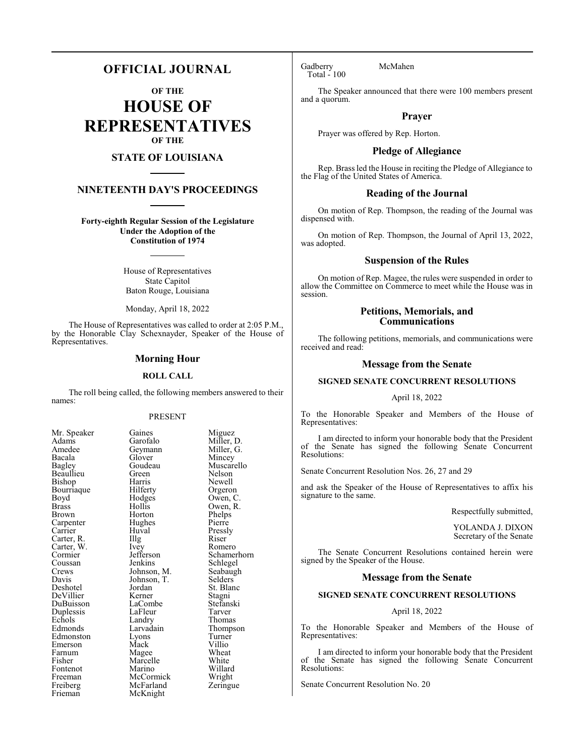## **OFFICIAL JOURNAL**

**OF THE**

**HOUSE OF REPRESENTATIVES OF THE**

## **STATE OF LOUISIANA**

## **NINETEENTH DAY'S PROCEEDINGS**

**Forty-eighth Regular Session of the Legislature Under the Adoption of the Constitution of 1974**

> House of Representatives State Capitol Baton Rouge, Louisiana

Monday, April 18, 2022

The House of Representatives was called to order at 2:05 P.M., by the Honorable Clay Schexnayder, Speaker of the House of Representatives.

## **Morning Hour**

## **ROLL CALL**

The roll being called, the following members answered to their names:

## PRESENT

Miller, D.<br>Miller, G.

Newell<br>Orgeron

Owen, R.<br>Phelps

Schlegel<br>Seabaugh

Thompson<br>Turner

Willard<br>Wright

| Mr. Speaker                         |
|-------------------------------------|
| Adams                               |
| Amedee                              |
| Bacala                              |
| Bagley                              |
| Beaullieu                           |
| Bishop                              |
| Bourriaque                          |
| Boyd                                |
| <b>Brass</b>                        |
| <b>Brown</b>                        |
| Carpenter                           |
| Carrier                             |
| Carter, R.<br>Carter, W.<br>Cormier |
|                                     |
|                                     |
| Coussan                             |
| Crews                               |
| Davis                               |
| Deshotel                            |
| DeVillier                           |
| DuBuisson<br>Duplessis              |
|                                     |
| Echols                              |
| Edmonds                             |
| Edmonston                           |
| Emerson                             |
| Farnum                              |
| Fisher                              |
| Fontenot                            |
| Freeman                             |
| Freiberg                            |
| Frieman                             |

Gaines Miguez<br>Garofalo Miller, 1 Geymann<br>Glover Glover Mincey<br>Goudeau Muscare Goudeau Muscarello<br>Green Nelson Green Nelson<br>Harris Newell Hilferty<br>Hodges Hodges Owen, C.<br>Hollis Owen, R. Horton Phelps<br>Hughes Pierre Hughes<br>Huval Huval Pressly<br>
Illg Riser Carter, R. **Illg** Riser Ivey Romero<br>Jefferson Schamer Jefferson Schamerhorn<br>Jenkins Schlegel Johnson, M. Seabaug<br>Johnson, T. Selders Johnson, T.<br>Jordan Jordan St. Blanc<br>
Kerner Stagni DeVillier Kerner Stagni LaCombe Stefanski<br>LaFleur Tarver LaFleur<br>Landry Landry Thomas<br>Larvadain Thomas Eyons Turner<br>
Mack Villio Mack Villio<br>
Mage Wheat Magee Wheat<br>
Marcelle White Marcelle<br>Marino McCormick Wright<br>
McFarland Zeringue McFarland McKnight

Gadberry McMahen Total - 100

The Speaker announced that there were 100 members present and a quorum.

## **Prayer**

Prayer was offered by Rep. Horton.

## **Pledge of Allegiance**

Rep. Brass led the House in reciting the Pledge of Allegiance to the Flag of the United States of America.

## **Reading of the Journal**

On motion of Rep. Thompson, the reading of the Journal was dispensed with.

On motion of Rep. Thompson, the Journal of April 13, 2022, was adopted.

## **Suspension of the Rules**

On motion of Rep. Magee, the rules were suspended in order to allow the Committee on Commerce to meet while the House was in session.

## **Petitions, Memorials, and Communications**

The following petitions, memorials, and communications were received and read:

## **Message from the Senate**

## **SIGNED SENATE CONCURRENT RESOLUTIONS**

April 18, 2022

To the Honorable Speaker and Members of the House of Representatives:

I am directed to inform your honorable body that the President of the Senate has signed the following Senate Concurrent Resolutions:

Senate Concurrent Resolution Nos. 26, 27 and 29

and ask the Speaker of the House of Representatives to affix his signature to the same.

Respectfully submitted,

YOLANDA J. DIXON Secretary of the Senate

The Senate Concurrent Resolutions contained herein were signed by the Speaker of the House.

## **Message from the Senate**

## **SIGNED SENATE CONCURRENT RESOLUTIONS**

## April 18, 2022

To the Honorable Speaker and Members of the House of Representatives:

I am directed to inform your honorable body that the President of the Senate has signed the following Senate Concurrent Resolutions:

Senate Concurrent Resolution No. 20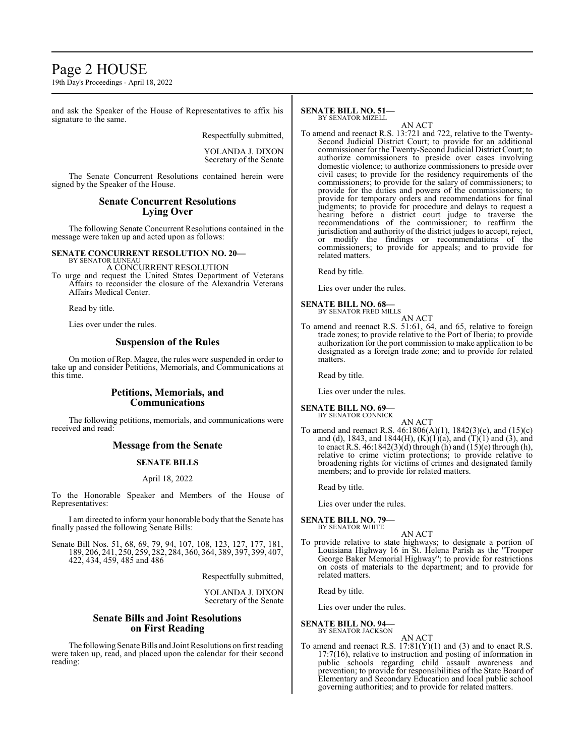## Page 2 HOUSE

19th Day's Proceedings - April 18, 2022

and ask the Speaker of the House of Representatives to affix his signature to the same.

Respectfully submitted,

## YOLANDA J. DIXON Secretary of the Senate

The Senate Concurrent Resolutions contained herein were signed by the Speaker of the House.

## **Senate Concurrent Resolutions Lying Over**

The following Senate Concurrent Resolutions contained in the message were taken up and acted upon as follows:

## **SENATE CONCURRENT RESOLUTION NO. 20—** BY SENATOR LUNEAU

A CONCURRENT RESOLUTION

To urge and request the United States Department of Veterans Affairs to reconsider the closure of the Alexandria Veterans Affairs Medical Center.

Read by title.

Lies over under the rules.

## **Suspension of the Rules**

On motion of Rep. Magee, the rules were suspended in order to take up and consider Petitions, Memorials, and Communications at this time.

## **Petitions, Memorials, and Communications**

The following petitions, memorials, and communications were received and read:

## **Message from the Senate**

## **SENATE BILLS**

## April 18, 2022

To the Honorable Speaker and Members of the House of Representatives:

I am directed to inform your honorable body that the Senate has finally passed the following Senate Bills:

Senate Bill Nos. 51, 68, 69, 79, 94, 107, 108, 123, 127, 177, 181, 189, 206, 241, 250, 259, 282, 284, 360, 364, 389, 397, 399, 407, 422, 434, 459, 485 and 486

Respectfully submitted,

YOLANDA J. DIXON Secretary of the Senate

## **Senate Bills and Joint Resolutions on First Reading**

The following Senate Bills and Joint Resolutions on first reading were taken up, read, and placed upon the calendar for their second reading:

#### **SENATE BILL NO. 51—** BY SENATOR MIZELL

AN ACT

To amend and reenact R.S. 13:721 and 722, relative to the Twenty-Second Judicial District Court; to provide for an additional commissioner for the Twenty-Second Judicial District Court; to authorize commissioners to preside over cases involving domestic violence; to authorize commissioners to preside over civil cases; to provide for the residency requirements of the commissioners; to provide for the salary of commissioners; to provide for the duties and powers of the commissioners; to provide for temporary orders and recommendations for final judgments; to provide for procedure and delays to request a hearing before a district court judge to traverse the recommendations of the commissioner; to reaffirm the jurisdiction and authority of the district judges to accept, reject, or modify the findings or recommendations of the commissioners; to provide for appeals; and to provide for related matters.

Read by title.

Lies over under the rules.

#### **SENATE BILL NO. 68—** BY SENATOR FRED MILLS

AN ACT

To amend and reenact R.S. 51:61, 64, and 65, relative to foreign trade zones; to provide relative to the Port of Iberia; to provide authorization for the port commission to make application to be designated as a foreign trade zone; and to provide for related matters.

Read by title.

Lies over under the rules.

**SENATE BILL NO. 69—** BY SENATOR CONNICK

AN ACT To amend and reenact R.S. 46:1806(A)(1), 1842(3)(c), and (15)(c) and (d), 1843, and 1844(H),  $(K)(1)(a)$ , and  $(T)(1)$  and  $(3)$ , and to enact R.S. 46:1842(3)(d) through (h) and (15)(e) through (h), relative to crime victim protections; to provide relative to broadening rights for victims of crimes and designated family members; and to provide for related matters.

Read by title.

Lies over under the rules.

**SENATE BILL NO. 79—**<br>BY SENATOR WHITE

AN ACT

To provide relative to state highways; to designate a portion of Louisiana Highway 16 in St. Helena Parish as the "Trooper George Baker Memorial Highway"; to provide for restrictions on costs of materials to the department; and to provide for related matters.

Read by title.

Lies over under the rules.

#### **SENATE BILL NO. 94—** BY SENATOR JACKSON

AN ACT

To amend and reenact R.S.  $17:81(Y)(1)$  and (3) and to enact R.S. 17:7(16), relative to instruction and posting of information in public schools regarding child assault awareness and prevention; to provide for responsibilities of the State Board of Elementary and Secondary Education and local public school governing authorities; and to provide for related matters.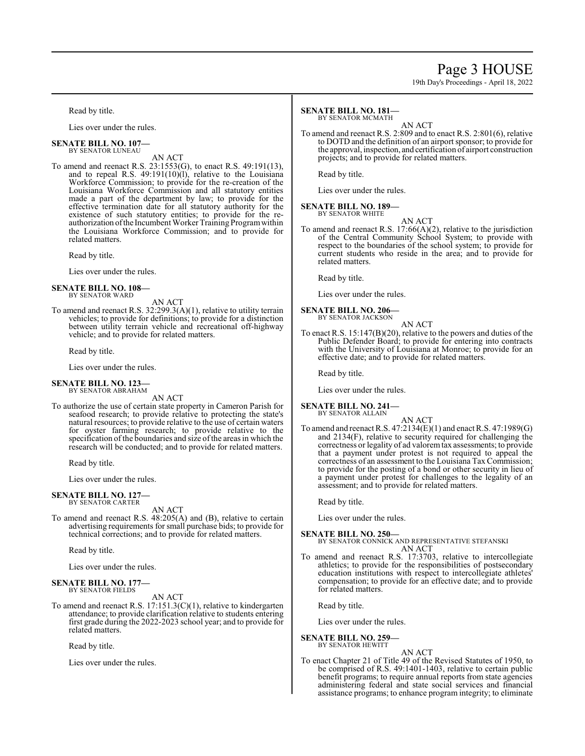## Page 3 HOUSE

19th Day's Proceedings - April 18, 2022

Read by title.

Lies over under the rules.

#### **SENATE BILL NO. 107—** BY SENATOR LUNEAU

AN ACT

To amend and reenact R.S. 23:1553(G), to enact R.S. 49:191(13), and to repeal R.S. 49:191(10)(l), relative to the Louisiana Workforce Commission; to provide for the re-creation of the Louisiana Workforce Commission and all statutory entities made a part of the department by law; to provide for the effective termination date for all statutory authority for the existence of such statutory entities; to provide for the reauthorization ofthe Incumbent Worker Training Programwithin the Louisiana Workforce Commission; and to provide for related matters.

Read by title.

Lies over under the rules.

#### **SENATE BILL NO. 108—** BY SENATOR WARD

AN ACT

To amend and reenact R.S. 32:299.3(A)(1), relative to utility terrain vehicles; to provide for definitions; to provide for a distinction between utility terrain vehicle and recreational off-highway vehicle; and to provide for related matters.

Read by title.

Lies over under the rules.

# **SENATE BILL NO. 123—** BY SENATOR ABRAHAM

AN ACT

To authorize the use of certain state property in Cameron Parish for seafood research; to provide relative to protecting the state's natural resources; to provide relative to the use of certain waters for oyster farming research; to provide relative to the specification of the boundaries and size of the areas in which the research will be conducted; and to provide for related matters.

Read by title.

Lies over under the rules.

#### **SENATE BILL NO. 127—** BY SENATOR CARTER

AN ACT

To amend and reenact R.S. 48:205(A) and (B), relative to certain advertising requirements for small purchase bids; to provide for technical corrections; and to provide for related matters.

Read by title.

Lies over under the rules.

#### **SENATE BILL NO. 177—** BY SENATOR FIELDS

AN ACT

To amend and reenact R.S. 17:151.3(C)(1), relative to kindergarten attendance; to provide clarification relative to students entering first grade during the 2022-2023 school year; and to provide for related matters.

Read by title.

Lies over under the rules.

## **SENATE BILL NO. 181—**

BY SENATOR MCMATH

AN ACT To amend and reenact R.S. 2:809 and to enact R.S. 2:801(6), relative to DOTD and the definition of an airport sponsor; to provide for the approval, inspection, and certification of airport construction projects; and to provide for related matters.

Read by title.

Lies over under the rules.

#### **SENATE BILL NO. 189—** BY SENATOR WHITE

AN ACT

To amend and reenact R.S. 17:66(A)(2), relative to the jurisdiction of the Central Community School System; to provide with respect to the boundaries of the school system; to provide for current students who reside in the area; and to provide for related matters.

Read by title.

Lies over under the rules.

#### **SENATE BILL NO. 206—** BY SENATOR JACKSON

AN ACT

To enact R.S. 15:147(B)(20), relative to the powers and duties of the Public Defender Board; to provide for entering into contracts with the University of Louisiana at Monroe; to provide for an effective date; and to provide for related matters.

Read by title.

Lies over under the rules.

#### **SENATE BILL NO. 241—** BY SENATOR ALLAIN

AN ACT

To amend and reenact R.S. 47:2134(E)(1) and enact R.S. 47:1989(G) and 2134(F), relative to security required for challenging the correctness or legality of ad valoremtax assessments; to provide that a payment under protest is not required to appeal the correctness of an assessment to the Louisiana Tax Commission; to provide for the posting of a bond or other security in lieu of a payment under protest for challenges to the legality of an assessment; and to provide for related matters.

Read by title.

Lies over under the rules.

**SENATE BILL NO. 250—** BY SENATOR CONNICK AND REPRESENTATIVE STEFANSKI AN ACT

To amend and reenact R.S. 17:3703, relative to intercollegiate athletics; to provide for the responsibilities of postsecondary education institutions with respect to intercollegiate athletes' compensation; to provide for an effective date; and to provide for related matters.

Read by title.

Lies over under the rules.

#### **SENATE BILL NO. 259—** BY SENATOR HEWITT

AN ACT To enact Chapter 21 of Title 49 of the Revised Statutes of 1950, to be comprised of R.S. 49:1401-1403, relative to certain public benefit programs; to require annual reports from state agencies administering federal and state social services and financial assistance programs; to enhance program integrity; to eliminate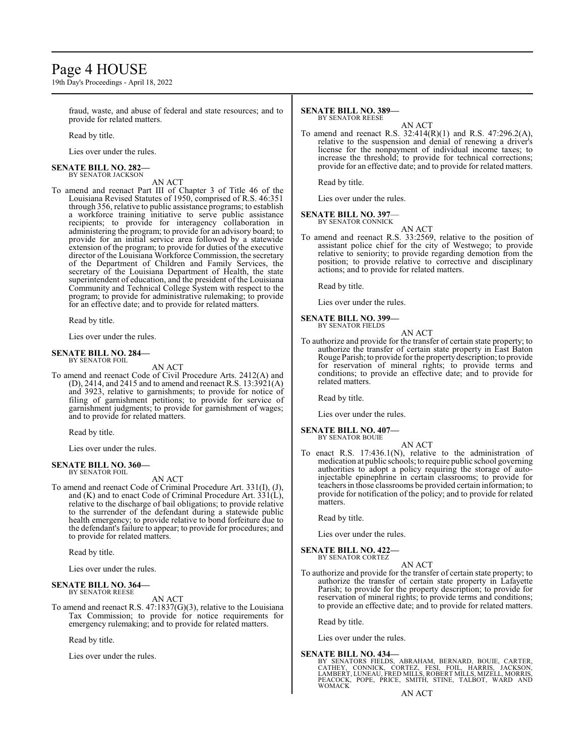## Page 4 HOUSE

19th Day's Proceedings - April 18, 2022

fraud, waste, and abuse of federal and state resources; and to provide for related matters.

Read by title.

Lies over under the rules.

#### **SENATE BILL NO. 282—** BY SENATOR JACKSON

AN ACT

To amend and reenact Part III of Chapter 3 of Title 46 of the Louisiana Revised Statutes of 1950, comprised of R.S. 46:351 through 356, relative to public assistance programs; to establish a workforce training initiative to serve public assistance recipients; to provide for interagency collaboration in administering the program; to provide for an advisory board; to provide for an initial service area followed by a statewide extension of the program; to provide for duties of the executive director of the Louisiana Workforce Commission, the secretary of the Department of Children and Family Services, the secretary of the Louisiana Department of Health, the state superintendent of education, and the president of the Louisiana Community and Technical College System with respect to the program; to provide for administrative rulemaking; to provide for an effective date; and to provide for related matters.

Read by title.

Lies over under the rules.

#### **SENATE BILL NO. 284—** BY SENATOR FOIL

AN ACT

To amend and reenact Code of Civil Procedure Arts. 2412(A) and (D), 2414, and 2415 and to amend and reenact R.S.  $13:3921(A)$ and 3923, relative to garnishments; to provide for notice of filing of garnishment petitions; to provide for service of garnishment judgments; to provide for garnishment of wages; and to provide for related matters.

Read by title.

Lies over under the rules.

## **SENATE BILL NO. 360—**

BY SENATOR FOIL

AN ACT

To amend and reenact Code of Criminal Procedure Art. 331(I), (J), and (K) and to enact Code of Criminal Procedure Art. 331(L), relative to the discharge of bail obligations; to provide relative to the surrender of the defendant during a statewide public health emergency; to provide relative to bond forfeiture due to the defendant's failure to appear; to provide for procedures; and to provide for related matters.

Read by title.

Lies over under the rules.

#### **SENATE BILL NO. 364—** BY SENATOR REESE

AN ACT

To amend and reenact R.S. 47:1837(G)(3), relative to the Louisiana Tax Commission; to provide for notice requirements for emergency rulemaking; and to provide for related matters.

Read by title.

Lies over under the rules.

#### **SENATE BILL NO. 389—** BY SENATOR REESE

AN ACT

To amend and reenact R.S. 32:414(R)(1) and R.S. 47:296.2(A), relative to the suspension and denial of renewing a driver's license for the nonpayment of individual income taxes; to increase the threshold; to provide for technical corrections; provide for an effective date; and to provide for related matters.

Read by title.

Lies over under the rules.

## **SENATE BILL NO. 397**—

BY SENATOR CONNICK

AN ACT To amend and reenact R.S. 33:2569, relative to the position of assistant police chief for the city of Westwego; to provide relative to seniority; to provide regarding demotion from the position; to provide relative to corrective and disciplinary actions; and to provide for related matters.

Read by title.

Lies over under the rules.

**SENATE BILL NO. 399—**

BY SENATOR FIELDS AN ACT

To authorize and provide for the transfer of certain state property; to authorize the transfer of certain state property in East Baton Rouge Parish; to provide for the propertydescription; to provide for reservation of mineral rights; to provide terms and conditions; to provide an effective date; and to provide for related matters.

Read by title.

Lies over under the rules.

**SENATE BILL NO. 407—** BY SENATOR BOUIE

- AN ACT
- To enact R.S. 17:436.1(N), relative to the administration of medication at public schools; to require public school governing authorities to adopt a policy requiring the storage of autoinjectable epinephrine in certain classrooms; to provide for teachers in those classrooms be provided certain information; to provide for notification of the policy; and to provide for related matters.

Read by title.

Lies over under the rules.

**SENATE BILL NO. 422—** BY SENATOR CORTEZ

AN ACT

To authorize and provide for the transfer of certain state property; to authorize the transfer of certain state property in Lafayette Parish; to provide for the property description; to provide for reservation of mineral rights; to provide terms and conditions; to provide an effective date; and to provide for related matters.

Read by title.

Lies over under the rules.

## **SENATE BILL NO. 434—**

BY SENATORS FIELDS, ABRAHAM, BERNARD, BOUIE, CARTER,<br>CATHEY, CONNICK, CORTEZ, FESI, FOIL, HARRIS, JACKSON,<br>LAMBERT,LUNEAU,FRED MILLS,ROBERT MILLS,MIZELL,MORRIS, PEACOCK, POPE, PRICE, SMITH, STINE, TALBOT, WARD AND WOMACK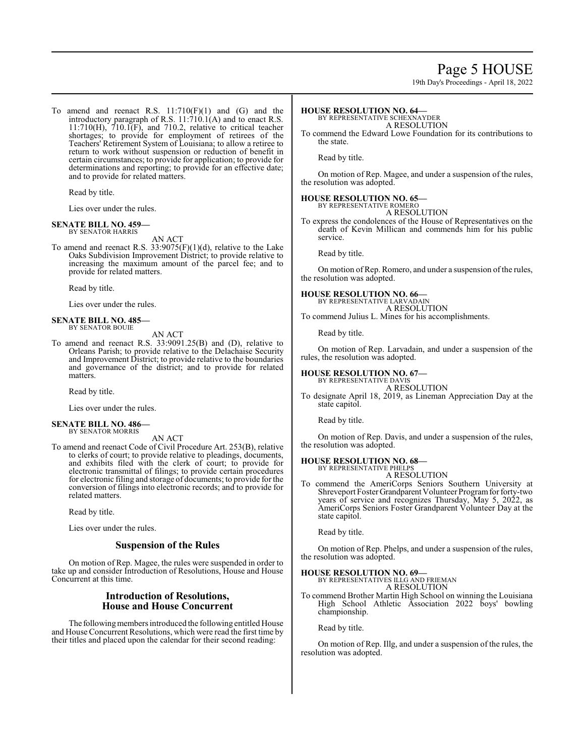## Page 5 HOUSE

19th Day's Proceedings - April 18, 2022

To amend and reenact R.S.  $11:710(F)(1)$  and  $(G)$  and the introductory paragraph of R.S. 11:710.1(A) and to enact R.S. 11:710(H), 710.1(F), and 710.2, relative to critical teacher shortages; to provide for employment of retirees of the Teachers' Retirement System of Louisiana; to allow a retiree to return to work without suspension or reduction of benefit in certain circumstances; to provide for application; to provide for determinations and reporting; to provide for an effective date; and to provide for related matters.

Read by title.

Lies over under the rules.

#### **SENATE BILL NO. 459—** BY SENATOR HARRIS

AN ACT

To amend and reenact R.S.  $33:9075(F)(1)(d)$ , relative to the Lake Oaks Subdivision Improvement District; to provide relative to increasing the maximum amount of the parcel fee; and to provide for related matters.

Read by title.

Lies over under the rules.

#### **SENATE BILL NO. 485—** BY SENATOR BOUIE

AN ACT

To amend and reenact R.S. 33:9091.25(B) and (D), relative to Orleans Parish; to provide relative to the Delachaise Security and Improvement District; to provide relative to the boundaries and governance of the district; and to provide for related matters.

Read by title.

Lies over under the rules.

#### **SENATE BILL NO. 486—** BY SENATOR MORRIS

AN ACT

To amend and reenact Code of Civil Procedure Art. 253(B), relative to clerks of court; to provide relative to pleadings, documents, and exhibits filed with the clerk of court; to provide for electronic transmittal of filings; to provide certain procedures for electronic filing and storage of documents; to provide for the conversion of filings into electronic records; and to provide for related matters.

Read by title.

Lies over under the rules.

## **Suspension of the Rules**

On motion of Rep. Magee, the rules were suspended in order to take up and consider Introduction of Resolutions, House and House Concurrent at this time.

## **Introduction of Resolutions, House and House Concurrent**

The following members introduced the following entitled House and House Concurrent Resolutions, which were read the first time by their titles and placed upon the calendar for their second reading:

## **HOUSE RESOLUTION NO. 64—**

BY REPRESENTATIVE SCHEXNAYDER A RESOLUTION

To commend the Edward Lowe Foundation for its contributions to the state.

Read by title.

On motion of Rep. Magee, and under a suspension of the rules, the resolution was adopted.

## **HOUSE RESOLUTION NO. 65—**

BY REPRESENTATIVE ROMERO

A RESOLUTION To express the condolences of the House of Representatives on the death of Kevin Millican and commends him for his public service.

Read by title.

On motion of Rep. Romero, and under a suspension of the rules, the resolution was adopted.

## **HOUSE RESOLUTION NO. 66—** BY REPRESENTATIVE LARVADAIN

A RESOLUTION

To commend Julius L. Mines for his accomplishments.

Read by title.

On motion of Rep. Larvadain, and under a suspension of the rules, the resolution was adopted.

## **HOUSE RESOLUTION NO. 67—** BY REPRESENTATIVE DAVIS

A RESOLUTION

To designate April 18, 2019, as Lineman Appreciation Day at the state capitol.

Read by title.

On motion of Rep. Davis, and under a suspension of the rules, the resolution was adopted.

#### **HOUSE RESOLUTION NO. 68—** BY REPRESENTATIVE PHELPS

A RESOLUTION

To commend the AmeriCorps Seniors Southern University at Shreveport Foster Grandparent Volunteer Program for forty-two years of service and recognizes Thursday, May 5, 2022, as AmeriCorps Seniors Foster Grandparent Volunteer Day at the state capitol.

Read by title.

On motion of Rep. Phelps, and under a suspension of the rules, the resolution was adopted.

## **HOUSE RESOLUTION NO. 69—** BY REPRESENTATIVES ILLG AND FRIEMAN

A RESOLUTION

To commend Brother Martin High School on winning the Louisiana High School Athletic Association 2022 boys' bowling championship.

Read by title.

On motion of Rep. Illg, and under a suspension of the rules, the resolution was adopted.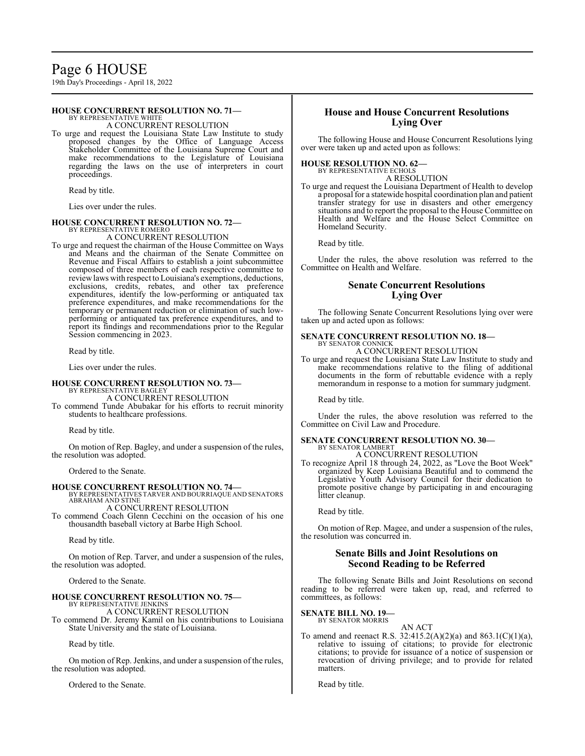## Page 6 HOUSE

19th Day's Proceedings - April 18, 2022

## **HOUSE CONCURRENT RESOLUTION NO. 71—**

BY REPRESENTATIVE WHITE A CONCURRENT RESOLUTION

To urge and request the Louisiana State Law Institute to study proposed changes by the Office of Language Access Stakeholder Committee of the Louisiana Supreme Court and make recommendations to the Legislature of Louisiana regarding the laws on the use of interpreters in court proceedings.

Read by title.

Lies over under the rules.

## **HOUSE CONCURRENT RESOLUTION NO. 72—**

BY REPRESENTATIVE ROMERO A CONCURRENT RESOLUTION

To urge and request the chairman of the House Committee on Ways and Means and the chairman of the Senate Committee on Revenue and Fiscal Affairs to establish a joint subcommittee composed of three members of each respective committee to reviewlaws with respect to Louisiana's exemptions, deductions, exclusions, credits, rebates, and other tax preference expenditures, identify the low-performing or antiquated tax preference expenditures, and make recommendations for the temporary or permanent reduction or elimination of such lowperforming or antiquated tax preference expenditures, and to report its findings and recommendations prior to the Regular Session commencing in 2023.

Read by title.

Lies over under the rules.

## **HOUSE CONCURRENT RESOLUTION NO. 73—** BY REPRESENTATIVE BAGLEY

A CONCURRENT RESOLUTION

To commend Tunde Abubakar for his efforts to recruit minority students to healthcare professions.

Read by title.

On motion of Rep. Bagley, and under a suspension of the rules, the resolution was adopted.

Ordered to the Senate.

**HOUSE CONCURRENT RESOLUTION NO. 74—** BY REPRESENTATIVES TARVER AND BOURRIAQUE AND SENATORS ABRAHAM AND STINE A CONCURRENT RESOLUTION

To commend Coach Glenn Cecchini on the occasion of his one thousandth baseball victory at Barbe High School.

Read by title.

On motion of Rep. Tarver, and under a suspension of the rules, the resolution was adopted.

Ordered to the Senate.

## **HOUSE CONCURRENT RESOLUTION NO. 75—** BY REPRESENTATIVE JENKINS

A CONCURRENT RESOLUTION To commend Dr. Jeremy Kamil on his contributions to Louisiana State University and the state of Louisiana.

Read by title.

On motion of Rep. Jenkins, and under a suspension of the rules, the resolution was adopted.

Ordered to the Senate.

## **House and House Concurrent Resolutions Lying Over**

The following House and House Concurrent Resolutions lying over were taken up and acted upon as follows:

## **HOUSE RESOLUTION NO. 62—**

BY REPRESENTATIVE ECHOLS A RESOLUTION

To urge and request the Louisiana Department of Health to develop a proposal for a statewide hospital coordination plan and patient transfer strategy for use in disasters and other emergency situations and to report the proposal to the House Committee on Health and Welfare and the House Select Committee on Homeland Security.

Read by title.

Under the rules, the above resolution was referred to the Committee on Health and Welfare.

## **Senate Concurrent Resolutions Lying Over**

The following Senate Concurrent Resolutions lying over were taken up and acted upon as follows:

#### **SENATE CONCURRENT RESOLUTION NO. 18—** BY SENATOR CONNICK

A CONCURRENT RESOLUTION

To urge and request the Louisiana State Law Institute to study and make recommendations relative to the filing of additional documents in the form of rebuttable evidence with a reply memorandum in response to a motion for summary judgment.

Read by title.

Under the rules, the above resolution was referred to the Committee on Civil Law and Procedure.

## **SENATE CONCURRENT RESOLUTION NO. 30—** BY SENATOR LAMBERT

A CONCURRENT RESOLUTION

To recognize April 18 through 24, 2022, as "Love the Boot Week" organized by Keep Louisiana Beautiful and to commend the Legislative Youth Advisory Council for their dedication to promote positive change by participating in and encouraging litter cleanup.

Read by title.

On motion of Rep. Magee, and under a suspension of the rules, the resolution was concurred in.

## **Senate Bills and Joint Resolutions on Second Reading to be Referred**

The following Senate Bills and Joint Resolutions on second reading to be referred were taken up, read, and referred to committees, as follows:

## **SENATE BILL NO. 19—** BY SENATOR MORRIS

AN ACT To amend and reenact R.S. 32:415.2(A)(2)(a) and 863.1(C)(1)(a), relative to issuing of citations; to provide for electronic citations; to provide for issuance of a notice of suspension or revocation of driving privilege; and to provide for related matters.

Read by title.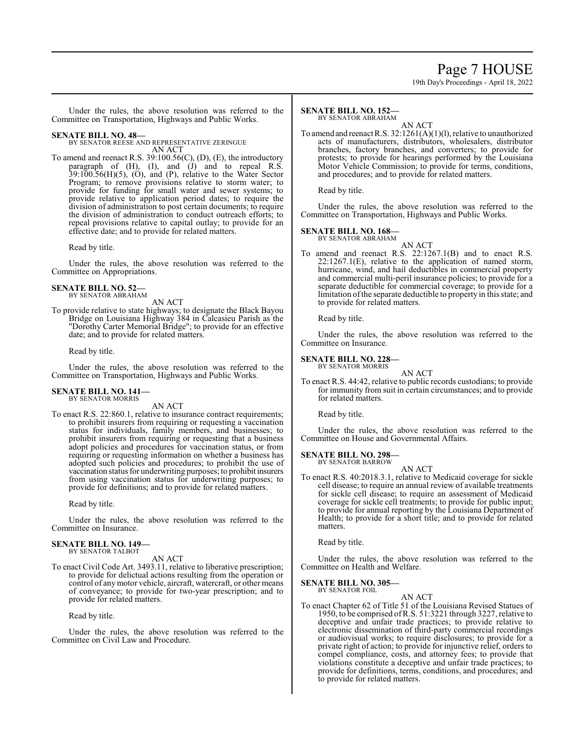# Page 7 HOUSE

19th Day's Proceedings - April 18, 2022

Under the rules, the above resolution was referred to the Committee on Transportation, Highways and Public Works.

## **SENATE BILL NO. 48—**

BY SENATOR REESE AND REPRESENTATIVE ZERINGUE AN ACT

To amend and reenact R.S. 39:100.56(C), (D), (E), the introductory paragraph of (H), (I), and (J) and to repeal R.S. 39:100.56(H)(5), (O), and (P), relative to the Water Sector Program; to remove provisions relative to storm water; to provide for funding for small water and sewer systems; to provide relative to application period dates; to require the division of administration to post certain documents; to require the division of administration to conduct outreach efforts; to repeal provisions relative to capital outlay; to provide for an effective date; and to provide for related matters.

Read by title.

Under the rules, the above resolution was referred to the Committee on Appropriations.

## **SENATE BILL NO. 52—** BY SENATOR ABRAHAM

AN ACT

To provide relative to state highways; to designate the Black Bayou Bridge on Louisiana Highway 384 in Calcasieu Parish as the "Dorothy Carter Memorial Bridge"; to provide for an effective date; and to provide for related matters.

Read by title.

Under the rules, the above resolution was referred to the Committee on Transportation, Highways and Public Works.

# **SENATE BILL NO. 141—** BY SENATOR MORRIS

AN ACT

To enact R.S. 22:860.1, relative to insurance contract requirements; to prohibit insurers from requiring or requesting a vaccination status for individuals, family members, and businesses; to prohibit insurers from requiring or requesting that a business adopt policies and procedures for vaccination status, or from requiring or requesting information on whether a business has adopted such policies and procedures; to prohibit the use of vaccination status for underwriting purposes; to prohibit insurers from using vaccination status for underwriting purposes; to provide for definitions; and to provide for related matters.

Read by title.

Under the rules, the above resolution was referred to the Committee on Insurance.

#### **SENATE BILL NO. 149—** BY SENATOR TALBOT

AN ACT

To enact Civil Code Art. 3493.11, relative to liberative prescription; to provide for delictual actions resulting from the operation or control of anymotor vehicle, aircraft, watercraft, or other means of conveyance; to provide for two-year prescription; and to provide for related matters.

Read by title.

Under the rules, the above resolution was referred to the Committee on Civil Law and Procedure.

#### **SENATE BILL NO. 152—** BY SENATOR ABRAHAM

AN ACT

To amend and reenact R.S. 32:1261(A)(1)(l), relative to unauthorized acts of manufacturers, distributors, wholesalers, distributor branches, factory branches, and converters; to provide for protests; to provide for hearings performed by the Louisiana Motor Vehicle Commission; to provide for terms, conditions, and procedures; and to provide for related matters.

Read by title.

Under the rules, the above resolution was referred to the Committee on Transportation, Highways and Public Works.

## **SENATE BILL NO. 168—**

BY SENATOR ABRAHAM

AN ACT To amend and reenact R.S. 22:1267.1(B) and to enact R.S. 22:1267.1(E), relative to the application of named storm, hurricane, wind, and hail deductibles in commercial property and commercial multi-peril insurance policies; to provide for a separate deductible for commercial coverage; to provide for a limitation ofthe separate deductible to property in this state; and to provide for related matters.

Read by title.

Under the rules, the above resolution was referred to the Committee on Insurance.

## **SENATE BILL NO. 228—**

BY SENATOR MORRIS

AN ACT To enact R.S. 44:42, relative to public records custodians; to provide for immunity from suit in certain circumstances; and to provide for related matters.

Read by title.

Under the rules, the above resolution was referred to the Committee on House and Governmental Affairs.

# **SENATE BILL NO. 298—** BY SENATOR BARROW

AN ACT

To enact R.S. 40:2018.3.1, relative to Medicaid coverage for sickle cell disease; to require an annual review of available treatments for sickle cell disease; to require an assessment of Medicaid coverage for sickle cell treatments; to provide for public input; to provide for annual reporting by the Louisiana Department of Health; to provide for a short title; and to provide for related matters.

Read by title.

Under the rules, the above resolution was referred to the Committee on Health and Welfare.

**SENATE BILL NO. 305—**

BY SENATOR FOIL AN ACT

To enact Chapter 62 of Title 51 of the Louisiana Revised Statues of 1950, to be comprised ofR.S. 51:3221 through 3227, relative to deceptive and unfair trade practices; to provide relative to electronic dissemination of third-party commercial recordings or audiovisual works; to require disclosures; to provide for a private right of action; to provide for injunctive relief, orders to compel compliance, costs, and attorney fees; to provide that violations constitute a deceptive and unfair trade practices; to provide for definitions, terms, conditions, and procedures; and to provide for related matters.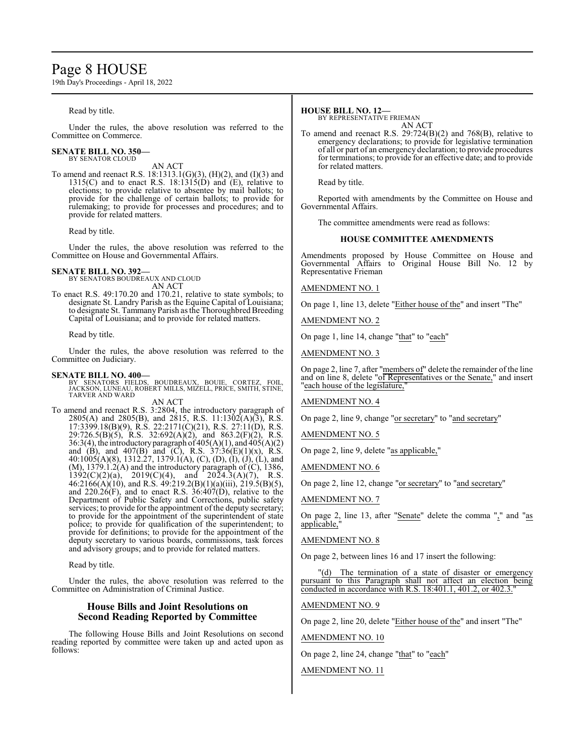## Page 8 HOUSE

19th Day's Proceedings - April 18, 2022

Read by title.

Under the rules, the above resolution was referred to the Committee on Commerce.

#### **SENATE BILL NO. 350—** BY SENATOR CLOUD

AN ACT

To amend and reenact R.S. 18:1313.1(G)(3), (H)(2), and (I)(3) and 1315(C) and to enact R.S. 18:1315( $\hat{D}$ ) and (E), relative to elections; to provide relative to absentee by mail ballots; to provide for the challenge of certain ballots; to provide for rulemaking; to provide for processes and procedures; and to provide for related matters.

Read by title.

Under the rules, the above resolution was referred to the Committee on House and Governmental Affairs.

## **SENATE BILL NO. 392—**

BY SENATORS BOUDREAUX AND CLOUD AN ACT

To enact R.S. 49:170.20 and 170.21, relative to state symbols; to designate St. Landry Parish as the Equine Capital of Louisiana; to designate St. Tammany Parish as the Thoroughbred Breeding Capital of Louisiana; and to provide for related matters.

Read by title.

Under the rules, the above resolution was referred to the Committee on Judiciary.

## **SENATE BILL NO. 400—**

BY SENATORS FIELDS, BOUDREAUX, BOUIE, CORTEZ, FOIL, JACKSON, LUNEAU, ROBERT MILLS, MIZELL, PRICE, SMITH, STINE, TARVER AND WARD AN ACT

To amend and reenact R.S. 3:2804, the introductory paragraph of 2805(A) and 2805(B), and 2815, R.S. 11:1302(A)(3), R.S. 17:3399.18(B)(9), R.S. 22:2171(C)(21), R.S. 27:11(D), R.S. 29:726.5(B)(5), R.S. 32:692(A)(2), and 863.2(F)(2), R.S. 36:3(4), the introductory paragraph of  $405(A)(1)$ , and  $405(A)(2)$ and (B), and  $407(B)$  and (C), R.S.  $37:36(E)(1)(x)$ , R.S. 40:1005(A)(8), 1312.27, 1379.1(A), (C), (D), (I), (J), (L), and  $(M)$ , 1379.1.2(A) and the introductory paragraph of  $(C)$ , 1386,  $1392(C)(2)(a)$ ,  $2019(C)(4)$ , and  $2024.3(A)(7)$ , R.S. 46:2166(A)(10), and R.S. 49:219.2(B)(1)(a)(iii), 219.5(B)(5), and 220.26(F), and to enact R.S. 36:407(D), relative to the Department of Public Safety and Corrections, public safety services; to provide for the appointment of the deputy secretary; to provide for the appointment of the superintendent of state police; to provide for qualification of the superintendent; to provide for definitions; to provide for the appointment of the deputy secretary to various boards, commissions, task forces and advisory groups; and to provide for related matters.

Read by title.

Under the rules, the above resolution was referred to the Committee on Administration of Criminal Justice.

## **House Bills and Joint Resolutions on Second Reading Reported by Committee**

The following House Bills and Joint Resolutions on second reading reported by committee were taken up and acted upon as follows:

## **HOUSE BILL NO. 12—**

BY REPRESENTATIVE FRIEMAN AN ACT

To amend and reenact R.S. 29:724(B)(2) and 768(B), relative to emergency declarations; to provide for legislative termination of all or part of an emergency declaration; to provide procedures for terminations; to provide for an effective date; and to provide for related matters.

Read by title.

Reported with amendments by the Committee on House and Governmental Affairs.

The committee amendments were read as follows:

## **HOUSE COMMITTEE AMENDMENTS**

Amendments proposed by House Committee on House and Governmental Affairs to Original House Bill No. 12 by Representative Frieman

AMENDMENT NO. 1

On page 1, line 13, delete "Either house of the" and insert "The"

AMENDMENT NO. 2

On page 1, line 14, change "that" to "each"

AMENDMENT NO. 3

On page 2, line 7, after "members of" delete the remainder of the line and on line 8, delete "of Representatives or the Senate," and insert "each house of the legislature,"

AMENDMENT NO. 4

On page 2, line 9, change "or secretary" to "and secretary"

AMENDMENT NO. 5

On page 2, line 9, delete "as applicable,"

AMENDMENT NO. 6

On page 2, line 12, change "or secretary" to "and secretary"

AMENDMENT NO. 7

On page 2, line 13, after "Senate" delete the comma "," and "as applicable,

## AMENDMENT NO. 8

On page 2, between lines 16 and 17 insert the following:

"(d) The termination of a state of disaster or emergency pursuant to this Paragraph shall not affect an election being conducted in accordance with R.S.  $18:401.1$ ,  $401.2$ , or  $402.3$ .

## AMENDMENT NO. 9

On page 2, line 20, delete "Either house of the" and insert "The"

AMENDMENT NO. 10

On page 2, line 24, change "that" to "each"

AMENDMENT NO. 11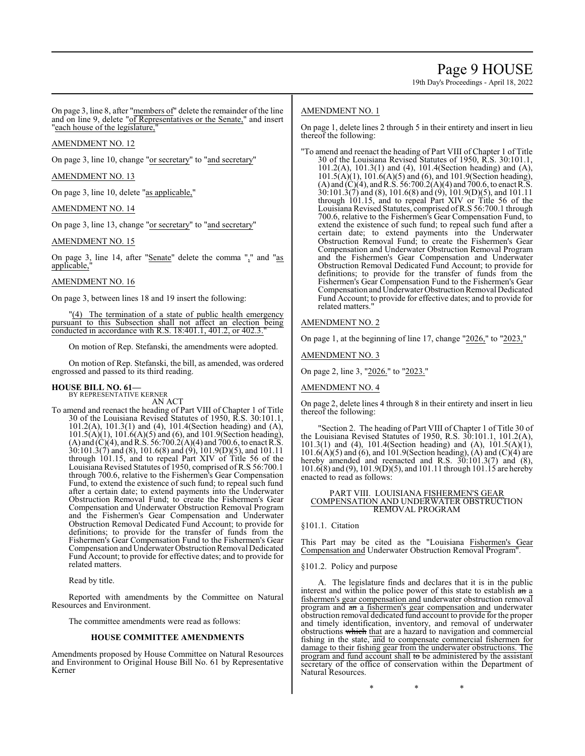On page 3, line 8, after "members of" delete the remainder of the line and on line 9, delete "of Representatives or the Senate," and insert "each house of the legislature,"

## AMENDMENT NO. 12

On page 3, line 10, change "or secretary" to "and secretary"

## AMENDMENT NO. 13

On page 3, line 10, delete "as applicable,"

## AMENDMENT NO. 14

On page 3, line 13, change "or secretary" to "and secretary"

## AMENDMENT NO. 15

On page 3, line 14, after " $S$ enate" delete the comma "," and " $\frac{as}{s}$ applicable,

## AMENDMENT NO. 16

On page 3, between lines 18 and 19 insert the following:

"(4) The termination of a state of public health emergency pursuant to this Subsection shall not affect an election being conducted in accordance with R.S. 18:401.1, 401.2, or 402.3."

On motion of Rep. Stefanski, the amendments were adopted.

On motion of Rep. Stefanski, the bill, as amended, was ordered engrossed and passed to its third reading.

## **HOUSE BILL NO. 61—** BY REPRESENTATIVE KERNER

AN ACT

To amend and reenact the heading of Part VIII of Chapter 1 of Title 30 of the Louisiana Revised Statutes of 1950, R.S. 30:101.1, 101.2(A), 101.3(1) and (4), 101.4(Section heading) and (A), 101.5(A)(1), 101.6(A)(5) and (6), and 101.9(Section heading), (A) and  $(C)(4)$ , and R.S. 56:700.2(A)(4) and 700.6, to enact R.S.  $30:101.3(7)$  and (8), 101.6(8) and (9), 101.9(D)(5), and 101.11 through 101.15, and to repeal Part XIV of Title 56 of the Louisiana Revised Statutes of 1950, comprised of R.S 56:700.1 through 700.6, relative to the Fishermen's Gear Compensation Fund, to extend the existence of such fund; to repeal such fund after a certain date; to extend payments into the Underwater Obstruction Removal Fund; to create the Fishermen's Gear Compensation and Underwater Obstruction Removal Program and the Fishermen's Gear Compensation and Underwater Obstruction Removal Dedicated Fund Account; to provide for definitions; to provide for the transfer of funds from the Fishermen's Gear Compensation Fund to the Fishermen's Gear Compensation and Underwater Obstruction Removal Dedicated Fund Account; to provide for effective dates; and to provide for related matters.

Read by title.

Reported with amendments by the Committee on Natural Resources and Environment.

The committee amendments were read as follows:

## **HOUSE COMMITTEE AMENDMENTS**

Amendments proposed by House Committee on Natural Resources and Environment to Original House Bill No. 61 by Representative Kerner

## AMENDMENT NO. 1

On page 1, delete lines 2 through 5 in their entirety and insert in lieu thereof the following:

"To amend and reenact the heading of Part VIII of Chapter 1 of Title 30 of the Louisiana Revised Statutes of 1950, R.S. 30:101.1, 101.2(A), 101.3(1) and (4), 101.4(Section heading) and (A), 101.5(A)(1), 101.6(A)(5) and (6), and 101.9(Section heading), (A) and  $(C)(4)$ , and R.S. 56:700.2(A)(4) and 700.6, to enact R.S. 30:101.3(7) and (8), 101.6(8) and (9), 101.9(D)(5), and 101.11 through 101.15, and to repeal Part XIV or Title 56 of the Louisiana Revised Statutes, comprised ofR.S 56:700.1 through 700.6, relative to the Fishermen's Gear Compensation Fund, to extend the existence of such fund; to repeal such fund after a certain date; to extend payments into the Underwater Obstruction Removal Fund; to create the Fishermen's Gear Compensation and Underwater Obstruction Removal Program and the Fishermen's Gear Compensation and Underwater Obstruction Removal Dedicated Fund Account; to provide for definitions; to provide for the transfer of funds from the Fishermen's Gear Compensation Fund to the Fishermen's Gear Compensation and Underwater Obstruction Removal Dedicated Fund Account; to provide for effective dates; and to provide for related matters."

## AMENDMENT NO. 2

On page 1, at the beginning of line 17, change "2026," to "2023,"

AMENDMENT NO. 3

On page 2, line 3, "2026." to "2023."

## AMENDMENT NO. 4

On page 2, delete lines 4 through 8 in their entirety and insert in lieu thereof the following:

"Section 2. The heading of Part VIII of Chapter 1 of Title 30 of the Louisiana Revised Statutes of 1950, R.S. 30:101.1, 101.2(A), 101.3(1) and (4), 101.4(Section heading) and (A), 101.5(A)(1),  $101.6(A)(5)$  and  $(6)$ , and  $101.9$  (Section heading),  $(A)$  and  $(C)(4)$  are hereby amended and reenacted and R.S.  $30:101.3(7)$  and  $(8)$ , 101.6(8) and (9), 101.9(D)(5), and 101.11 through 101.15 are hereby enacted to read as follows:

## PART VIII. LOUISIANA FISHERMEN'S GEAR COMPENSATION AND UNDERWATER OBSTRUCTION REMOVAL PROGRAM

§101.1. Citation

This Part may be cited as the "Louisiana Fishermen's Gear Compensation and Underwater Obstruction Removal Program".

§101.2. Policy and purpose

A. The legislature finds and declares that it is in the public interest and within the police power of this state to establish an a fishermen's gear compensation and underwater obstruction removal program and an a fishermen's gear compensation and underwater obstruction removal dedicated fund account to provide for the proper and timely identification, inventory, and removal of underwater obstructions which that are a hazard to navigation and commercial fishing in the state, and to compensate commercial fishermen for damage to their fishing gear from the underwater obstructions. The program and fund account shall to be administered by the assistant secretary of the office of conservation within the Department of Natural Resources.

\* \* \*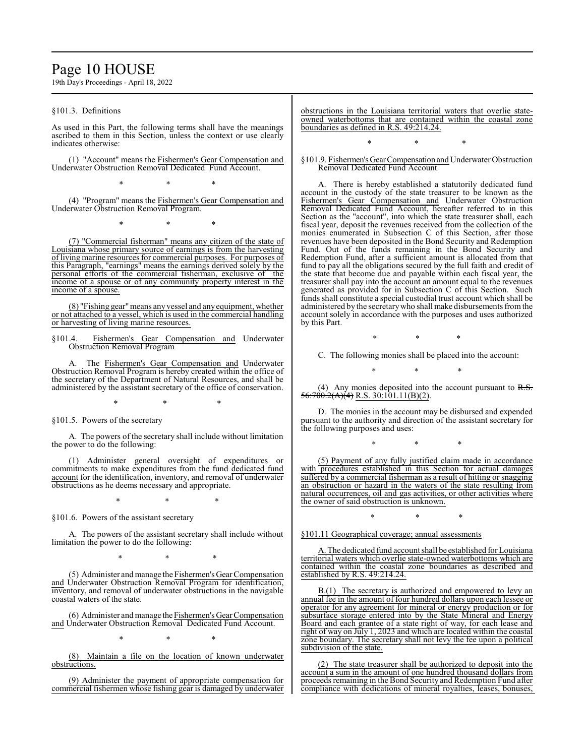## Page 10 HOUSE

19th Day's Proceedings - April 18, 2022

§101.3. Definitions

As used in this Part, the following terms shall have the meanings ascribed to them in this Section, unless the context or use clearly indicates otherwise:

(1) "Account" means the Fishermen's Gear Compensation and Underwater Obstruction Removal Dedicated Fund Account.

\* \* \*

(4) "Program" means the Fishermen's Gear Compensation and Underwater Obstruction Removal Program.

\* \* \*

(7) "Commercial fisherman" means any citizen of the state of Louisiana whose primary source of earnings is from the harvesting of living marine resources for commercial purposes. For purposes of this Paragraph, "earnings" means the earnings derived solely by the personal efforts of the commercial fisherman, exclusive of the income of a spouse or of any community property interest in the income of a spouse.

(8) "Fishing gear"means anyvessel and anyequipment, whether or not attached to a vessel, which is used in the commercial handling or harvesting of living marine resources.

§101.4. Fishermen's Gear Compensation and Underwater Obstruction Removal Program

A. The Fishermen's Gear Compensation and Underwater Obstruction Removal Program is hereby created within the office of the secretary of the Department of Natural Resources, and shall be administered by the assistant secretary of the office of conservation.

\* \* \*

§101.5. Powers of the secretary

A. The powers of the secretary shall include without limitation the power to do the following:

(1) Administer general oversight of expenditures or commitments to make expenditures from the fund dedicated fund account for the identification, inventory, and removal of underwater obstructions as he deems necessary and appropriate.

\* \* \*

§101.6. Powers of the assistant secretary

A. The powers of the assistant secretary shall include without limitation the power to do the following:

\* \* \*

(5) Administer and manage the Fishermen's Gear Compensation and Underwater Obstruction Removal Program for identification, inventory, and removal of underwater obstructions in the navigable coastal waters of the state.

(6) Administer andmanage theFishermen's Gear Compensation and Underwater Obstruction Removal Dedicated Fund Account.

\* \* \*

(8) Maintain a file on the location of known underwater obstructions.

(9) Administer the payment of appropriate compensation for commercial fishermen whose fishing gear is damaged by underwater obstructions in the Louisiana territorial waters that overlie stateowned waterbottoms that are contained within the coastal zone boundaries as defined in R.S. 49:214.24.

§101.9. Fishermen'sGearCompensation and Underwater Obstruction Removal Dedicated Fund Account

\* \* \*

A. There is hereby established a statutorily dedicated fund account in the custody of the state treasurer to be known as the Fishermen's Gear Compensation and Underwater Obstruction Removal Dedicated Fund Account, hereafter referred to in this Section as the "account", into which the state treasurer shall, each fiscal year, deposit the revenues received from the collection of the monies enumerated in Subsection C of this Section, after those revenues have been deposited in the Bond Security and Redemption Fund. Out of the funds remaining in the Bond Security and Redemption Fund, after a sufficient amount is allocated from that fund to pay all the obligations secured by the full faith and credit of the state that become due and payable within each fiscal year, the treasurer shall pay into the account an amount equal to the revenues generated as provided for in Subsection C of this Section. Such funds shall constitute a special custodial trust account which shall be administered by the secretarywho shall make disbursements fromthe account solely in accordance with the purposes and uses authorized by this Part.

\* \* \*

C. The following monies shall be placed into the account:

\* \* \*

(4) Any monies deposited into the account pursuant to  $R.S.$  $56:700.2(A)(4)$  R.S. 30:101.11(B)(2).

D. The monies in the account may be disbursed and expended pursuant to the authority and direction of the assistant secretary for the following purposes and uses:

\* \* \*

(5) Payment of any fully justified claim made in accordance with procedures established in this Section for actual damages suffered by a commercial fisherman as a result of hitting or snagging an obstruction or hazard in the waters of the state resulting from natural occurrences, oil and gas activities, or other activities where the owner of said obstruction is unknown.

\* \* \*

§101.11 Geographical coverage; annual assessments

A. The dedicated fund account shall be established for Louisiana territorial waters which overlie state-owned waterbottoms which are contained within the coastal zone boundaries as described and established by R.S. 49:214.24.

B.(1) The secretary is authorized and empowered to levy an annual fee in the amount of four hundred dollars upon each lessee or operator for any agreement for mineral or energy production or for subsurface storage entered into by the State Mineral and Energy Board and each grantee of a state right of way, for each lease and right of way on July 1, 2023 and which are located within the coastal zone boundary. The secretary shall not levy the fee upon a political subdivision of the state.

(2) The state treasurer shall be authorized to deposit into the account a sum in the amount of one hundred thousand dollars from proceeds remaining in the Bond Security and Redemption Fund after compliance with dedications of mineral royalties, leases, bonuses,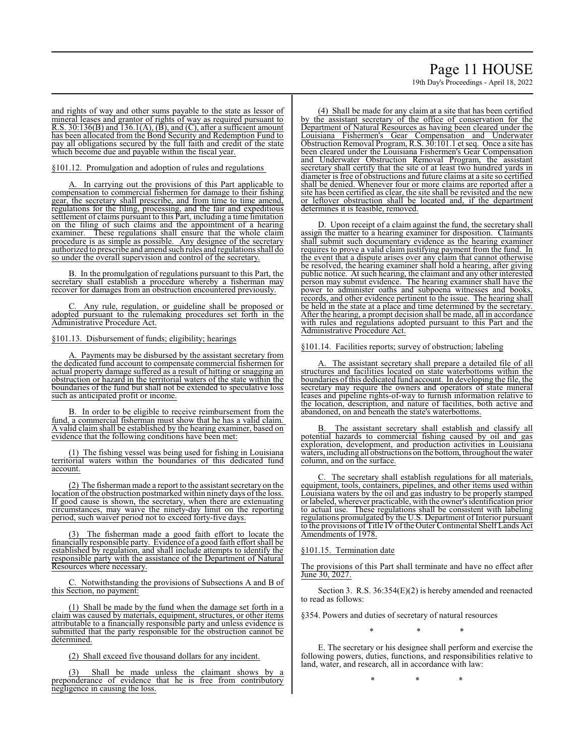# Page 11 HOUSE

19th Day's Proceedings - April 18, 2022

and rights of way and other sums payable to the state as lessor of mineral leases and grantor of rights of way as required pursuant to R.S.  $30:136(B)$  and  $136.1(A)$ ,  $(B)$ , and  $(C)$ , after a sufficient amount has been allocated from the Bond Security and Redemption Fund to pay all obligations secured by the full faith and credit of the state which become due and payable within the fiscal year.

§101.12. Promulgation and adoption of rules and regulations

In carrying out the provisions of this Part applicable to compensation to commercial fishermen for damage to their fishing gear, the secretary shall prescribe, and from time to time amend, regulations for the filing, processing, and the fair and expeditious settlement of claims pursuant to this Part, including a time limitation on the filing of such claims and the appointment of a hearing examiner. These regulations shall ensure that the whole claim procedure is as simple as possible. Any designee of the secretary authorized to prescribe and amend such rules and regulationsshall do so under the overall supervision and control of the secretary.

B. In the promulgation of regulations pursuant to this Part, the secretary shall establish a procedure whereby a fisherman may recover for damages from an obstruction encountered previously.

Any rule, regulation, or guideline shall be proposed or adopted pursuant to the rulemaking procedures set forth in the Administrative Procedure Act.

§101.13. Disbursement of funds; eligibility; hearings

Payments may be disbursed by the assistant secretary from the dedicated fund account to compensate commercial fishermen for actual property damage suffered as a result of hitting or snagging an obstruction or hazard in the territorial waters of the state within the boundaries of the fund but shall not be extended to speculative loss such as anticipated profit or income.

B. In order to be eligible to receive reimbursement from the fund, a commercial fisherman must show that he has a valid claim. A valid claim shall be established by the hearing examiner, based on evidence that the following conditions have been met:

(1) The fishing vessel was being used for fishing in Louisiana territorial waters within the boundaries of this dedicated fund account.

(2) The fisherman made a report to the assistant secretary on the location of the obstruction postmarked within ninety days of the loss. If good cause is shown, the secretary, when there are extenuating circumstances, may waive the ninety-day limit on the reporting period, such waiver period not to exceed forty-five days.

The fisherman made a good faith effort to locate the financially responsible party. Evidence of a good faith effort shall be established by regulation, and shall include attempts to identify the responsible party with the assistance of the Department of Natural Resources where necessary.

C. Notwithstanding the provisions of Subsections A and B of this Section, no payment:

(1) Shall be made by the fund when the damage set forth in a claim was caused by materials, equipment, structures, or other items attributable to a financially responsible party and unless evidence is submitted that the party responsible for the obstruction cannot be determined.

(2) Shall exceed five thousand dollars for any incident.

Shall be made unless the claimant shows by a preponderance of evidence that he is free from contributory negligence in causing the loss.

(4) Shall be made for any claim at a site that has been certified by the assistant secretary of the office of conservation for the Department of Natural Resources as having been cleared under the Louisiana Fishermen's Gear Compensation and Underwater Obstruction Removal Program, R.S. 30:101.1 et seq. Once a site has been cleared under the Louisiana Fishermen's Gear Compensation and Underwater Obstruction Removal Program, the assistant secretary shall certify that the site of at least two hundred yards in diameter is free of obstructions and future claims at a site so certified shall be denied. Whenever four or more claims are reported after a site has been certified as clear, the site shall be revisited and the new or leftover obstruction shall be located and, if the department determines it is feasible, removed.

D. Upon receipt of a claim against the fund, the secretary shall assign the matter to a hearing examiner for disposition. Claimants shall submit such documentary evidence as the hearing examiner requires to prove a valid claim justifying payment from the fund. In the event that a dispute arises over any claim that cannot otherwise be resolved, the hearing examiner shall hold a hearing, after giving public notice. At such hearing, the claimant and any other interested person may submit evidence. The hearing examiner shall have the power to administer oaths and subpoena witnesses and books, records, and other evidence pertinent to the issue. The hearing shall be held in the state at a place and time determined by the secretary. After the hearing, a prompt decision shall be made, all in accordance with rules and regulations adopted pursuant to this Part and the Administrative Procedure Act.

§101.14. Facilities reports; survey of obstruction; labeling

The assistant secretary shall prepare a detailed file of all structures and facilities located on state waterbottoms within the boundaries ofthis dedicated fund account. In developing the file, the secretary may require the owners and operators of state mineral leases and pipeline rights-of-way to furnish information relative to the location, description, and nature of facilities, both active and abandoned, on and beneath the state's waterbottoms.

The assistant secretary shall establish and classify all potential hazards to commercial fishing caused by oil and gas exploration, development, and production activities in Louisiana waters, including all obstructions on the bottom, throughout the water column, and on the surface.

C. The secretary shall establish regulations for all materials, equipment, tools, containers, pipelines, and other items used within Louisiana waters by the oil and gas industry to be properly stamped or labeled, wherever practicable, with the owner's identification prior to actual use. These regulations shall be consistent with labeling regulations promulgated by the U.S. Department of Interior pursuant to the provisions of Title IV ofthe Outer Continental Shelf Lands Act Amendments of 1978.

§101.15. Termination date

The provisions of this Part shall terminate and have no effect after June 30, 2027.

Section 3. R.S. 36:354(E)(2) is hereby amended and reenacted to read as follows:

§354. Powers and duties of secretary of natural resources

\* \* \*

E. The secretary or his designee shall perform and exercise the following powers, duties, functions, and responsibilities relative to land, water, and research, all in accordance with law:

\* \* \*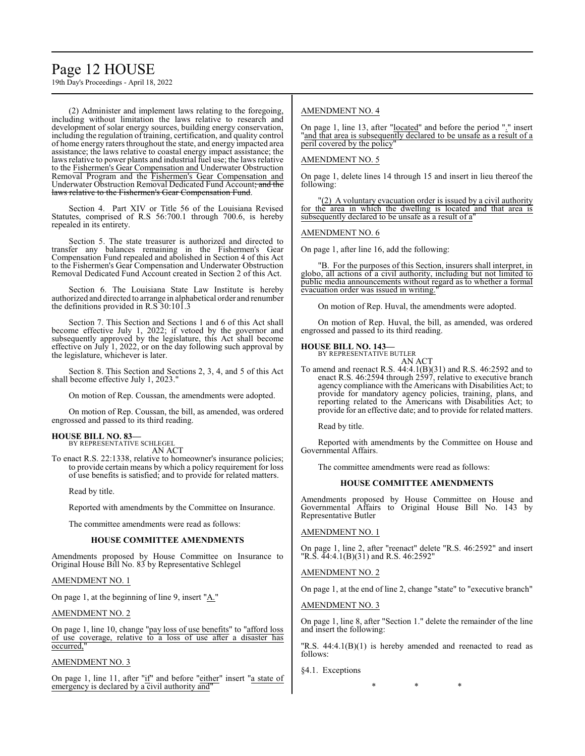## Page 12 HOUSE

19th Day's Proceedings - April 18, 2022

(2) Administer and implement laws relating to the foregoing, including without limitation the laws relative to research and development of solar energy sources, building energy conservation, including the regulation of training, certification, and quality control of home energy raters throughout the state, and energy impacted area assistance; the laws relative to coastal energy impact assistance; the laws relative to power plants and industrial fuel use; the laws relative to the Fishermen's Gear Compensation and Underwater Obstruction Removal Program and the Fishermen's Gear Compensation and Underwater Obstruction Removal Dedicated Fund Account; and the laws relative to the Fishermen's Gear Compensation Fund.

Section 4. Part XIV or Title 56 of the Louisiana Revised Statutes, comprised of R.S 56:700.1 through 700.6, is hereby repealed in its entirety.

Section 5. The state treasurer is authorized and directed to transfer any balances remaining in the Fishermen's Gear Compensation Fund repealed and abolished in Section 4 of this Act to the Fishermen's Gear Compensation and Underwater Obstruction Removal Dedicated Fund Account created in Section 2 of this Act.

Section 6. The Louisiana State Law Institute is hereby authorized and directed to arrange in alphabetical order and renumber the definitions provided in R.S 30:101.3

Section 7. This Section and Sections 1 and 6 of this Act shall become effective July 1, 2022; if vetoed by the governor and subsequently approved by the legislature, this Act shall become effective on July 1, 2022, or on the day following such approval by the legislature, whichever is later.

Section 8. This Section and Sections 2, 3, 4, and 5 of this Act shall become effective July 1, 2023."

On motion of Rep. Coussan, the amendments were adopted.

On motion of Rep. Coussan, the bill, as amended, was ordered engrossed and passed to its third reading.

#### **HOUSE BILL NO. 83—** BY REPRESENTATIVE SCHLEGEL

AN ACT

To enact R.S. 22:1338, relative to homeowner's insurance policies; to provide certain means by which a policy requirement for loss of use benefits is satisfied; and to provide for related matters.

Read by title.

Reported with amendments by the Committee on Insurance.

The committee amendments were read as follows:

## **HOUSE COMMITTEE AMENDMENTS**

Amendments proposed by House Committee on Insurance to Original House Bill No. 83 by Representative Schlegel

## AMENDMENT NO. 1

On page 1, at the beginning of line 9, insert "A."

## AMENDMENT NO. 2

On page 1, line 10, change "pay loss of use benefits" to "afford loss of use coverage, relative to a loss of use after a disaster has occurred,"

## AMENDMENT NO. 3

On page 1, line 11, after "if" and before "either" insert "a state of emergency is declared by a civil authority and"

## AMENDMENT NO. 4

On page 1, line 13, after "located" and before the period "." insert "and that area is subsequently declared to be unsafe as a result of a peril covered by the policy"

## AMENDMENT NO. 5

On page 1, delete lines 14 through 15 and insert in lieu thereof the following:

 $(2)$  A voluntary evacuation order is issued by a civil authority for the area in which the dwelling is located and that area is subsequently declared to be unsafe as a result of a"

## AMENDMENT NO. 6

On page 1, after line 16, add the following:

"B. For the purposes of this Section, insurers shall interpret, in globo, all actions of a civil authority, including but not limited to public media announcements without regard as to whether a formal evacuation order was issued in writing.

On motion of Rep. Huval, the amendments were adopted.

On motion of Rep. Huval, the bill, as amended, was ordered engrossed and passed to its third reading.

#### **HOUSE BILL NO. 143—**

BY REPRESENTATIVE BUTLER AN ACT

To amend and reenact R.S. 44:4.1(B)(31) and R.S. 46:2592 and to enact R.S. 46:2594 through 2597, relative to executive branch agency compliance with the Americans with Disabilities Act; to provide for mandatory agency policies, training, plans, and reporting related to the Americans with Disabilities Act; to provide for an effective date; and to provide for related matters.

Read by title.

Reported with amendments by the Committee on House and Governmental Affairs.

The committee amendments were read as follows:

## **HOUSE COMMITTEE AMENDMENTS**

Amendments proposed by House Committee on House and Governmental Affairs to Original House Bill No. 143 by Representative Butler

## AMENDMENT NO. 1

On page 1, line 2, after "reenact" delete "R.S. 46:2592" and insert "R.S. 44:4.1(B)(31) and R.S. 46:2592"

## AMENDMENT NO. 2

On page 1, at the end of line 2, change "state" to "executive branch"

## AMENDMENT NO. 3

On page 1, line 8, after "Section 1." delete the remainder of the line and insert the following:

"R.S. 44:4.1(B)(1) is hereby amended and reenacted to read as follows:

§4.1. Exceptions

\* \* \*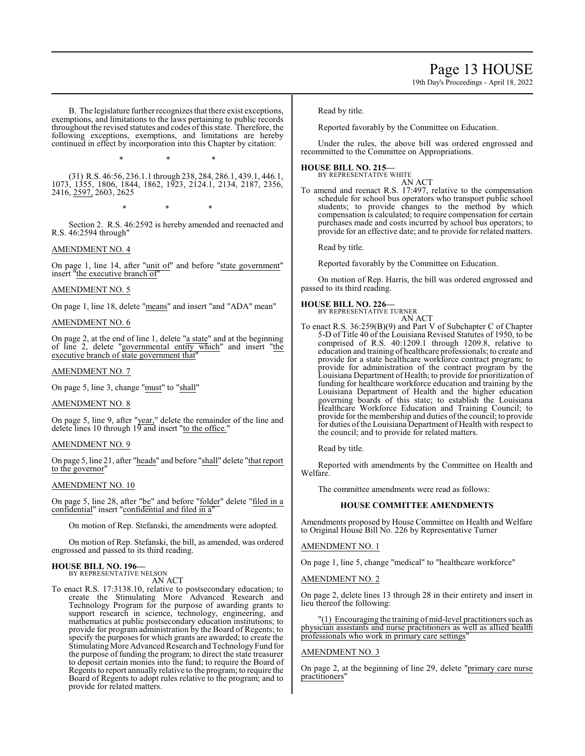19th Day's Proceedings - April 18, 2022

B. The legislature further recognizes that there exist exceptions, exemptions, and limitations to the laws pertaining to public records throughout the revised statutes and codes ofthis state. Therefore, the following exceptions, exemptions, and limitations are hereby continued in effect by incorporation into this Chapter by citation:

\* \* \*

(31) R.S. 46:56, 236.1.1 through 238, 284, 286.1, 439.1, 446.1, 1073, 1355, 1806, 1844, 1862, 1923, 2124.1, 2134, 2187, 2356, 2416, 2597, 2603, 2625

\* \* \*

Section 2. R.S. 46:2592 is hereby amended and reenacted and R.S. 46:2594 through"

## AMENDMENT NO. 4

On page 1, line 14, after "unit of" and before "state government" insert "the executive branch of"

## AMENDMENT NO. 5

On page 1, line 18, delete "means" and insert "and "ADA" mean"

## AMENDMENT NO. 6

On page 2, at the end of line 1, delete "a state" and at the beginning of line 2, delete "governmental entity which" and insert "the executive branch of state government that"

## AMENDMENT NO. 7

On page 5, line 3, change "must" to "shall"

## AMENDMENT NO. 8

On page 5, line 9, after "year," delete the remainder of the line and delete lines 10 through 19 and insert "to the office."

## AMENDMENT NO. 9

On page 5, line 21, after "heads" and before "shall" delete "that report to the governor"

## AMENDMENT NO. 10

On page 5, line 28, after "be" and before "folder" delete "filed in a confidential" insert "confidential and filed in a

On motion of Rep. Stefanski, the amendments were adopted.

On motion of Rep. Stefanski, the bill, as amended, was ordered engrossed and passed to its third reading.

## **HOUSE BILL NO. 196—** BY REPRESENTATIVE NELSON

AN ACT

To enact R.S. 17:3138.10, relative to postsecondary education; to create the Stimulating More Advanced Research and Technology Program for the purpose of awarding grants to support research in science, technology, engineering, and mathematics at public postsecondary education institutions; to provide for program administration by the Board of Regents; to specify the purposes for which grants are awarded; to create the Stimulating More Advanced Research and Technology Fund for the purpose of funding the program; to direct the state treasurer to deposit certain monies into the fund; to require the Board of Regents to report annually relative to the program; to require the Board of Regents to adopt rules relative to the program; and to provide for related matters.

Read by title.

Reported favorably by the Committee on Education.

Under the rules, the above bill was ordered engrossed and recommitted to the Committee on Appropriations.

## **HOUSE BILL NO. 215—** BY REPRESENTATIVE WHITE

AN ACT

To amend and reenact R.S. 17:497, relative to the compensation schedule for school bus operators who transport public school students; to provide changes to the method by which compensation is calculated; to require compensation for certain purchases made and costs incurred by school bus operators; to provide for an effective date; and to provide for related matters.

Read by title.

Reported favorably by the Committee on Education.

On motion of Rep. Harris, the bill was ordered engrossed and passed to its third reading.

## **HOUSE BILL NO. 226—**

BY REPRESENTATIVE TURNER AN ACT

To enact R.S. 36:259(B)(9) and Part V of Subchapter C of Chapter 5-D of Title 40 of the Louisiana Revised Statutes of 1950, to be comprised of R.S. 40:1209.1 through 1209.8, relative to education and training of healthcare professionals; to create and provide for a state healthcare workforce contract program; to provide for administration of the contract program by the Louisiana Department of Health; to provide for prioritization of funding for healthcare workforce education and training by the Louisiana Department of Health and the higher education governing boards of this state; to establish the Louisiana Healthcare Workforce Education and Training Council; to provide for the membership and duties ofthe council; to provide for duties of the Louisiana Department of Health with respect to the council; and to provide for related matters.

Read by title.

Reported with amendments by the Committee on Health and Welfare.

The committee amendments were read as follows:

## **HOUSE COMMITTEE AMENDMENTS**

Amendments proposed by House Committee on Health and Welfare to Original House Bill No. 226 by Representative Turner

## AMENDMENT NO. 1

On page 1, line 5, change "medical" to "healthcare workforce"

## AMENDMENT NO. 2

On page 2, delete lines 13 through 28 in their entirety and insert in lieu thereof the following:

"(1) Encouraging the training of mid-level practitioners such as physician assistants and nurse practitioners as well as allied health professionals who work in primary care settings"

## AMENDMENT NO. 3

On page 2, at the beginning of line 29, delete "primary care nurse practitioners"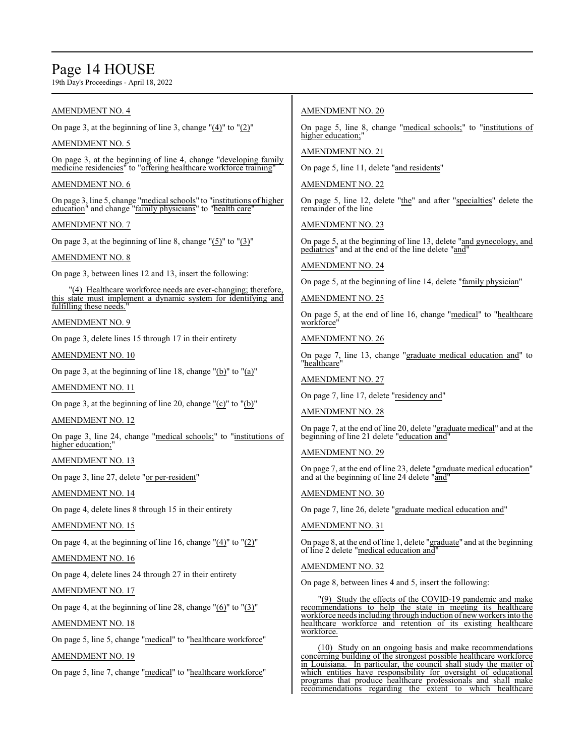## Page 14 HOUSE

19th Day's Proceedings - April 18, 2022

## AMENDMENT NO. 4

On page 3, at the beginning of line 3, change " $(4)$ " to " $(2)$ "

AMENDMENT NO. 5

On page 3, at the beginning of line 4, change "developing family medicine residencies" to "offering healthcare workforce training"

## AMENDMENT NO. 6

On page 3, line 5, change "medical schools" to "institutions of higher education" and change "family physicians" to "health care"

## AMENDMENT NO. 7

On page 3, at the beginning of line 8, change "(5)" to "(3)"

## AMENDMENT NO. 8

On page 3, between lines 12 and 13, insert the following:

"(4) Healthcare workforce needs are ever-changing; therefore, this state must implement a dynamic system for identifying and fulfilling these needs.

AMENDMENT NO. 9

On page 3, delete lines 15 through 17 in their entirety

AMENDMENT NO. 10

On page 3, at the beginning of line 18, change " $(b)$ " to " $(a)$ "

AMENDMENT NO. 11

On page 3, at the beginning of line 20, change "(c)" to "(b)"

## AMENDMENT NO. 12

On page 3, line 24, change "medical schools;" to "institutions of higher education;"

AMENDMENT NO. 13

On page 3, line 27, delete "or per-resident"

## AMENDMENT NO. 14

On page 4, delete lines 8 through 15 in their entirety

AMENDMENT NO. 15

On page 4, at the beginning of line 16, change  $"(4)"$  to  $"(2)"$ 

## AMENDMENT NO. 16

On page 4, delete lines 24 through 27 in their entirety

## AMENDMENT NO. 17

On page 4, at the beginning of line 28, change " $(6)$ " to " $(3)$ "

AMENDMENT NO. 18

On page 5, line 5, change "medical" to "healthcare workforce"

AMENDMENT NO. 19

On page 5, line 7, change "medical" to "healthcare workforce"

## AMENDMENT NO. 20

On page 5, line 8, change "medical schools;" to "institutions of higher education;

AMENDMENT NO. 21

On page 5, line 11, delete "and residents"

AMENDMENT NO. 22

On page 5, line 12, delete "the" and after "specialties" delete the remainder of the line

AMENDMENT NO. 23

On page 5, at the beginning of line 13, delete "and gynecology, and pediatrics" and at the end of the line delete "and"

AMENDMENT NO. 24

On page 5, at the beginning of line 14, delete "family physician"

AMENDMENT NO. 25

On page 5, at the end of line 16, change "medical" to "healthcare workforce"

AMENDMENT NO. 26

On page 7, line 13, change "graduate medical education and" to "healthcare"

AMENDMENT NO. 27

On page 7, line 17, delete "residency and"

AMENDMENT NO. 28

On page 7, at the end of line 20, delete "graduate medical" and at the beginning of line 21 delete "education and"

AMENDMENT NO. 29

On page 7, at the end of line 23, delete "graduate medical education" and at the beginning of line 24 delete "and"

AMENDMENT NO. 30

On page 7, line 26, delete "graduate medical education and"

AMENDMENT NO. 31

On page 8, at the end of line 1, delete "graduate" and at the beginning of line 2 delete "medical education and"

AMENDMENT NO. 32

On page 8, between lines 4 and 5, insert the following:

"(9) Study the effects of the COVID-19 pandemic and make recommendations to help the state in meeting its healthcare workforce needs including through induction of new workers into the healthcare workforce and retention of its existing healthcare workforce.

(10) Study on an ongoing basis and make recommendations concerning building of the strongest possible healthcare workforce in Louisiana. In particular, the council shall study the matter of which entities have responsibility for oversight of educational programs that produce healthcare professionals and shall make recommendations regarding the extent to which healthcare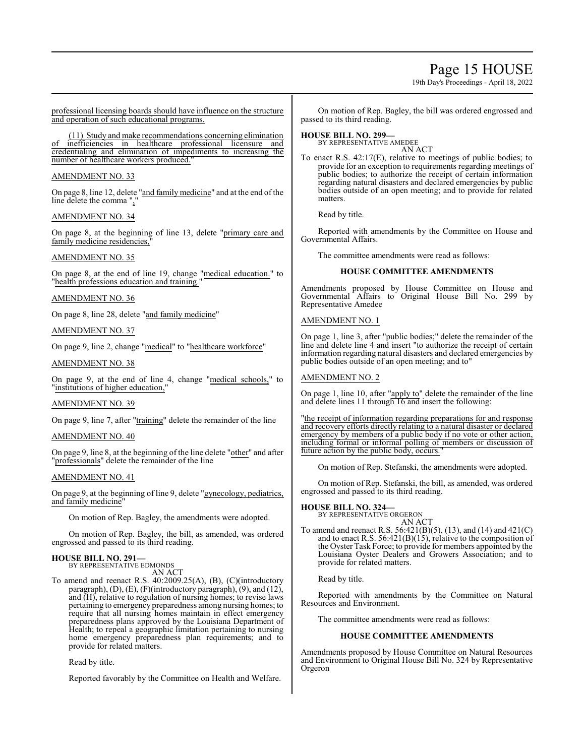## Page 15 HOUSE

19th Day's Proceedings - April 18, 2022

professional licensing boards should have influence on the structure and operation of such educational programs.

(11) Study and make recommendations concerning elimination of inefficiencies in healthcare professional licensure and credentialing and elimination of impediments to increasing the number of healthcare workers produced.

## AMENDMENT NO. 33

On page 8, line 12, delete "and family medicine" and at the end of the line delete the comma ","

## AMENDMENT NO. 34

On page 8, at the beginning of line 13, delete "primary care and family medicine residencies.

## AMENDMENT NO. 35

On page 8, at the end of line 19, change "medical education." to "health professions education and training."

AMENDMENT NO. 36

On page 8, line 28, delete "and family medicine"

## AMENDMENT NO. 37

On page 9, line 2, change "medical" to "healthcare workforce"

## AMENDMENT NO. 38

On page 9, at the end of line 4, change "medical schools," to "institutions of higher education,"

## AMENDMENT NO. 39

On page 9, line 7, after "training" delete the remainder of the line

## AMENDMENT NO. 40

On page 9, line 8, at the beginning of the line delete "other" and after "professionals" delete the remainder of the line

## AMENDMENT NO. 41

On page 9, at the beginning of line 9, delete "gynecology, pediatrics, and family medicine"

On motion of Rep. Bagley, the amendments were adopted.

On motion of Rep. Bagley, the bill, as amended, was ordered engrossed and passed to its third reading.

## **HOUSE BILL NO. 291—** BY REPRESENTATIVE EDMONDS

AN ACT

To amend and reenact R.S. 40:2009.25(A), (B), (C)(introductory paragraph), (D), (E), (F)(introductory paragraph), (9), and (12), and (H), relative to regulation of nursing homes; to revise laws pertaining to emergency preparedness among nursing homes; to require that all nursing homes maintain in effect emergency preparedness plans approved by the Louisiana Department of Health; to repeal a geographic limitation pertaining to nursing home emergency preparedness plan requirements; and to provide for related matters.

Read by title.

Reported favorably by the Committee on Health and Welfare.

On motion of Rep. Bagley, the bill was ordered engrossed and passed to its third reading.

## **HOUSE BILL NO. 299—**

BY REPRESENTATIVE AMEDEE AN ACT

To enact R.S. 42:17(E), relative to meetings of public bodies; to provide for an exception to requirements regarding meetings of public bodies; to authorize the receipt of certain information regarding natural disasters and declared emergencies by public bodies outside of an open meeting; and to provide for related matters.

Read by title.

Reported with amendments by the Committee on House and Governmental Affairs.

The committee amendments were read as follows:

## **HOUSE COMMITTEE AMENDMENTS**

Amendments proposed by House Committee on House and Governmental Affairs to Original House Bill No. 299 by Representative Amedee

## AMENDMENT NO. 1

On page 1, line 3, after "public bodies;" delete the remainder of the line and delete line 4 and insert "to authorize the receipt of certain information regarding natural disasters and declared emergencies by public bodies outside of an open meeting; and to"

## AMENDMENT NO. 2

On page 1, line 10, after "apply to" delete the remainder of the line and delete lines 11 through 16 and insert the following:

"the receipt of information regarding preparations for and response and recovery efforts directly relating to a natural disaster or declared emergency by members of a public body if no vote or other action, including formal or informal polling of members or discussion of future action by the public body, occurs."

On motion of Rep. Stefanski, the amendments were adopted.

On motion of Rep. Stefanski, the bill, as amended, was ordered engrossed and passed to its third reading.

**HOUSE BILL NO. 324—** BY REPRESENTATIVE ORGERON AN ACT

To amend and reenact R.S. 56:421(B)(5), (13), and (14) and 421(C) and to enact R.S. 56:421(B)(15), relative to the composition of the Oyster Task Force; to provide for members appointed by the Louisiana Oyster Dealers and Growers Association; and to provide for related matters.

Read by title.

Reported with amendments by the Committee on Natural Resources and Environment.

The committee amendments were read as follows:

## **HOUSE COMMITTEE AMENDMENTS**

Amendments proposed by House Committee on Natural Resources and Environment to Original House Bill No. 324 by Representative Orgeron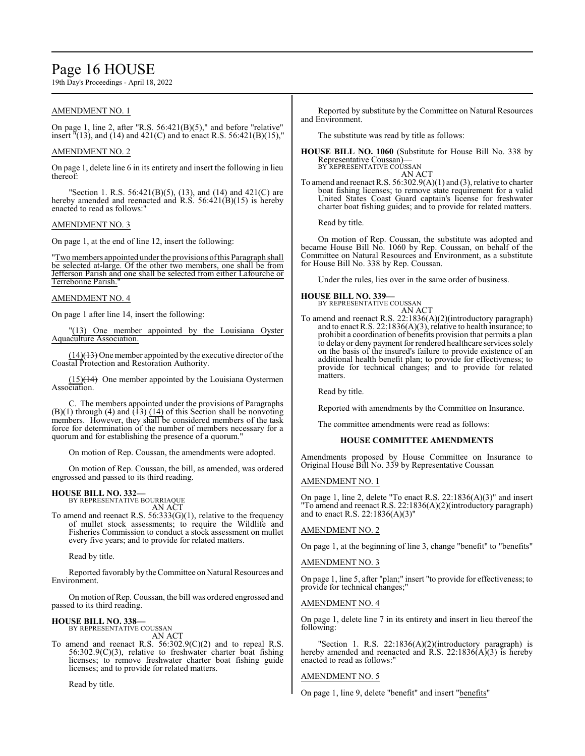## Page 16 HOUSE

19th Day's Proceedings - April 18, 2022

## AMENDMENT NO. 1

On page 1, line 2, after "R.S. 56:421(B)(5)," and before "relative" insert "(13), and (14) and 421(C) and to enact R.S. 56:421(B)(15),"

## AMENDMENT NO. 2

On page 1, delete line 6 in its entirety and insert the following in lieu thereof:

"Section 1. R.S. 56:421(B)(5), (13), and (14) and 421(C) are hereby amended and reenacted and R.S. 56:421(B)(15) is hereby enacted to read as follows:"

## AMENDMENT NO. 3

On page 1, at the end of line 12, insert the following:

"Two members appointed under the provisions of this Paragraph shall be selected at-large. Of the other two members, one shall be from Jefferson Parish and one shall be selected from either Lafourche or Terrebonne Parish."

## AMENDMENT NO. 4

On page 1 after line 14, insert the following:

"(13) One member appointed by the Louisiana Oyster Aquaculture Association.

 $(14)$ (13) One member appointed by the executive director of the Coastal Protection and Restoration Authority.

 $(15)$ (14) One member appointed by the Louisiana Oystermen Association.

C. The members appointed under the provisions of Paragraphs  $(B)(1)$  through (4) and  $\overline{(13)}$   $(14)$  of this Section shall be nonvoting members. However, they shall be considered members of the task force for determination of the number of members necessary for a quorum and for establishing the presence of a quorum."

On motion of Rep. Coussan, the amendments were adopted.

On motion of Rep. Coussan, the bill, as amended, was ordered engrossed and passed to its third reading.

## **HOUSE BILL NO. 332—**

BY REPRESENTATIVE BOURRIAQUE AN ACT

To amend and reenact R.S. 56:333(G)(1), relative to the frequency of mullet stock assessments; to require the Wildlife and Fisheries Commission to conduct a stock assessment on mullet every five years; and to provide for related matters.

Read by title.

Reported favorably by theCommittee on Natural Resources and Environment.

On motion of Rep. Coussan, the bill was ordered engrossed and passed to its third reading.

## **HOUSE BILL NO. 338—**

BY REPRESENTATIVE COUSSAN AN ACT

To amend and reenact R.S. 56:302.9(C)(2) and to repeal R.S. 56:302.9(C)(3), relative to freshwater charter boat fishing licenses; to remove freshwater charter boat fishing guide licenses; and to provide for related matters.

Read by title.

Reported by substitute by the Committee on Natural Resources and Environment.

The substitute was read by title as follows:

**HOUSE BILL NO. 1060** (Substitute for House Bill No. 338 by Representative Coussan)— BY REPRESENTATIVE COUSSAN

AN ACT

To amend and reenact R.S. 56:302.9(A)(1) and (3), relative to charter boat fishing licenses; to remove state requirement for a valid United States Coast Guard captain's license for freshwater charter boat fishing guides; and to provide for related matters.

Read by title.

On motion of Rep. Coussan, the substitute was adopted and became House Bill No. 1060 by Rep. Coussan, on behalf of the Committee on Natural Resources and Environment, as a substitute for House Bill No. 338 by Rep. Coussan.

Under the rules, lies over in the same order of business.

## **HOUSE BILL NO. 339—** BY REPRESENTATIVE COUSSAN

AN ACT To amend and reenact R.S. 22:1836(A)(2)(introductory paragraph) and to enact R.S. 22:1836(A)(3), relative to health insurance; to prohibit a coordination of benefits provision that permits a plan to delay or deny payment for rendered healthcare services solely on the basis of the insured's failure to provide existence of an additional health benefit plan; to provide for effectiveness; to provide for technical changes; and to provide for related matters.

Read by title.

Reported with amendments by the Committee on Insurance.

The committee amendments were read as follows:

## **HOUSE COMMITTEE AMENDMENTS**

Amendments proposed by House Committee on Insurance to Original House Bill No. 339 by Representative Coussan

## AMENDMENT NO. 1

On page 1, line 2, delete "To enact R.S. 22:1836(A)(3)" and insert "To amend and reenact R.S. 22:1836(A)(2)(introductory paragraph) and to enact R.S. 22:1836(A)(3)"

## AMENDMENT NO. 2

On page 1, at the beginning of line 3, change "benefit" to "benefits"

## AMENDMENT NO. 3

On page 1, line 5, after "plan;" insert "to provide for effectiveness; to provide for technical changes;"

## AMENDMENT NO. 4

On page 1, delete line 7 in its entirety and insert in lieu thereof the following:

"Section 1. R.S. 22:1836(A)(2)(introductory paragraph) is hereby amended and reenacted and  $\overline{R}$ .S. 22:1836(A)(3) is hereby enacted to read as follows:"

## AMENDMENT NO. 5

On page 1, line 9, delete "benefit" and insert "benefits"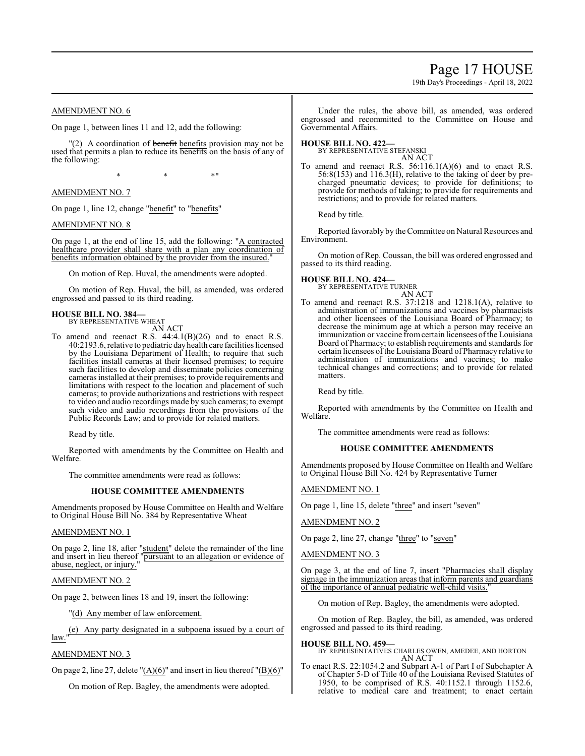## Page 17 HOUSE

19th Day's Proceedings - April 18, 2022

## AMENDMENT NO. 6

On page 1, between lines 11 and 12, add the following:

 $\Gamma(2)$  A coordination of benefit benefits provision may not be used that permits a plan to reduce its benefits on the basis of any of the following:

 $*$  \*  $*$  \*

AMENDMENT NO. 7

On page 1, line 12, change "benefit" to "benefits"

## AMENDMENT NO. 8

On page 1, at the end of line 15, add the following: "A contracted healthcare provider shall share with a plan any coordination of benefits information obtained by the provider from the insured."

On motion of Rep. Huval, the amendments were adopted.

On motion of Rep. Huval, the bill, as amended, was ordered engrossed and passed to its third reading.

## **HOUSE BILL NO. 384—** BY REPRESENTATIVE WHEAT

AN ACT

To amend and reenact R.S.  $44:4.1(B)(26)$  and to enact R.S. 40:2193.6, relative to pediatric day health care facilities licensed by the Louisiana Department of Health; to require that such facilities install cameras at their licensed premises; to require such facilities to develop and disseminate policies concerning cameras installed at their premises; to provide requirements and limitations with respect to the location and placement of such cameras; to provide authorizations and restrictions with respect to video and audio recordings made by such cameras; to exempt such video and audio recordings from the provisions of the Public Records Law; and to provide for related matters.

Read by title.

Reported with amendments by the Committee on Health and Welfare.

The committee amendments were read as follows:

## **HOUSE COMMITTEE AMENDMENTS**

Amendments proposed by House Committee on Health and Welfare to Original House Bill No. 384 by Representative Wheat

## AMENDMENT NO. 1

On page 2, line 18, after "student" delete the remainder of the line and insert in lieu thereof "pursuant to an allegation or evidence of abuse, neglect, or injury.

## AMENDMENT NO. 2

On page 2, between lines 18 and 19, insert the following:

"(d) Any member of law enforcement.

(e) Any party designated in a subpoena issued by a court of

## law."

AMENDMENT NO. 3

On page 2, line 27, delete " $(A)(6)$ " and insert in lieu thereof " $(B)(6)$ "

On motion of Rep. Bagley, the amendments were adopted.

Under the rules, the above bill, as amended, was ordered engrossed and recommitted to the Committee on House and Governmental Affairs.

## **HOUSE BILL NO. 422—**

BY REPRESENTATIVE STEFANSKI AN ACT

To amend and reenact R.S. 56:116.1(A)(6) and to enact R.S. 56:8(153) and 116.3(H), relative to the taking of deer by precharged pneumatic devices; to provide for definitions; to provide for methods of taking; to provide for requirements and restrictions; and to provide for related matters.

Read by title.

Reported favorably by the Committee on Natural Resources and Environment.

On motion of Rep. Coussan, the bill was ordered engrossed and passed to its third reading.

## **HOUSE BILL NO. 424—**

BY REPRESENTATIVE TURNER AN ACT

To amend and reenact R.S. 37:1218 and 1218.1(A), relative to administration of immunizations and vaccines by pharmacists and other licensees of the Louisiana Board of Pharmacy; to decrease the minimum age at which a person may receive an immunization or vaccine from certain licensees of the Louisiana Board of Pharmacy; to establish requirements and standards for certain licensees of the Louisiana Board of Pharmacy relative to administration of immunizations and vaccines; to make technical changes and corrections; and to provide for related matters.

Read by title.

Reported with amendments by the Committee on Health and Welfare.

The committee amendments were read as follows:

## **HOUSE COMMITTEE AMENDMENTS**

Amendments proposed by House Committee on Health and Welfare to Original House Bill No. 424 by Representative Turner

AMENDMENT NO. 1

On page 1, line 15, delete "three" and insert "seven"

AMENDMENT NO. 2

On page 2, line 27, change "three" to "seven"

AMENDMENT NO. 3

On page 3, at the end of line 7, insert "Pharmacies shall display signage in the immunization areas that inform parents and guardians of the importance of annual pediatric well-child visits."

On motion of Rep. Bagley, the amendments were adopted.

On motion of Rep. Bagley, the bill, as amended, was ordered engrossed and passed to its third reading.

**HOUSE BILL NO. 459—** BY REPRESENTATIVES CHARLES OWEN, AMEDEE, AND HORTON

AN ACT To enact R.S. 22:1054.2 and Subpart A-1 of Part I of Subchapter A of Chapter 5-D of Title 40 of the Louisiana Revised Statutes of 1950, to be comprised of R.S. 40:1152.1 through 1152.6, relative to medical care and treatment; to enact certain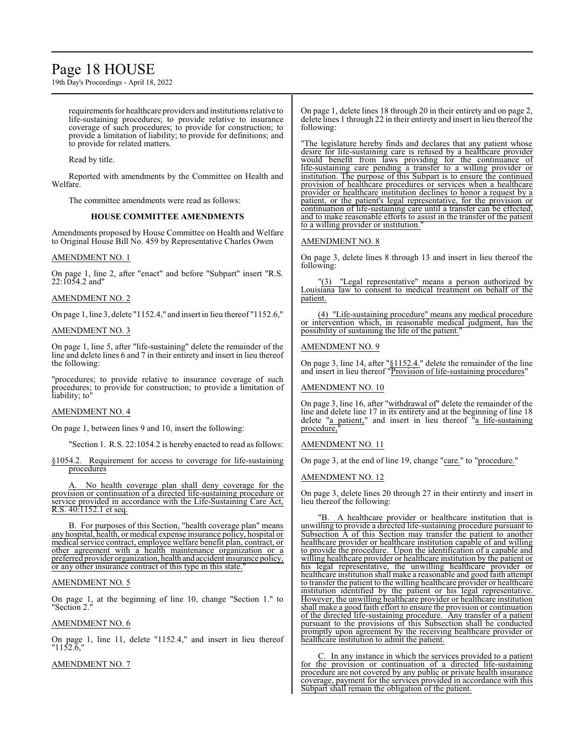## Page 18 HOUSE

19th Day's Proceedings - April 18, 2022

requirements for healthcare providers and institutions relative to life-sustaining procedures; to provide relative to insurance coverage of such procedures; to provide for construction; to provide a limitation of liability; to provide for definitions; and to provide for related matters.

Read by title.

Reported with amendments by the Committee on Health and Welfare.

The committee amendments were read as follows:

## **HOUSE COMMITTEE AMENDMENTS**

Amendments proposed by House Committee on Health and Welfare to Original House Bill No. 459 by Representative Charles Owen

## AMENDMENT NO. 1

On page 1, line 2, after "enact" and before "Subpart" insert "R.S.  $22:1054.2$  and"

## AMENDMENT NO. 2

On page 1, line 3, delete "1152.4," and insert in lieu thereof "1152.6,"

## AMENDMENT NO. 3

On page 1, line 5, after "life-sustaining" delete the remainder of the line and delete lines 6 and 7 in their entirety and insert in lieu thereof the following:

"procedures; to provide relative to insurance coverage of such procedures; to provide for construction; to provide a limitation of liability; to"

#### AMENDMENT NO. 4

On page 1, between lines 9 and 10, insert the following:

"Section 1. R.S. 22:1054.2 is hereby enacted to read as follows:

§1054.2. Requirement for access to coverage for life-sustaining procedures

No health coverage plan shall deny coverage for the provision or continuation of a directed life-sustaining procedure or service provided in accordance with the Life-Sustaining Care Act, R.S. 40:1152.1 et seq.

B. For purposes of this Section, "health coverage plan" means any hospital, health, or medical expense insurance policy, hospital or medical service contract, employee welfare benefit plan, contract, or other agreement with a health maintenance organization or a preferred provider organization, health and accident insurance policy, or any other insurance contract of this type in this state."

## AMENDMENT NO. 5

On page 1, at the beginning of line 10, change "Section 1." to "Section 2."

## AMENDMENT NO. 6

On page 1, line 11, delete "1152.4," and insert in lieu thereof "1152.6,"

AMENDMENT NO. 7

On page 1, delete lines 18 through 20 in their entirety and on page 2, delete lines 1 through 22 in their entirety and insert in lieu thereofthe following:

"The legislature hereby finds and declares that any patient whose desire for life-sustaining care is refused by a healthcare provider would benefit from laws providing for the continuance of life-sustaining care pending a transfer to a willing provider or institution. The purpose of this Subpart is to ensure the continued provision of healthcare procedures or services when a healthcare provider or healthcare institution declines to honor a request by a patient, or the patient's legal representative, for the provision or continuation of life-sustaining care until a transfer can be effected, and to make reasonable efforts to assist in the transfer of the patient to a willing provider or institution.

## AMENDMENT NO. 8

On page 3, delete lines 8 through 13 and insert in lieu thereof the following:

"(3) "Legal representative" means a person authorized by Louisiana law to consent to medical treatment on behalf of the patient.

(4) "Life-sustaining procedure" means any medical procedure or intervention which, in reasonable medical judgment, has the possibility of sustaining the life of the patient."

## AMENDMENT NO. 9

On page 3, line 14, after " $§1152.4$ ." delete the remainder of the line and insert in lieu thereof "Provision of life-sustaining procedures"

## AMENDMENT NO. 10

On page 3, line 16, after "withdrawal of" delete the remainder of the line and delete line 17 in its entirety and at the beginning of line 18 delete "a patient," and insert in lieu thereof  $\frac{1}{a}$  life-sustaining procedure,

## AMENDMENT NO. 11

On page 3, at the end of line 19, change "care." to "procedure."

## AMENDMENT NO. 12

On page 3, delete lines 20 through 27 in their entirety and insert in lieu thereof the following:

A healthcare provider or healthcare institution that is unwilling to provide a directed life-sustaining procedure pursuant to Subsection A of this Section may transfer the patient to another healthcare provider or healthcare institution capable of and willing to provide the procedure. Upon the identification of a capable and willing healthcare provider or healthcare institution by the patient or his legal representative, the unwilling healthcare provider or healthcare institution shall make a reasonable and good faith attempt to transfer the patient to the willing healthcare provider or healthcare institution identified by the patient or his legal representative. However, the unwilling healthcare provider or healthcare institution shall make a good faith effort to ensure the provision or continuation of the directed life-sustaining procedure. Any transfer of a patient pursuant to the provisions of this Subsection shall be conducted promptly upon agreement by the receiving healthcare provider or healthcare institution to admit the patient.

C. In any instance in which the services provided to a patient for the provision or continuation of a directed life-sustaining procedure are not covered by any public or private health insurance coverage, payment for the services provided in accordance with this Subpart shall remain the obligation of the patient.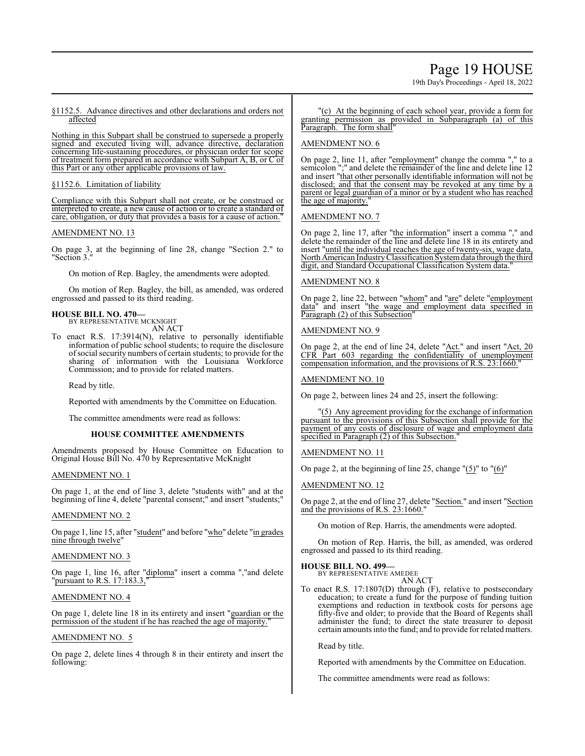## Page 19 HOUSE

19th Day's Proceedings - April 18, 2022

## §1152.5. Advance directives and other declarations and orders not affected

Nothing in this Subpart shall be construed to supersede a properly signed and executed living will, advance directive, declaration concerning life-sustaining procedures, or physician order for scope of treatment form prepared in accordance with Subpart A, B, or C of this Part or any other applicable provisions of law.

## §1152.6. Limitation of liability

Compliance with this Subpart shall not create, or be construed or interpreted to create, a new cause of action or to create a standard of care, obligation, or duty that provides a basis for a cause of action."

## AMENDMENT NO. 13

On page 3, at the beginning of line 28, change "Section 2." to "Section 3."

On motion of Rep. Bagley, the amendments were adopted.

On motion of Rep. Bagley, the bill, as amended, was ordered engrossed and passed to its third reading.

#### **HOUSE BILL NO. 470—** BY REPRESENTATIVE MCKNIGHT

AN ACT

To enact R.S. 17:3914(N), relative to personally identifiable information of public school students; to require the disclosure ofsocial security numbers of certain students; to provide for the sharing of information with the Louisiana Workforce Commission; and to provide for related matters.

Read by title.

Reported with amendments by the Committee on Education.

The committee amendments were read as follows:

## **HOUSE COMMITTEE AMENDMENTS**

Amendments proposed by House Committee on Education to Original House Bill No. 470 by Representative McKnight

## AMENDMENT NO. 1

On page 1, at the end of line 3, delete "students with" and at the beginning of line 4, delete "parental consent;" and insert "students;"

## AMENDMENT NO. 2

On page 1, line 15, after "student" and before "who" delete "in grades nine through twelve"

## AMENDMENT NO. 3

On page 1, line 16, after "diploma" insert a comma ","and delete "pursuant to R.S. 17:183.3,"

## AMENDMENT NO. 4

On page 1, delete line 18 in its entirety and insert "guardian or the permission of the student if he has reached the age of majority."

## AMENDMENT NO. 5

On page 2, delete lines 4 through 8 in their entirety and insert the following:

#### "(c) At the beginning of each school year, provide a form for granting permission as provided in Subparagraph (a) of this Paragraph. The form shall"

## AMENDMENT NO. 6

On page 2, line 11, after "employment" change the comma "," to a semicolon ";" and delete the remainder of the line and delete line 12 and insert "that other personally identifiable information will not be disclosed; and that the consent may be revoked at any time by a parent or legal guardian of a minor or by a student who has reached the age of majority."

## AMENDMENT NO. 7

On page 2, line 17, after "the information" insert a comma "," and delete the remainder of the line and delete line 18 in its entirety and insert "until the individual reaches the age of twenty-six, wage data, NorthAmerican IndustryClassification Systemdata through the third digit, and Standard Occupational Classification System data."

## AMENDMENT NO. 8

On page 2, line 22, between "whom" and "are" delete "employment data" and insert "the wage and employment data specified in Paragraph (2) of this Subsection'

## AMENDMENT NO. 9

On page 2, at the end of line 24, delete "Act." and insert "Act, 20 CFR Part 603 regarding the confidentiality of unemployment compensation information, and the provisions of R.S. 23:1660.

## AMENDMENT NO. 10

On page 2, between lines 24 and 25, insert the following:

"(5) Any agreement providing for the exchange of information pursuant to the provisions of this Subsection shall provide for the payment of any costs of disclosure of wage and employment data specified in Paragraph (2) of this Subsection.

## AMENDMENT NO. 11

On page 2, at the beginning of line 25, change  $\Gamma(5)$ " to  $\Gamma(6)$ "

## AMENDMENT NO. 12

On page 2, at the end of line 27, delete "Section." and insert "Section and the provisions of R.S. 23:1660."

On motion of Rep. Harris, the amendments were adopted.

On motion of Rep. Harris, the bill, as amended, was ordered engrossed and passed to its third reading.

#### **HOUSE BILL NO. 499—**

BY REPRESENTATIVE AMEDEE AN ACT

To enact R.S. 17:1807(D) through (F), relative to postsecondary education; to create a fund for the purpose of funding tuition exemptions and reduction in textbook costs for persons age fifty-five and older; to provide that the Board of Regents shall administer the fund; to direct the state treasurer to deposit certain amounts into the fund; and to provide for related matters.

Read by title.

Reported with amendments by the Committee on Education.

The committee amendments were read as follows: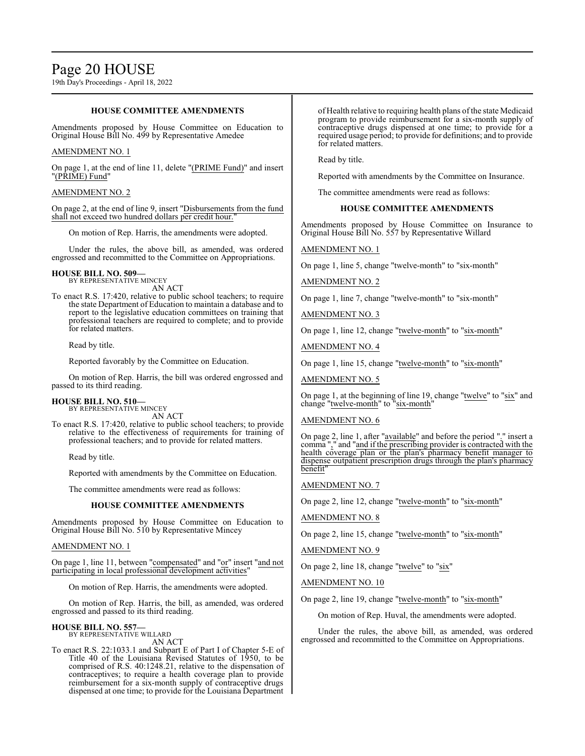## **HOUSE COMMITTEE AMENDMENTS**

Amendments proposed by House Committee on Education to Original House Bill No. 499 by Representative Amedee

## AMENDMENT NO. 1

On page 1, at the end of line 11, delete "(PRIME Fund)" and insert "(PRIME) Fund"

## AMENDMENT NO. 2

On page 2, at the end of line 9, insert "Disbursements from the fund shall not exceed two hundred dollars per credit hour."

On motion of Rep. Harris, the amendments were adopted.

Under the rules, the above bill, as amended, was ordered engrossed and recommitted to the Committee on Appropriations.

## **HOUSE BILL NO. 509—** BY REPRESENTATIVE MINCEY

AN ACT

To enact R.S. 17:420, relative to public school teachers; to require the state Department of Education to maintain a database and to report to the legislative education committees on training that professional teachers are required to complete; and to provide for related matters.

Read by title.

Reported favorably by the Committee on Education.

On motion of Rep. Harris, the bill was ordered engrossed and passed to its third reading.

#### **HOUSE BILL NO. 510—** BY REPRESENTATIVE MINCEY

AN ACT

To enact R.S. 17:420, relative to public school teachers; to provide relative to the effectiveness of requirements for training of professional teachers; and to provide for related matters.

Read by title.

Reported with amendments by the Committee on Education.

The committee amendments were read as follows:

## **HOUSE COMMITTEE AMENDMENTS**

Amendments proposed by House Committee on Education to Original House Bill No. 510 by Representative Mincey

## AMENDMENT NO. 1

On page 1, line 11, between "compensated" and "or" insert "and not participating in local professional development activities"

On motion of Rep. Harris, the amendments were adopted.

On motion of Rep. Harris, the bill, as amended, was ordered engrossed and passed to its third reading.

## **HOUSE BILL NO. 557—**

BY REPRESENTATIVE WILLARD AN ACT

To enact R.S. 22:1033.1 and Subpart E of Part I of Chapter 5-E of Title 40 of the Louisiana Revised Statutes of 1950, to be comprised of R.S. 40:1248.21, relative to the dispensation of contraceptives; to require a health coverage plan to provide reimbursement for a six-month supply of contraceptive drugs dispensed at one time; to provide for the Louisiana Department of Health relative to requiring health plans of the state Medicaid program to provide reimbursement for a six-month supply of contraceptive drugs dispensed at one time; to provide for a required usage period; to provide for definitions; and to provide for related matters.

Read by title.

Reported with amendments by the Committee on Insurance.

The committee amendments were read as follows:

## **HOUSE COMMITTEE AMENDMENTS**

Amendments proposed by House Committee on Insurance to Original House Bill No. 557 by Representative Willard

## AMENDMENT NO. 1

On page 1, line 5, change "twelve-month" to "six-month"

## AMENDMENT NO. 2

On page 1, line 7, change "twelve-month" to "six-month"

AMENDMENT NO. 3

On page 1, line 12, change "twelve-month" to "six-month"

AMENDMENT NO. 4

On page 1, line 15, change "twelve-month" to "six-month"

AMENDMENT NO. 5

On page 1, at the beginning of line 19, change "twelve" to "six" and change "twelve-month" to "six-month"

## AMENDMENT NO. 6

On page 2, line 1, after "available" and before the period "." insert a comma "," and "and if the prescribing provider is contracted with the health coverage plan or the plan's pharmacy benefit manager to dispense outpatient prescription drugs through the plan's pharmacy benefit

AMENDMENT NO. 7

On page 2, line 12, change "twelve-month" to "six-month"

AMENDMENT NO. 8

On page 2, line 15, change "twelve-month" to "six-month"

AMENDMENT NO. 9

On page 2, line 18, change "twelve" to "six"

AMENDMENT NO. 10

On page 2, line 19, change "twelve-month" to "six-month"

On motion of Rep. Huval, the amendments were adopted.

Under the rules, the above bill, as amended, was ordered engrossed and recommitted to the Committee on Appropriations.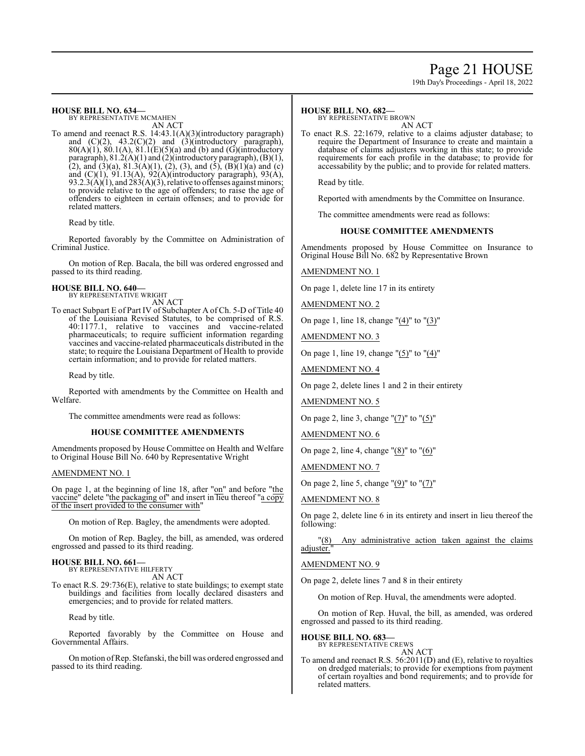## Page 21 HOUSE

19th Day's Proceedings - April 18, 2022

## **HOUSE BILL NO. 634—**

BY REPRESENTATIVE MCMAHEN AN ACT

To amend and reenact R.S. 14:43.1(A)(3)(introductory paragraph) and  $(C)(2)$ ,  $43.2(C)(2)$  and  $(3)(introductory)$  paragraph),  $80(A)(1)$ ,  $80.1(A)$ ,  $81.1(E)(5)(a)$  and (b) and (G)(introductory paragraph), 81.2(A)(1) and (2)(introductory paragraph), (B)(1), (2), and (3)(a), 81.3(A)(1), (2), (3), and (5), (B)(1)(a) and (c) and (C)(1), 91.13(A), 92(A)(introductory paragraph), 93(A), 93.2.3(A)(1), and  $283(A)(3)$ , relative to offenses against minors; to provide relative to the age of offenders; to raise the age of offenders to eighteen in certain offenses; and to provide for related matters.

Read by title.

Reported favorably by the Committee on Administration of Criminal Justice.

On motion of Rep. Bacala, the bill was ordered engrossed and passed to its third reading.

# **HOUSE BILL NO. 640—** BY REPRESENTATIVE WRIGHT

AN ACT

To enact Subpart E of Part IV of Subchapter A of Ch. 5-D of Title 40 of the Louisiana Revised Statutes, to be comprised of R.S. 40:1177.1, relative to vaccines and vaccine-related pharmaceuticals; to require sufficient information regarding vaccines and vaccine-related pharmaceuticals distributed in the state; to require the Louisiana Department of Health to provide certain information; and to provide for related matters.

Read by title.

Reported with amendments by the Committee on Health and Welfare.

The committee amendments were read as follows:

## **HOUSE COMMITTEE AMENDMENTS**

Amendments proposed by House Committee on Health and Welfare to Original House Bill No. 640 by Representative Wright

## AMENDMENT NO. 1

On page 1, at the beginning of line 18, after "on" and before "the vaccine" delete "the packaging of" and insert in lieu thereof "a copy of the insert provided to the consumer with"

On motion of Rep. Bagley, the amendments were adopted.

On motion of Rep. Bagley, the bill, as amended, was ordered engrossed and passed to its third reading.

## **HOUSE BILL NO. 661—** BY REPRESENTATIVE HILFERTY

AN ACT

To enact R.S. 29:736(E), relative to state buildings; to exempt state buildings and facilities from locally declared disasters and emergencies; and to provide for related matters.

Read by title.

Reported favorably by the Committee on House and Governmental Affairs.

On motion ofRep. Stefanski, the bill was ordered engrossed and passed to its third reading.

## **HOUSE BILL NO. 682—**

BY REPRESENTATIVE BROWN AN ACT

To enact R.S. 22:1679, relative to a claims adjuster database; to require the Department of Insurance to create and maintain a database of claims adjusters working in this state; to provide requirements for each profile in the database; to provide for accessability by the public; and to provide for related matters.

Read by title.

Reported with amendments by the Committee on Insurance.

The committee amendments were read as follows:

## **HOUSE COMMITTEE AMENDMENTS**

Amendments proposed by House Committee on Insurance to Original House Bill No. 682 by Representative Brown

AMENDMENT NO. 1

On page 1, delete line 17 in its entirety

AMENDMENT NO. 2

On page 1, line 18, change " $(4)$ " to " $(3)$ "

AMENDMENT NO. 3

On page 1, line 19, change " $(5)$ " to " $(4)$ "

AMENDMENT NO. 4

On page 2, delete lines 1 and 2 in their entirety

AMENDMENT NO. 5

On page 2, line 3, change "(7)" to "(5)"

AMENDMENT NO. 6

On page 2, line 4, change "(8)" to "(6)"

AMENDMENT NO. 7

On page 2, line 5, change "(9)" to "(7)"

## AMENDMENT NO. 8

On page 2, delete line 6 in its entirety and insert in lieu thereof the following:

"(8) Any administrative action taken against the claims adjuster."

## AMENDMENT NO. 9

On page 2, delete lines 7 and 8 in their entirety

On motion of Rep. Huval, the amendments were adopted.

On motion of Rep. Huval, the bill, as amended, was ordered engrossed and passed to its third reading.

## **HOUSE BILL NO. 683—**

BY REPRESENTATIVE CREWS AN ACT

To amend and reenact R.S. 56:2011(D) and (E), relative to royalties on dredged materials; to provide for exemptions from payment of certain royalties and bond requirements; and to provide for related matters.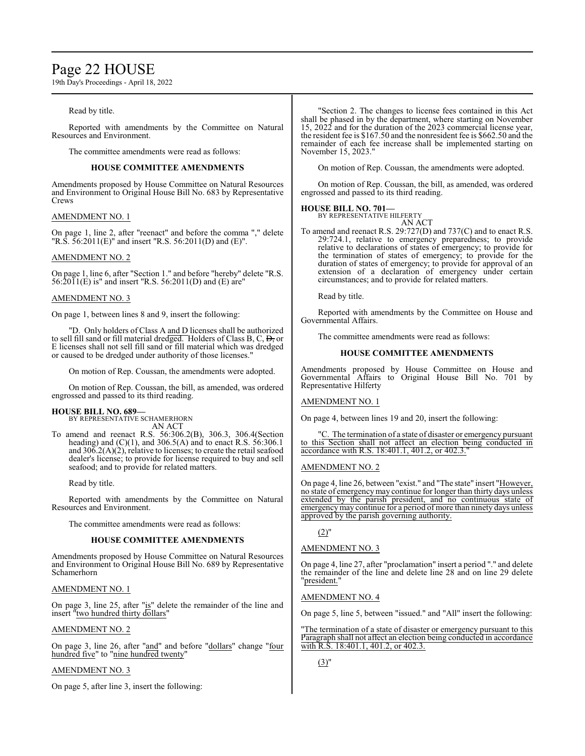## Page 22 HOUSE

19th Day's Proceedings - April 18, 2022

## Read by title.

Reported with amendments by the Committee on Natural Resources and Environment.

The committee amendments were read as follows:

## **HOUSE COMMITTEE AMENDMENTS**

Amendments proposed by House Committee on Natural Resources and Environment to Original House Bill No. 683 by Representative Crews

## AMENDMENT NO. 1

On page 1, line 2, after "reenact" and before the comma "," delete "R.S. 56:2011(E)" and insert "R.S. 56:2011(D) and (E)".

## AMENDMENT NO. 2

On page 1, line 6, after "Section 1." and before "hereby" delete "R.S.  $56:2011(E)$  is" and insert "R.S.  $56:2011(D)$  and (E) are"

## AMENDMENT NO. 3

On page 1, between lines 8 and 9, insert the following:

"D. Only holders of Class A and D licenses shall be authorized to sell fill sand or fill material dredged. Holders of Class B, C,  $\overline{D}$ , or E licenses shall not sell fill sand or fill material which was dredged or caused to be dredged under authority of those licenses."

On motion of Rep. Coussan, the amendments were adopted.

On motion of Rep. Coussan, the bill, as amended, was ordered engrossed and passed to its third reading.

**HOUSE BILL NO. 689—** BY REPRESENTATIVE SCHAMERHORN AN ACT

To amend and reenact R.S. 56:306.2(B), 306.3, 306.4(Section heading) and (C)(1), and 306.5(A) and to enact R.S. 56:306.1 and  $306.2(A)(2)$ , relative to licenses; to create the retail seafood dealer's license; to provide for license required to buy and sell seafood; and to provide for related matters.

Read by title.

Reported with amendments by the Committee on Natural Resources and Environment.

The committee amendments were read as follows:

## **HOUSE COMMITTEE AMENDMENTS**

Amendments proposed by House Committee on Natural Resources and Environment to Original House Bill No. 689 by Representative Schamerhorn

## AMENDMENT NO. 1

On page 3, line 25, after "is" delete the remainder of the line and insert "two hundred thirty dollars"

## AMENDMENT NO. 2

On page 3, line 26, after "and" and before "dollars" change "four hundred five" to "nine hundred twenty"

## AMENDMENT NO. 3

On page 5, after line 3, insert the following:

"Section 2. The changes to license fees contained in this Act shall be phased in by the department, where starting on November 15, 2022 and for the duration of the 2023 commercial license year, the resident fee is \$167.50 and the nonresident fee is \$662.50 and the remainder of each fee increase shall be implemented starting on November 15, 2023."

On motion of Rep. Coussan, the amendments were adopted.

On motion of Rep. Coussan, the bill, as amended, was ordered engrossed and passed to its third reading.

## **HOUSE BILL NO. 701—**

BY REPRESENTATIVE HILFERTY AN ACT

To amend and reenact R.S. 29:727(D) and 737(C) and to enact R.S. 29:724.1, relative to emergency preparedness; to provide relative to declarations of states of emergency; to provide for the termination of states of emergency; to provide for the duration of states of emergency; to provide for approval of an extension of a declaration of emergency under certain circumstances; and to provide for related matters.

Read by title.

Reported with amendments by the Committee on House and Governmental Affairs.

The committee amendments were read as follows:

## **HOUSE COMMITTEE AMENDMENTS**

Amendments proposed by House Committee on House and Governmental Affairs to Original House Bill No. 701 by Representative Hilferty

## AMENDMENT NO. 1

On page 4, between lines 19 and 20, insert the following:

"C. The termination of a state of disaster or emergency pursuant to this Section shall not affect an election being conducted in accordance with R.S. 18:401.1, 401.2, or 402.3.

## AMENDMENT NO. 2

On page 4, line 26, between "exist." and "The state" insert "However, no state of emergencymay continue for longer than thirty days unless extended by the parish president, and no continuous state of emergency may continue for a period of more than ninety days unless approved by the parish governing authority.

 $(2)$ "

## AMENDMENT NO. 3

On page 4, line 27, after "proclamation" insert a period "." and delete the remainder of the line and delete line 28 and on line 29 delete "president."

## AMENDMENT NO. 4

On page 5, line 5, between "issued." and "All" insert the following:

"The termination of a state of disaster or emergency pursuant to this Paragraph shall not affect an election being conducted in accordance with R.S. 18:401.1, 401.2, or 402.3.

 $(3)$ "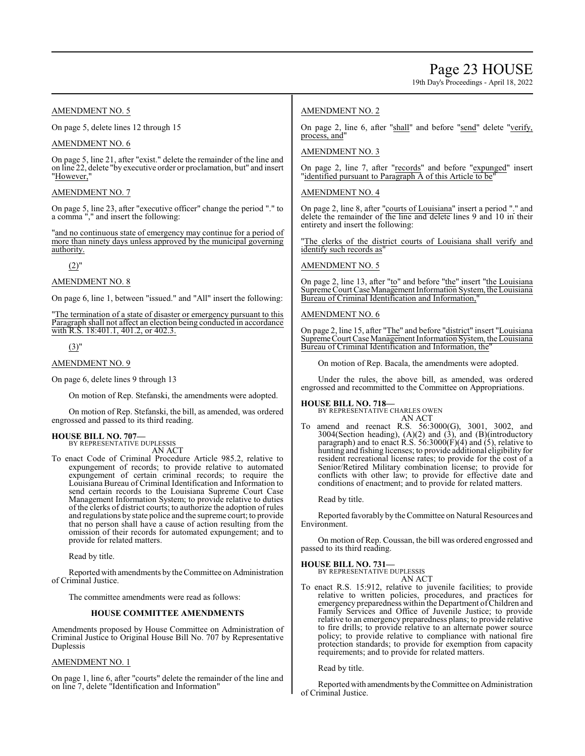19th Day's Proceedings - April 18, 2022

## AMENDMENT NO. 5

On page 5, delete lines 12 through 15

## AMENDMENT NO. 6

On page 5, line 21, after "exist." delete the remainder of the line and on line 22, delete "by executive order or proclamation, but" and insert "However,"

## AMENDMENT NO. 7

On page 5, line 23, after "executive officer" change the period "." to a comma "," and insert the following:

"and no continuous state of emergency may continue for a period of more than ninety days unless approved by the municipal governing authority.

(2)"

## AMENDMENT NO. 8

On page 6, line 1, between "issued." and "All" insert the following:

"The termination of a state of disaster or emergency pursuant to this Paragraph shall not affect an election being conducted in accordance with R.S. 18:401.1, 401.2, or 402.3.

## $(3)$ "

## AMENDMENT NO. 9

On page 6, delete lines 9 through 13

On motion of Rep. Stefanski, the amendments were adopted.

On motion of Rep. Stefanski, the bill, as amended, was ordered engrossed and passed to its third reading.

## **HOUSE BILL NO. 707—**

BY REPRESENTATIVE DUPLESSIS AN ACT

To enact Code of Criminal Procedure Article 985.2, relative to expungement of records; to provide relative to automated expungement of certain criminal records; to require the Louisiana Bureau of Criminal Identification and Information to send certain records to the Louisiana Supreme Court Case Management Information System; to provide relative to duties of the clerks of district courts; to authorize the adoption of rules and regulations by state police and the supreme court; to provide that no person shall have a cause of action resulting from the omission of their records for automated expungement; and to provide for related matters.

Read by title.

Reported with amendments by the Committee on Administration of Criminal Justice.

The committee amendments were read as follows:

## **HOUSE COMMITTEE AMENDMENTS**

Amendments proposed by House Committee on Administration of Criminal Justice to Original House Bill No. 707 by Representative Duplessis

## AMENDMENT NO. 1

On page 1, line 6, after "courts" delete the remainder of the line and on line 7, delete "Identification and Information"

## AMENDMENT NO. 2

On page 2, line 6, after "shall" and before "send" delete "verify, process, and"

## AMENDMENT NO. 3

On page 2, line 7, after "records" and before "expunged" insert "identified pursuant to Paragraph A of this Article to be"

## AMENDMENT NO. 4

On page 2, line 8, after "courts of Louisiana" insert a period "." and delete the remainder of the line and delete lines 9 and 10 in their entirety and insert the following:

The clerks of the district courts of Louisiana shall verify and identify such records as

## AMENDMENT NO. 5

On page 2, line 13, after "to" and before "the" insert "the Louisiana Supreme Court Case Management Information System, the Louisiana Bureau of Criminal Identification and Information,

## AMENDMENT NO. 6

On page 2, line 15, after "The" and before "district" insert "Louisiana Supreme Court Case Management Information System, the Louisiana Bureau of Criminal Identification and Information, the

On motion of Rep. Bacala, the amendments were adopted.

Under the rules, the above bill, as amended, was ordered engrossed and recommitted to the Committee on Appropriations.

## **HOUSE BILL NO. 718—**

BY REPRESENTATIVE CHARLES OWEN AN ACT

To amend and reenact R.S. 56:3000(G), 3001, 3002, and 3004(Section heading), (A)(2) and (3), and (B)(introductory paragraph) and to enact R.S.  $56:3000(F)(4)$  and  $(5)$ , relative to hunting and fishing licenses; to provide additional eligibility for resident recreational license rates; to provide for the cost of a Senior/Retired Military combination license; to provide for conflicts with other law; to provide for effective date and conditions of enactment; and to provide for related matters.

Read by title.

Reported favorably by the Committee on Natural Resources and Environment.

On motion of Rep. Coussan, the bill was ordered engrossed and passed to its third reading.

## **HOUSE BILL NO. 731—**

BY REPRESENTATIVE DUPLESSIS AN ACT

To enact R.S. 15:912, relative to juvenile facilities; to provide relative to written policies, procedures, and practices for emergency preparedness within the Department ofChildren and Family Services and Office of Juvenile Justice; to provide relative to an emergency preparedness plans; to provide relative to fire drills; to provide relative to an alternate power source policy; to provide relative to compliance with national fire protection standards; to provide for exemption from capacity requirements; and to provide for related matters.

Read by title.

Reported with amendments bythe Committee on Administration of Criminal Justice.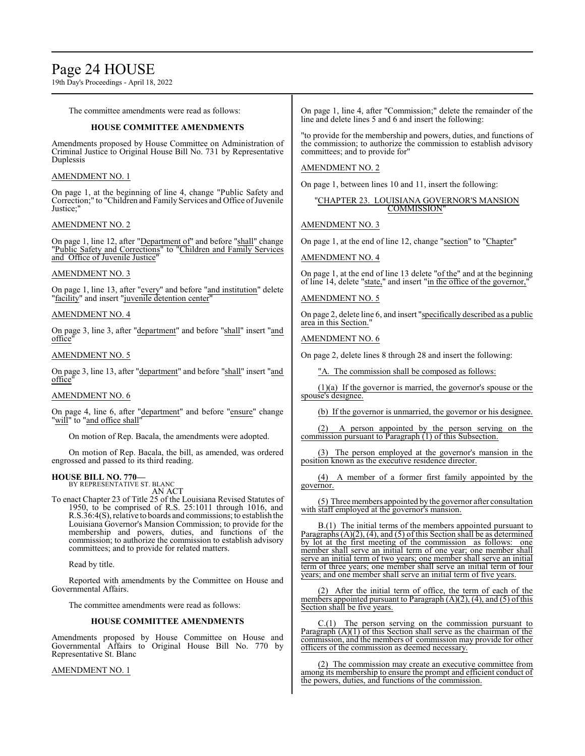# Page 24 HOUSE

19th Day's Proceedings - April 18, 2022

The committee amendments were read as follows:

## **HOUSE COMMITTEE AMENDMENTS**

Amendments proposed by House Committee on Administration of Criminal Justice to Original House Bill No. 731 by Representative Duplessis

## AMENDMENT NO. 1

On page 1, at the beginning of line 4, change "Public Safety and Correction;" to "Children and Family Services and Office of Juvenile Justice;"

## AMENDMENT NO. 2

On page 1, line 12, after "Department of" and before "shall" change "Public Safety and Corrections" to "Children and Family Services and Office of Juvenile Justice'

## AMENDMENT NO. 3

On page 1, line 13, after "every" and before "and institution" delete "facility" and insert "juvenile detention center"

## AMENDMENT NO. 4

On page 3, line 3, after "department" and before "shall" insert "and office"

## AMENDMENT NO. 5

On page 3, line 13, after "department" and before "shall" insert "and office"

## AMENDMENT NO. 6

On page 4, line 6, after "department" and before "ensure" change "will" to "and office shall"

On motion of Rep. Bacala, the amendments were adopted.

On motion of Rep. Bacala, the bill, as amended, was ordered engrossed and passed to its third reading.

## **HOUSE BILL NO. 770—**

BY REPRESENTATIVE ST. BLANC AN ACT

To enact Chapter 23 of Title 25 of the Louisiana Revised Statutes of 1950, to be comprised of R.S. 25:1011 through 1016, and R.S.36:4(S), relative to boards and commissions; to establish the Louisiana Governor's Mansion Commission; to provide for the membership and powers, duties, and functions of the commission; to authorize the commission to establish advisory committees; and to provide for related matters.

Read by title.

Reported with amendments by the Committee on House and Governmental Affairs.

The committee amendments were read as follows:

## **HOUSE COMMITTEE AMENDMENTS**

Amendments proposed by House Committee on House and Governmental Affairs to Original House Bill No. 770 by Representative St. Blanc

AMENDMENT NO. 1

On page 1, line 4, after "Commission;" delete the remainder of the line and delete lines 5 and 6 and insert the following:

"to provide for the membership and powers, duties, and functions of the commission; to authorize the commission to establish advisory committees; and to provide for"

## AMENDMENT NO. 2

On page 1, between lines 10 and 11, insert the following:

## "CHAPTER 23. LOUISIANA GOVERNOR'S MANSION **COMMISSION**

AMENDMENT NO. 3

On page 1, at the end of line 12, change "section" to "Chapter"

AMENDMENT NO. 4

On page 1, at the end of line 13 delete "of the" and at the beginning of line 14, delete "state," and insert "in the office of the governor,'

## AMENDMENT NO. 5

On page 2, delete line 6, and insert "specifically described as a public area in this Section."

## AMENDMENT NO. 6

On page 2, delete lines 8 through 28 and insert the following:

"A. The commission shall be composed as follows:

(1)(a) If the governor is married, the governor's spouse or the spouse's designee.

(b) If the governor is unmarried, the governor or his designee.

A person appointed by the person serving on the commission pursuant to Paragraph (1) of this Subsection.

(3) The person employed at the governor's mansion in the position known as the executive residence director.

(4) A member of a former first family appointed by the governor.

(5) Three members appointed by the governor after consultation with staff employed at the governor's mansion.

B.(1) The initial terms of the members appointed pursuant to Paragraphs  $(A)(2)$ ,  $(4)$ , and  $(5)$  of this Section shall be as determined by lot at the first meeting of the commission as follows: one member shall serve an initial term of one year; one member shall serve an initial term of two years; one member shall serve an initial term of three years; one member shall serve an initial term of four years; and one member shall serve an initial term of five years.

(2) After the initial term of office, the term of each of the members appointed pursuant to Paragraph  $(A)(2)$ ,  $(4)$ , and  $(5)$  of this Section shall be five years.

 $C(1)$  The person serving on the commission pursuant to Paragraph (A)(1) of this Section shall serve as the chairman of the commission, and the members of commission may provide for other officers of the commission as deemed necessary.

(2) The commission may create an executive committee from among its membership to ensure the prompt and efficient conduct of the powers, duties, and functions of the commission.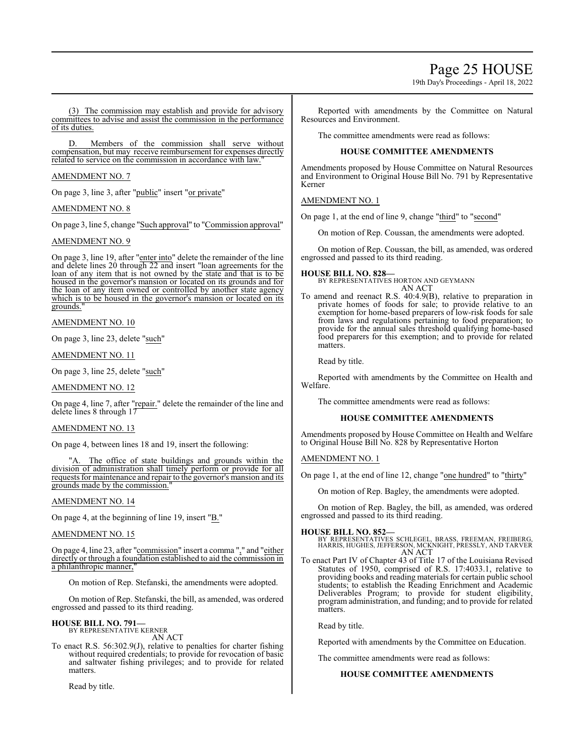## Page 25 HOUSE

19th Day's Proceedings - April 18, 2022

(3) The commission may establish and provide for advisory committees to advise and assist the commission in the performance of its duties.

Members of the commission shall serve without compensation, but may receive reimbursement for expenses directly related to service on the commission in accordance with law.

## AMENDMENT NO. 7

On page 3, line 3, after "public" insert "or private"

## AMENDMENT NO. 8

On page 3, line 5, change "Such approval" to "Commission approval"

## AMENDMENT NO. 9

On page 3, line 19, after "enter into" delete the remainder of the line and delete lines 20 through 22 and insert "loan agreements for the loan of any item that is not owned by the state and that is to be housed in the governor's mansion or located on its grounds and for the loan of any item owned or controlled by another state agency which is to be housed in the governor's mansion or located on its grounds."

AMENDMENT NO. 10

On page 3, line 23, delete "such"

AMENDMENT NO. 11

On page 3, line 25, delete "such"

## AMENDMENT NO. 12

On page 4, line 7, after "repair." delete the remainder of the line and delete lines 8 through 17

## AMENDMENT NO. 13

On page 4, between lines 18 and 19, insert the following:

The office of state buildings and grounds within the division of administration shall timely perform or provide for all requests for maintenance and repair to the governor's mansion and its grounds made by the commission."

## AMENDMENT NO. 14

On page 4, at the beginning of line 19, insert "B."

## AMENDMENT NO. 15

On page 4, line 23, after "commission" insert a comma "," and "either directly or through a foundation established to aid the commission in a philanthropic manner,

On motion of Rep. Stefanski, the amendments were adopted.

On motion of Rep. Stefanski, the bill, as amended, was ordered engrossed and passed to its third reading.

#### **HOUSE BILL NO. 791—** BY REPRESENTATIVE KERNER

AN ACT

To enact R.S. 56:302.9(J), relative to penalties for charter fishing without required credentials; to provide for revocation of basic and saltwater fishing privileges; and to provide for related matters.

Read by title.

Reported with amendments by the Committee on Natural Resources and Environment.

The committee amendments were read as follows:

## **HOUSE COMMITTEE AMENDMENTS**

Amendments proposed by House Committee on Natural Resources and Environment to Original House Bill No. 791 by Representative Kerner

## AMENDMENT NO. 1

On page 1, at the end of line 9, change "third" to "second"

On motion of Rep. Coussan, the amendments were adopted.

On motion of Rep. Coussan, the bill, as amended, was ordered engrossed and passed to its third reading.

**HOUSE BILL NO. 828—** BY REPRESENTATIVES HORTON AND GEYMANN AN ACT

To amend and reenact R.S. 40:4.9(B), relative to preparation in private homes of foods for sale; to provide relative to an exemption for home-based preparers of low-risk foods for sale from laws and regulations pertaining to food preparation; to provide for the annual sales threshold qualifying home-based food preparers for this exemption; and to provide for related matters.

Read by title.

Reported with amendments by the Committee on Health and Welfare.

The committee amendments were read as follows:

## **HOUSE COMMITTEE AMENDMENTS**

Amendments proposed by House Committee on Health and Welfare to Original House Bill No. 828 by Representative Horton

## AMENDMENT NO. 1

On page 1, at the end of line 12, change "one hundred" to "thirty"

On motion of Rep. Bagley, the amendments were adopted.

On motion of Rep. Bagley, the bill, as amended, was ordered engrossed and passed to its third reading.

## **HOUSE BILL NO. 852—**

BY REPRESENTATIVES SCHLEGEL, BRASS, FREEMAN, FREIBERG, HARRIS, HUGHES, JEFFERSON, MCKNIGHT, PRESSLY, AND TARVER AN ACT

To enact Part IV of Chapter 43 of Title 17 of the Louisiana Revised Statutes of 1950, comprised of R.S. 17:4033.1, relative to providing books and reading materials for certain public school students; to establish the Reading Enrichment and Academic Deliverables Program; to provide for student eligibility, program administration, and funding; and to provide for related matters.

Read by title.

Reported with amendments by the Committee on Education.

The committee amendments were read as follows:

## **HOUSE COMMITTEE AMENDMENTS**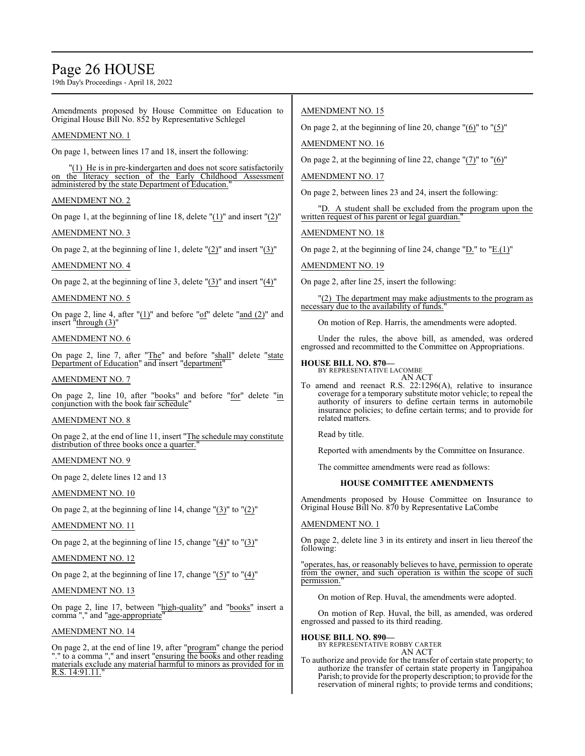## Page 26 HOUSE

19th Day's Proceedings - April 18, 2022

Amendments proposed by House Committee on Education to Original House Bill No. 852 by Representative Schlegel

## AMENDMENT NO. 1

On page 1, between lines 17 and 18, insert the following:

"(1) He is in pre-kindergarten and does not score satisfactorily on the literacy section of the Early Childhood Assessment administered by the state Department of Education."

## AMENDMENT NO. 2

On page 1, at the beginning of line 18, delete "(1)" and insert "(2)"

## AMENDMENT NO. 3

On page 2, at the beginning of line 1, delete "(2)" and insert "(3)"

## AMENDMENT NO. 4

On page 2, at the beginning of line 3, delete " $(3)$ " and insert " $(4)$ "

## AMENDMENT NO. 5

On page 2, line 4, after "(1)" and before "of" delete "and (2)" and insert "through (3)"

## AMENDMENT NO. 6

On page 2, line 7, after "The" and before "shall" delete "state Department of Education" and insert "department"

## AMENDMENT NO. 7

On page 2, line 10, after "books" and before "for" delete "in conjunction with the book fair schedule"

## AMENDMENT NO. 8

On page 2, at the end of line 11, insert "The schedule may constitute distribution of three books once a quarter.

## AMENDMENT NO. 9

On page 2, delete lines 12 and 13

## AMENDMENT NO. 10

On page 2, at the beginning of line 14, change " $(3)$ " to " $(2)$ "

## AMENDMENT NO. 11

On page 2, at the beginning of line 15, change "(4)" to "(3)"

## AMENDMENT NO. 12

On page 2, at the beginning of line 17, change " $(5)$ " to " $(4)$ "

## AMENDMENT NO. 13

On page 2, line 17, between "high-quality" and "books" insert a comma "," and "age-appropriate"

## AMENDMENT NO. 14

On page 2, at the end of line 19, after "program" change the period "." to a comma "," and insert "ensuring the books and other reading materials exclude any material harmful to minors as provided for in R.S. 14:91.11."

## AMENDMENT NO. 15

On page 2, at the beginning of line 20, change  $"(6)"$  to  $"(5)"$ 

AMENDMENT NO. 16

On page 2, at the beginning of line 22, change "(7)" to "(6)"

## AMENDMENT NO. 17

On page 2, between lines 23 and 24, insert the following:

"D. A student shall be excluded from the program upon the written request of his parent or legal guardian."

AMENDMENT NO. 18

On page 2, at the beginning of line 24, change "D." to "E.(1)"

## AMENDMENT NO. 19

On page 2, after line 25, insert the following:

(2) The department may make adjustments to the program as necessary due to the availability of funds."

On motion of Rep. Harris, the amendments were adopted.

Under the rules, the above bill, as amended, was ordered engrossed and recommitted to the Committee on Appropriations.

## **HOUSE BILL NO. 870—**

BY REPRESENTATIVE LACOMBE AN ACT

To amend and reenact R.S. 22:1296(A), relative to insurance coverage for a temporary substitute motor vehicle; to repeal the authority of insurers to define certain terms in automobile insurance policies; to define certain terms; and to provide for related matters.

Read by title.

Reported with amendments by the Committee on Insurance.

The committee amendments were read as follows:

## **HOUSE COMMITTEE AMENDMENTS**

Amendments proposed by House Committee on Insurance to Original House Bill No. 870 by Representative LaCombe

## AMENDMENT NO. 1

On page 2, delete line 3 in its entirety and insert in lieu thereof the following:

"operates, has, or reasonably believes to have, permission to operate from the owner, and such operation is within the scope of such permission.

On motion of Rep. Huval, the amendments were adopted.

On motion of Rep. Huval, the bill, as amended, was ordered engrossed and passed to its third reading.

## **HOUSE BILL NO. 890—**

BY REPRESENTATIVE ROBBY CARTER AN ACT

To authorize and provide for the transfer of certain state property; to authorize the transfer of certain state property in Tangipahoa Parish; to provide for the property description; to provide for the reservation of mineral rights; to provide terms and conditions;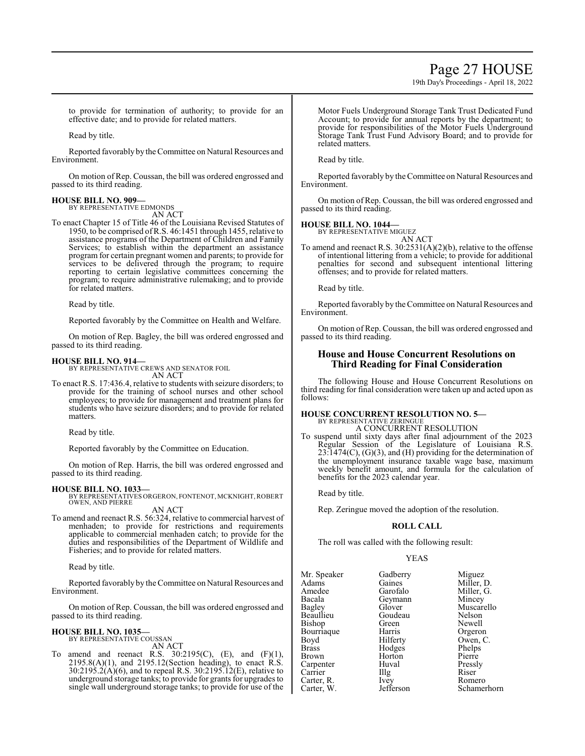## Page 27 HOUSE

19th Day's Proceedings - April 18, 2022

to provide for termination of authority; to provide for an effective date; and to provide for related matters.

Read by title.

Reported favorably by the Committee on Natural Resources and Environment.

On motion of Rep. Coussan, the bill was ordered engrossed and passed to its third reading.

#### **HOUSE BILL NO. 909—** BY REPRESENTATIVE EDMONDS

AN ACT

To enact Chapter 15 of Title 46 of the Louisiana Revised Statutes of 1950, to be comprised ofR.S. 46:1451 through 1455, relative to assistance programs of the Department of Children and Family Services; to establish within the department an assistance program for certain pregnant women and parents; to provide for services to be delivered through the program; to require reporting to certain legislative committees concerning the program; to require administrative rulemaking; and to provide for related matters.

Read by title.

Reported favorably by the Committee on Health and Welfare.

On motion of Rep. Bagley, the bill was ordered engrossed and passed to its third reading.

## **HOUSE BILL NO. 914—**

BY REPRESENTATIVE CREWS AND SENATOR FOIL AN ACT

To enact R.S. 17:436.4, relative to students with seizure disorders; to provide for the training of school nurses and other school employees; to provide for management and treatment plans for students who have seizure disorders; and to provide for related matters.

Read by title.

Reported favorably by the Committee on Education.

On motion of Rep. Harris, the bill was ordered engrossed and passed to its third reading.

**HOUSE BILL NO. 1033—** BY REPRESENTATIVES ORGERON, FONTENOT, MCKNIGHT,ROBERT OWEN, AND PIERRE AN ACT

To amend and reenact R.S. 56:324, relative to commercial harvest of menhaden; to provide for restrictions and requirements applicable to commercial menhaden catch; to provide for the duties and responsibilities of the Department of Wildlife and Fisheries; and to provide for related matters.

Read by title.

Reported favorably by the Committee on Natural Resources and Environment.

On motion of Rep. Coussan, the bill was ordered engrossed and passed to its third reading.

## **HOUSE BILL NO. 1035—**

BY REPRESENTATIVE COUSSAN

AN ACT To amend and reenact R.S.  $30:2195(C)$ , (E), and (F)(1), 2195.8(A)(1), and 2195.12(Section heading), to enact R.S.  $30:2195.2(A)(6)$ , and to repeal R.S.  $30:2195.12(E)$ , relative to underground storage tanks; to provide for grants for upgrades to single wall underground storage tanks; to provide for use of the Motor Fuels Underground Storage Tank Trust Dedicated Fund Account; to provide for annual reports by the department; to provide for responsibilities of the Motor Fuels Underground Storage Tank Trust Fund Advisory Board; and to provide for related matters.

Read by title.

Reported favorably by the Committee on Natural Resources and Environment.

On motion of Rep. Coussan, the bill was ordered engrossed and passed to its third reading.

**HOUSE BILL NO. 1044—**

BY REPRESENTATIVE MIGUEZ AN ACT

To amend and reenact R.S. 30:2531(A)(2)(b), relative to the offense of intentional littering from a vehicle; to provide for additional penalties for second and subsequent intentional littering offenses; and to provide for related matters.

Read by title.

Reported favorably by the Committee on Natural Resources and Environment.

On motion of Rep. Coussan, the bill was ordered engrossed and passed to its third reading.

## **House and House Concurrent Resolutions on Third Reading for Final Consideration**

The following House and House Concurrent Resolutions on third reading for final consideration were taken up and acted upon as follows:

## **HOUSE CONCURRENT RESOLUTION NO. 5—** BY REPRESENTATIVE ZERINGUE A CONCURRENT RESOLUTION

To suspend until sixty days after final adjournment of the 2023 Regular Session of the Legislature of Louisiana R.S.  $23:1474(C)$ , (G)(3), and (H) providing for the determination of the unemployment insurance taxable wage base, maximum weekly benefit amount, and formula for the calculation of benefits for the 2023 calendar year.

Read by title.

Rep. Zeringue moved the adoption of the resolution.

## **ROLL CALL**

The roll was called with the following result:

## YEAS

| Mr. Speaker  | Gadberry  | Miguez      |
|--------------|-----------|-------------|
| Adams        | Gaines    | Miller, D.  |
| Amedee       | Garofalo  | Miller, G.  |
| Bacala       | Geymann   | Mincey      |
| Bagley       | Glover    | Muscarello  |
| Beaullieu    | Goudeau   | Nelson      |
| Bishop       | Green     | Newell      |
| Bourriaque   | Harris    | Orgeron     |
| Boyd         | Hilferty  | Owen, C.    |
| <b>Brass</b> | Hodges    | Phelps      |
| <b>Brown</b> | Horton    | Pierre      |
| Carpenter    | Huval     | Pressly     |
| Carrier      | Illg      | Riser       |
| Carter, R.   | Ivey      | Romero      |
| Carter, W.   | Jefferson | Schamerhorn |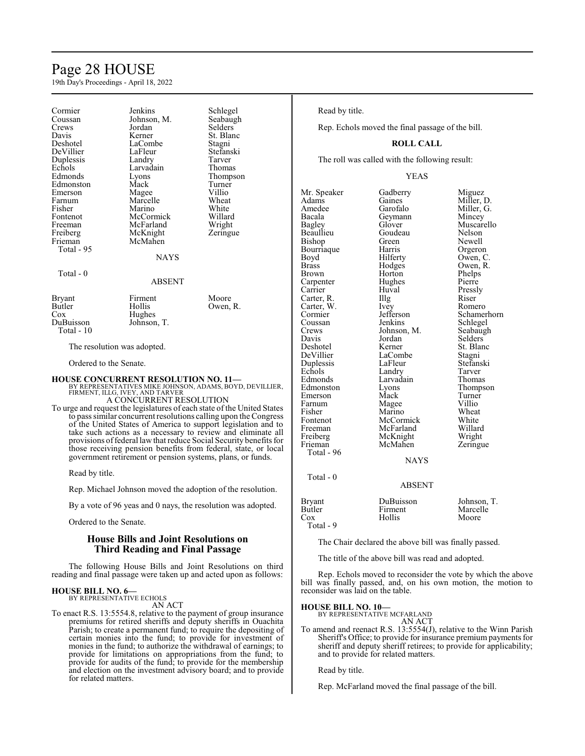## Page 28 HOUSE

19th Day's Proceedings - April 18, 2022

| Cormier                     | Jenkins                                                | Schlegel       |
|-----------------------------|--------------------------------------------------------|----------------|
| Coussan                     | Johnson, M.                                            | Seabaugh       |
| Crews                       | Jordan                                                 | <b>Selders</b> |
| Davis                       | Kerner                                                 | St. Blanc      |
| Deshotel                    | LaCombe                                                | Stagni         |
| DeVillier                   | LaFleur                                                | Stefanski      |
| Duplessis                   | Landry                                                 | Tarver         |
| Echols                      | Larvadain                                              | Thomas         |
| Edmonds                     | Lyons                                                  | Thompson       |
| Edmonston                   | Mack                                                   | Turner         |
| Emerson                     | Magee                                                  | Villio         |
| Farnum                      | Marcelle                                               | Wheat          |
| Fisher                      | Marino                                                 | White          |
| Fontenot                    | McCormick                                              | Willard        |
| Freeman                     | McFarland                                              | Wright         |
| Freiberg                    | McKnight                                               | Zeringue       |
| Frieman                     | McMahen                                                |                |
| Total - 95                  |                                                        |                |
|                             | <b>NAYS</b>                                            |                |
| Total - $0$                 |                                                        |                |
|                             | <b>ABSENT</b>                                          |                |
|                             |                                                        |                |
| Bryant                      | Firment                                                | Moore          |
| Butler                      | Hollis                                                 | Owen, R.       |
| $\cos$                      | Hughes                                                 |                |
| DuBuisson                   | Johnson, T.                                            |                |
| Total - 10                  |                                                        |                |
|                             |                                                        |                |
| The resolution was adopted. |                                                        |                |
| Ordered to the Senate.      |                                                        |                |
|                             | <b>HOUSE CONCURRENT RESOLUTION NO. 11—</b>             |                |
|                             | BY REPRESENTATIVES MIKE JOHNSON, ADAMS, BOYD, DEVILLIE |                |

BY REPRESENTATIVES MIKE JOHNSON, ADAMS, BOYD, DEVILLIER, FIRMENT, ILLG, IVEY, AND TARVER A CONCURRENT RESOLUTION

To urge and request the legislatures of each state of the United States to pass similar concurrent resolutions calling upon the Congress of the United States of America to support legislation and to take such actions as a necessary to review and eliminate all provisions offederal lawthat reduce Social Security benefits for

Read by title.

Rep. Michael Johnson moved the adoption of the resolution.

those receiving pension benefits from federal, state, or local government retirement or pension systems, plans, or funds.

By a vote of 96 yeas and 0 nays, the resolution was adopted.

Ordered to the Senate.

## **House Bills and Joint Resolutions on Third Reading and Final Passage**

The following House Bills and Joint Resolutions on third reading and final passage were taken up and acted upon as follows:

## **HOUSE BILL NO. 6—**

BY REPRESENTATIVE ECHOLS AN ACT

To enact R.S. 13:5554.8, relative to the payment of group insurance premiums for retired sheriffs and deputy sheriffs in Ouachita Parish; to create a permanent fund; to require the depositing of certain monies into the fund; to provide for investment of monies in the fund; to authorize the withdrawal of earnings; to provide for limitations on appropriations from the fund; to provide for audits of the fund; to provide for the membership and election on the investment advisory board; and to provide for related matters.

## Read by title.

Rep. Echols moved the final passage of the bill.

## **ROLL CALL**

The roll was called with the following result:

## YEAS

Mr. Speaker Gadberry Miguez<br>Adams Gaines Miller, 1 Adams Gaines Miller, D.<br>Amedee Garofalo Miller, G. Amedee Garofalo Miller, G.<br>Bacala Geymann Mincey Bacala Geymann<br>Bagley Glover Beaullieu Goudeau Nelson<br>Bishop Green Newell Bishop Green Newell<br>Bourriaque Harris Orgeron Bourriaque Harris<br>Boyd Hilferty Boyd Hilferty Owen, C.<br>Brass Hodges Owen, R. Brass Hodges Owen, R. Carpenter Hughe<br>Carrier Huval Carter, R. Illg Riser<br>Carter, W. Ivey Romero Carter, W. Ivey<br>Cormier Jefferson Coussan Jenkins<br>Crews Johnson M Crews Johnson, M. Seabaugh<br>Davis Jordan Selders Davis Jordan Selders<br>Deshotel Kerner St. Blan Deshotel Kerner St. Blanc<br>DeVillier LaCombe Stagni DeVillier LaCombe<br>
Duplessis LaFleur Duplessis LaFleur Stefanski Echols Landry Tarver<br>
Edmonds Larvadain Thomas Edmonds Larvadain<br>Edmonston Lyons Emerson Mack Turner<br>
Farnum Magee Villio Fisher Marino Wheat<br>Fontenot McCormick White Fontenot McCormick White<br>
Freeman McFarland Willard Freeman McFarland Willard<br>
Freiberg McKnight Wright Freiberg McKnight<br>Frieman McMahen Total - 96

Total - 0

Muscarello<br>Nelson Horton Phelps<br>Hughes Pierre Huval Pressly<br>
Illg Riser Jefferson Schamerhorn<br>Jenkins Schlegel Eyons Thompson<br>
Mack Turner Zeringue **NAYS** 

Magee

## ABSENT

| Bryant    | DuBuisson | Johnson, T. |
|-----------|-----------|-------------|
| Butler    | Firment   | Marcelle    |
| Cox       | Hollis    | Moore       |
| Total - 9 |           |             |

The Chair declared the above bill was finally passed.

The title of the above bill was read and adopted.

Rep. Echols moved to reconsider the vote by which the above bill was finally passed, and, on his own motion, the motion to reconsider was laid on the table.

## **HOUSE BILL NO. 10—**

BY REPRESENTATIVE MCFARLAND AN ACT

To amend and reenact R.S. 13:5554(J), relative to the Winn Parish Sheriff's Office; to provide for insurance premium payments for sheriff and deputy sheriff retirees; to provide for applicability; and to provide for related matters.

Read by title.

Rep. McFarland moved the final passage of the bill.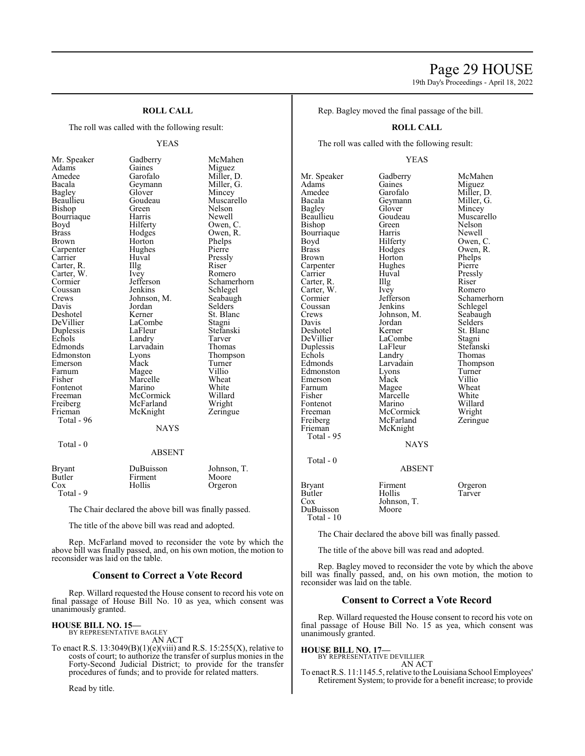## Page 29 HOUSE

19th Day's Proceedings - April 18, 2022

## **ROLL CALL**

The roll was called with the following result:

## YEAS

| Mr. Speaker   | Gadberry    | McMahen     |
|---------------|-------------|-------------|
| Adams         | Gaines      | Miguez      |
| Amedee        | Garofalo    | Miller, D.  |
| Bacala        | Geymann     | Miller, G.  |
| <b>Bagley</b> | Glover      | Mincey      |
| Beaullieu     | Goudeau     | Muscarello  |
| Bishop        | Green       | Nelson      |
| Bourriaque    | Harris      | Newell      |
| Boyd          | Hilferty    | Owen, C.    |
| <b>Brass</b>  | Hodges      | Owen, R.    |
| <b>Brown</b>  | Horton      | Phelps      |
| Carpenter     | Hughes      | Pierre      |
| Carrier       | Huval       | Pressly     |
| Carter, R.    | Illg        | Riser       |
| Carter, W.    | Ivey        | Romero      |
| Cormier       | Jefferson   | Schamerhorn |
| Coussan       | Jenkins     | Schlegel    |
| Crews         | Johnson, M. | Seabaugh    |
| Davis         | Jordan      | Selders     |
| Deshotel      | Kerner      | St. Blanc   |
| DeVillier     | LaCombe     | Stagni      |
| Duplessis     | LaFleur     | Stefanski   |
| Echols        | Landry      | Tarver      |
| Edmonds       | Larvadain   | Thomas      |
| Edmonston     | Lyons       | Thompson    |
| Emerson       | Mack        | Turner      |
| Farnum        | Magee       | Villio      |
| Fisher        | Marcelle    | Wheat       |
| Fontenot      | Marino      | White       |
| Freeman       | McCormick   | Willard     |
| Freiberg      | McFarland   | Wright      |
| Frieman       | McKnight    | Zeringue    |
| Total - 96    |             |             |
|               | <b>NAYS</b> |             |
| Total - 0     |             |             |
|               | ABSENT      |             |
|               |             |             |

|              | Miguez     |
|--------------|------------|
|              | Mil̃ler, D |
| Ì            | Miller, G  |
|              | Mincey     |
|              | Muscarel   |
|              | Nelson     |
|              | Newell     |
|              | Owen, C.   |
|              | Owen, R.   |
|              | Phelps     |
|              | Pierre     |
|              | Pressly    |
|              | Riser      |
|              | Romero     |
|              | Schamerl   |
|              | Schlegel   |
| M.           | Seabaugh   |
|              | Selders    |
|              | St. Blanc  |
| $\mathbf{r}$ | Stagni     |
|              | Stefanski  |
|              | Tarver     |
| h            | Thomas     |
|              | Thompso    |
|              | Turner     |
|              | Villio     |
|              | Wheat      |
|              | White      |
| ick          | Willard    |
| ıd           | Wright     |
| ıt           | Zeringue   |
|              |            |
| <b>LAVS</b>  |            |

## NAYS

| ABSENT |  |
|--------|--|
|        |  |

| Bryant<br>Butler | DuBuisson<br>Firment | Johnson, T.<br>Moore |
|------------------|----------------------|----------------------|
| Cox<br>Total - 9 | Hollis               | Orgeron              |

The Chair declared the above bill was finally passed.

The title of the above bill was read and adopted.

Rep. McFarland moved to reconsider the vote by which the above bill was finally passed, and, on his own motion, the motion to reconsider was laid on the table.

## **Consent to Correct a Vote Record**

Rep. Willard requested the House consent to record his vote on final passage of House Bill No. 10 as yea, which consent was unanimously granted.

## **HOUSE BILL NO. 15—** BY REPRESENTATIVE BAGLEY

AN ACT

To enact R.S.  $13:3049(B)(1)(e)(viii)$  and R.S.  $15:255(X)$ , relative to costs of court; to authorize the transfer of surplus monies in the Forty-Second Judicial District; to provide for the transfer procedures of funds; and to provide for related matters.

Read by title.

Rep. Bagley moved the final passage of the bill.

## **ROLL CALL**

The roll was called with the following result:

## YEAS

Mr. Speaker Gadberry McMahen<br>Adams Gaines Miguez Adams Gaines Miguez<br>Amedee Garofalo Miller, I Amedee Garofalo Miller, D.<br>Bacala Geymann Miller, G. Bacala Geymann Miller, G. Bagley Glover Mincey<br>Beaullieu Goudeau Muscare Bishop Green Nelson<br>Bourriaque Harris Newell Bourriaque Harris<br>Boyd Hilferty Boyd Hilferty Owen, C.<br>Brass Hodges Owen, R. Brass Hodges Owen, R.<br>Brown Horton Phelps Carpenter Hughe<br>Carrier Huval Carter, R. Illg Riser<br>Carter, W. Ivey Romero Carter, W. Ivey<br>Cormier Jefferson Coussan Jenkins Schlegel<br>Crews Johnson, M. Seabaugh Crews Johnson, M.<br>Davis Jordan Davis Jordan Selders<br>Deshotel Kerner St. Blan DeVillier LaCombe Stagni<br>
Duplessis LaFleur Stefanski Duplessis LaFleur<br>Echols Landry Echols Landry Thomas<br>Edmonds Larvadain Thomps Edmonston Lyons Turner<br>Emerson Mack Villio Emerson Mack Villio<br>
Farnum Magee Wheat Farnum Magee Wheat<br>
Fisher Marcelle White Fontenot Marino Willard<br>Freeman McCormick Wright Freeman McCormick Wright<br>
Freiberg McFarland Zeringue Freiberg McFarland<br>Frieman McKnight Total - 95 Total - 0 Bryant Firment Orgeron<br>Butler Hollis Tarver Butler Hollis<br>Cox Johnson DuBuisson Total - 10

Goudeau Muscarello<br>Green Nelson Horton Phelps<br>Hughes Pierre Huval Pressly<br>Illg Riser Jefferson Schamerhorn<br>Jenkins Schlegel Kerner St. Blanc<br>LaCombe Stagni Larvadain Thompson<br>Lyons Turner Marcelle White<br>Marino Willard McKnight NAYS

ABSENT

Johnson, T.<br>Moore

The Chair declared the above bill was finally passed.

The title of the above bill was read and adopted.

Rep. Bagley moved to reconsider the vote by which the above bill was finally passed, and, on his own motion, the motion to reconsider was laid on the table.

## **Consent to Correct a Vote Record**

Rep. Willard requested the House consent to record his vote on final passage of House Bill No. 15 as yea, which consent was unanimously granted.

## **HOUSE BILL NO. 17—** BY REPRESENTATIVE DEVILLIER

AN ACT

To enact R.S. 11:1145.5, relative to the Louisiana School Employees' Retirement System; to provide for a benefit increase; to provide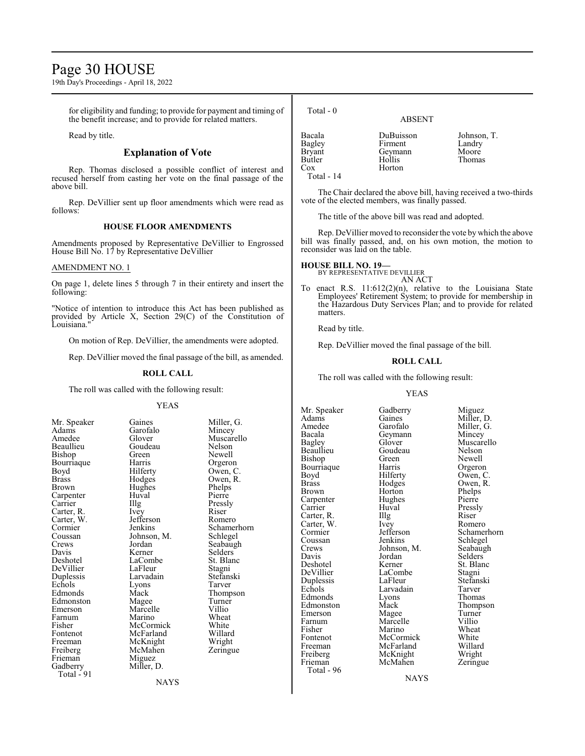## Page 30 HOUSE

19th Day's Proceedings - April 18, 2022

for eligibility and funding; to provide for payment and timing of the benefit increase; and to provide for related matters.

Read by title.

## **Explanation of Vote**

Rep. Thomas disclosed a possible conflict of interest and recused herself from casting her vote on the final passage of the above bill.

Rep. DeVillier sent up floor amendments which were read as follows:

## **HOUSE FLOOR AMENDMENTS**

Amendments proposed by Representative DeVillier to Engrossed House Bill No. 17 by Representative DeVillier

## AMENDMENT NO. 1

On page 1, delete lines 5 through 7 in their entirety and insert the following:

"Notice of intention to introduce this Act has been published as provided by Article X, Section 29(C) of the Constitution of Louisiana."

On motion of Rep. DeVillier, the amendments were adopted.

Rep. DeVillier moved the final passage of the bill, as amended.

## **ROLL CALL**

The roll was called with the following result:

#### YEAS

| Mr. Speaker  | Gaines      | Miller,  |
|--------------|-------------|----------|
| Adams        | Garofalo    | Mincey   |
| Amedee       | Glover      | Muscai   |
| Beaullieu    | Goudeau     | Nelson   |
| Bishop       | Green       | Newell   |
| Bourriaque   | Harris      | Orgero   |
| Boyd         | Hilferty    | Owen,    |
| <b>Brass</b> | Hodges      | Owen,    |
| Brown        | Hughes      | Phelps   |
| Carpenter    | Huval       | Pierre   |
| Carrier      | Illg        | Pressly  |
| Carter, R.   | Ivey        | Riser    |
| Carter, W.   | Jefferson   | Romer    |
| Cormier      | Jenkins     | Scham    |
| Coussan      | Johnson, M. | Schleg   |
| Crews        | Jordan      | Seabau   |
| Davis        | Kerner      | Selders  |
| Deshotel     | LaCombe     | St. Blai |
| DeVillier    | LaFleur     | Stagni   |
| Duplessis    | Larvadain   | Stefans  |
| Echols       | Lyons       | Tarver   |
| Edmonds      | Mack        | Thomp    |
| Edmonston    | Magee       | Turner   |
| Emerson      | Marcelle    | Villio   |
| Farnum       | Marino      | Wheat    |
| Fisher       | McCormick   | White    |
| Fontenot     | McFarland   | Willard  |
| Freeman      | McKnight    | Wright   |
| Freiberg     | McMahen     | Zering   |
| Frieman      | Miguez      |          |
| Gadberry     | Miller, D.  |          |
| Total - 91   |             |          |

Gaines Miller, G.<br>Garofalo Mincey Goudeau Nelson<br>Green Newell Harris Orgeron<br>Hilferty Owen, C Hilferty Owen, C.<br>Hodges Owen, R. Hughes Phelps<br>Huval Pierre The Pressly<br>
Ivey Riser Jefferson Romero<br>Jenkins Schame Johnson, M.<br>Jordan Kerner Selders<br>LaCombe St. Blanc LaCombe<br>
LaFleur Stagni LaFleur Stagni<br>Larvadain Stefanski Larvadain Stefans<br>Lyons Tarver Magee Turner<br>
Marcelle Villio McCormick White<br>
McFarland Willard McFarland Willard<br>
McKnight Wright McKnight<br>
McMahen Zeringue **NAYS** 

Muscarello<br>Nelson Owen, R.<br>Phelps Schamerhorn<br>Schlegel Seabaugh<br>Selders Thompson<br>Turner Wheat<br>White

| Total - 0     | <b>ABSENT</b> |             |
|---------------|---------------|-------------|
| Bacala        | DuBuisson     | Johnson, T. |
| Bagley        | Firment       | Landry      |
| <b>Bryant</b> | Geymann       | Moore       |
| Butler        | Hollis        | Thomas      |

Butler Hollis Thomas

The Chair declared the above bill, having received a two-thirds vote of the elected members, was finally passed.

The title of the above bill was read and adopted.

Rep. DeVillier moved to reconsider the vote by which the above bill was finally passed, and, on his own motion, the motion to reconsider was laid on the table.

Cox Horton

Total - 14

**HOUSE BILL NO. 19—** BY REPRESENTATIVE DEVILLIER AN ACT

To enact R.S. 11:612(2)(n), relative to the Louisiana State Employees' Retirement System; to provide for membership in the Hazardous Duty Services Plan; and to provide for related matters.

Read by title.

Rep. DeVillier moved the final passage of the bill.

## **ROLL CALL**

The roll was called with the following result:

## YEAS

Mr. Speaker Gadberry Miguez<br>Adams Gaines Miller, 1 Bacala Geymann<br>Bagley Glover Bourriaque Harris<br>Boyd Hilferty Carpenter Hughe<br>Carrier Huval Carter, W. Ivey<br>Cormier Jefferson Crews Johnson, M.<br>Davis Jordan Total - 96

Adams Gaines Miller, D.<br>Amedee Garofalo Miller, G. Amedee Garofalo Miller, G.<br>Bacala Geymann Mincey Beaullieu Goudeau Nelson Bishop Green Newell<br>Bourriaque Harris Orgeron Boyd Hilferty Owen, C.<br>Brass Hodges Owen, R. Brass Hodges Owen, R.<br>Brown Horton Phelps Horton Phelps<br>Hughes Pierre Huval Pressly<br>
Illg Riser Carter, R. Illg Riser<br>Carter, W. Ivey Romero Coussan Jenkins Schlegel<br>Crews Johnson, M. Seabaugh Davis Jordan Selders<br>
Deshotel Kerner St. Blan Deshotel Kerner St. Blanc<br>DeVillier LaCombe Stagni LaCombe<br>LaFleur Stefanski Duplessis LaFleur Stefans<br>Echols Larvadain Tarver Exercise Larvadain<br>
External Lyons<br>
External Lyons<br>
External Lyons<br>
External Lyons<br>
Thomas Edmonds Lyons Thomas<br>Edmonston Mack Thompson Edmonston Mack Thomp<br>Emerson Magee Turner Emerson Magee Turner<br>Farnum Marcelle Villio Farnum Marcelle Villio<br>Fisher Marino Wheat Fisher Marino Wheat<br>Fontenot McCormick White Fontenot McCormick White<br>Freeman McFarland Willard Freeman McFarland Willard<br>
Freiberg McKnight Wright Freiberg McKnight Wright<br>
Frieman McMahen Zeringue McMahen

Glover Muscarello<br>Goudeau Nelson Cormier Jefferson Schamerhorn<br>Coussan Jenkins Schlegel

**NAYS**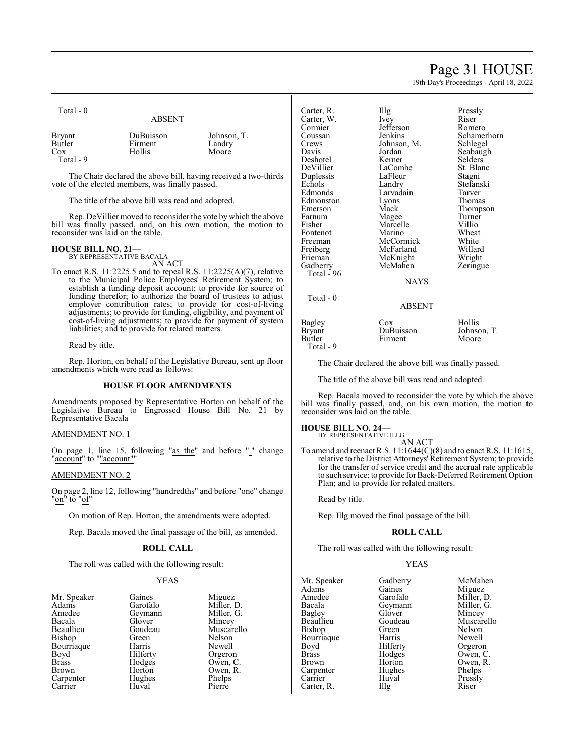## Page 31 HOUSE

19th Day's Proceedings - April 18, 2022

| Total - 0        | <b>ABSENT</b> |             |
|------------------|---------------|-------------|
| Bryant<br>Butler | DuBuisson     | Johnson, T. |
| Cox              | Firment       | Landry      |
| Total - 9        | Hollis        | Moore       |

The Chair declared the above bill, having received a two-thirds vote of the elected members, was finally passed.

The title of the above bill was read and adopted.

Rep. DeVillier moved to reconsider the vote bywhich the above bill was finally passed, and, on his own motion, the motion to reconsider was laid on the table.

## **HOUSE BILL NO. 21—**

BY REPRESENTATIVE BACALA AN ACT

To enact R.S. 11:2225.5 and to repeal R.S. 11:2225(A)(7), relative to the Municipal Police Employees' Retirement System; to establish a funding deposit account; to provide for source of funding therefor; to authorize the board of trustees to adjust employer contribution rates; to provide for cost-of-living adjustments; to provide for funding, eligibility, and payment of cost-of-living adjustments; to provide for payment of system liabilities; and to provide for related matters.

Read by title.

Rep. Horton, on behalf of the Legislative Bureau, sent up floor amendments which were read as follows:

## **HOUSE FLOOR AMENDMENTS**

Amendments proposed by Representative Horton on behalf of the Legislative Bureau to Engrossed House Bill No. 21 by Representative Bacala

## AMENDMENT NO. 1

On page 1, line 15, following "as the" and before "." change "account" to ""account"

## AMENDMENT NO. 2

On page 2, line 12, following "hundredths" and before "one" change "<u>on</u>" to "<u>of</u>"

On motion of Rep. Horton, the amendments were adopted.

Rep. Bacala moved the final passage of the bill, as amended.

## **ROLL CALL**

The roll was called with the following result:

## YEAS

| Mr. Speaker  | Gaines   | Mıgue  |
|--------------|----------|--------|
| Adams        | Garofalo | Miller |
| Amedee       | Geymann  | Miller |
| Bacala       | Glover   | Mince  |
| Beaullieu    | Goudeau  | Musca  |
| Bishop       | Green    | Nelso: |
| Bourriaque   | Harris   | Newe   |
| Boyd         | Hilferty | Orger  |
| <b>Brass</b> | Hodges   | Owen   |
| <b>Brown</b> | Horton   | Owen   |
| Carpenter    | Hughes   | Phelp  |
| Carrier      | Huval    | Pierre |
|              |          |        |

Gaines Miguez<br>Garofalo Miller, 1 Miller, D.<br>Miller, G. Glover Mincey<br>Goudeau Muscare Goudeau Muscarello<br>Green Nelson Nelson<br>Newell Hilferty Orgeron<br>Hodges Owen, C Hodges Owen, C.<br>Horton Owen, R. Owen, R.<br>Phelps Hughes Phelps<br>Huval Pierre

| Carter, R.<br>Carter, W.<br>Cormier<br>Coussan<br>Crews<br>Davis<br>Deshotel<br>DeVillier<br>Duplessis<br>Echols<br>Edmonds<br>Edmonston<br>Emerson<br>Farnum<br>Fisher<br>Fontenot<br>Freeman<br>Freiberg<br>Frieman<br>Gadberry<br>Total - 96 | Illg<br>Ivey<br>Jefferson<br>Jenkins<br>Johnson, M.<br>Jordan<br>Kerner<br>LaCombe<br>LaFleur<br>Landry<br>Larvadain<br>Lyons<br>Mack<br>Magee<br>Marcelle<br>Marino<br>McCormick<br>McFarland<br>McKnight<br>McMahen | Pressly<br>Riser<br>Romero<br>Schamerhorn<br>Schlegel<br>Seabaugh<br>Selders <sup>®</sup><br>St. Blanc<br>Stagni<br>Stefanski<br>Tarver<br>Thomas<br>Thompson<br>Turner<br>Villio<br>Wheat<br>White<br>Willard<br>Wright<br>Zeringue |
|-------------------------------------------------------------------------------------------------------------------------------------------------------------------------------------------------------------------------------------------------|-----------------------------------------------------------------------------------------------------------------------------------------------------------------------------------------------------------------------|--------------------------------------------------------------------------------------------------------------------------------------------------------------------------------------------------------------------------------------|
|                                                                                                                                                                                                                                                 |                                                                                                                                                                                                                       |                                                                                                                                                                                                                                      |
|                                                                                                                                                                                                                                                 | <b>NAYS</b>                                                                                                                                                                                                           |                                                                                                                                                                                                                                      |
| $Total - 0$                                                                                                                                                                                                                                     | ABSENT                                                                                                                                                                                                                |                                                                                                                                                                                                                                      |
| Bagley<br>Bryant<br><b>Butler</b>                                                                                                                                                                                                               | $\cos$<br>DuBuisson<br>Firment                                                                                                                                                                                        | Hollis<br>Johnson, T.<br>Moore                                                                                                                                                                                                       |

The Chair declared the above bill was finally passed.

The title of the above bill was read and adopted.

Rep. Bacala moved to reconsider the vote by which the above bill was finally passed, and, on his own motion, the motion to reconsider was laid on the table.

## **HOUSE BILL NO. 24—**

Total - 9

BY REPRESENTATIVE ILLG AN ACT

To amend and reenact R.S. 11:1644(C)(8) and to enact R.S. 11:1615, relative to the District Attorneys' Retirement System; to provide for the transfer of service credit and the accrual rate applicable to such service; to provide for Back-Deferred Retirement Option Plan; and to provide for related matters.

Read by title.

Rep. Illg moved the final passage of the bill.

## **ROLL CALL**

The roll was called with the following result:

## YEAS

| Gadberry          | McMahen    |
|-------------------|------------|
| Gaines            | Miguez     |
| Garofalo          | Miller, D. |
| Geymann           | Miller, G. |
| Glover            | Mincey     |
| Goudeau           | Muscarello |
| Green             | Nelson     |
| Harris            | Newell     |
|                   | Orgeron    |
| Hodges            | Owen, C.   |
| Horton            | Owen, R.   |
| Hughes            | Phelps     |
| Huval             | Pressly    |
| $\prod_{i=1}^{n}$ | Riser      |
|                   | Hilferty   |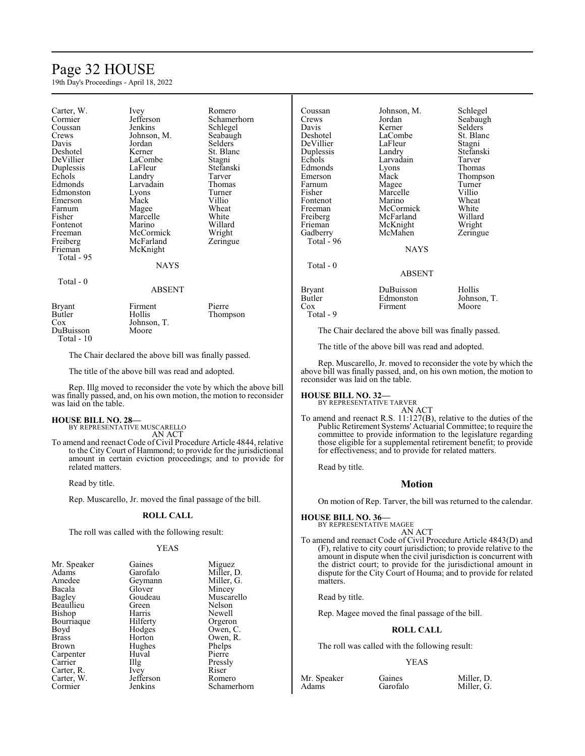## Page 32 HOUSE

19th Day's Proceedings - April 18, 2022

| Carter, W.  | Ivey        | Romero      |
|-------------|-------------|-------------|
| Cormier     | Jefferson   | Schamerhorn |
| Coussan     | Jenkins     | Schlegel    |
| Crews       | Johnson, M. | Seabaugh    |
| Davis       | Jordan      | Selders     |
| Deshotel    | Kerner      | St. Blanc   |
| DeVillier   | LaCombe     | Stagni      |
| Duplessis   | LaFleur     | Stefanski   |
| Echols      | Landry      | Tarver      |
| Edmonds     | Larvadain   | Thomas      |
| Edmonston   | Lyons       | Turner      |
| Emerson     | Mack        | Villio      |
| Farnum      | Magee       | Wheat       |
| Fisher      | Marcelle    | White       |
| Fontenot    | Marino      | Willard     |
| Freeman     | McCormick   | Wright      |
| Freiberg    | McFarland   | Zeringue    |
| Frieman     | McKnight    |             |
| Total - 95  |             |             |
|             | <b>NAYS</b> |             |
| $Total - 0$ |             |             |
|             | ABSENT      |             |
| Bryant      | Firment     | Pierre      |
| Butler      | Hollis      | Thompson    |
| Cox         | Johnson, T. |             |
| DuBuisson   | Moore       |             |
| Total - 10  |             |             |

The Chair declared the above bill was finally passed.

The title of the above bill was read and adopted.

Rep. Illg moved to reconsider the vote by which the above bill was finally passed, and, on his own motion, the motion to reconsider was laid on the table.

## **HOUSE BILL NO. 28—**

BY REPRESENTATIVE MUSCARELLO AN ACT

To amend and reenact Code of Civil Procedure Article 4844, relative to the City Court of Hammond; to provide for the jurisdictional amount in certain eviction proceedings; and to provide for related matters.

Read by title.

Rep. Muscarello, Jr. moved the final passage of the bill.

## **ROLL CALL**

The roll was called with the following result:

#### YEAS

| Mr. Speaker | Gaines            | Miguez      |
|-------------|-------------------|-------------|
| Adams       | Garofalo          | Miller, D.  |
| Amedee      | Geymann           | Miller, G.  |
| Bacala      | Glover            | Mincey      |
| Bagley      | Goudeau           | Muscarello  |
| Beaullieu   | Green             | Nelson      |
| Bishop      | Harris            | Newell      |
| Bourriaque  | Hilferty          | Orgeron     |
| Boyd        | Hodges            | Owen, C.    |
| Brass       | Horton            | Owen, R.    |
| Brown       | Hughes            | Phelps      |
| Carpenter   | Huval             | Pierre      |
| Carrier     | $\prod_{i=1}^{n}$ | Pressly     |
| Carter, R.  | Ivey              | Riser       |
| Carter, W.  | Jefferson         | Romero      |
| Cormier     | Jenkins           | Schamerhorn |
|             |                   |             |

Coussan Johnson, M. Schlegel<br>Crews Jordan Seabaugh Crews Jordan Seabaugh<br>
Davis Kerner Selders Davis Kerner Selders<br>Deshotel LaCombe St. Blan DeVillier LaFleur Stagni<br>
Duplessis Landry Stefanski Duplessis Echols Larvadain Tarver<br>Edmonds Lyons Thomas Edmonds Lyons<br>Emerson Mack Farnum Magee Turner<br>
Fisher Marcelle Villio Fontenot Marino Wheat<br>Freeman McCormick White Freeman McCormick White<br>
Freiberg McFarland Willard Freiberg McFarland Willard<br>
Frieman McKnight Wright Gadberry McMahen Zeringue Total - 96 Total - 0

LaCombe<br>
LaFleur
Stagni Marcelle Villio<br>
Marino Wheat McKnight<br>McMahen **NAYS** 

# Mack Thompson<br>
Magee Turner

## ABSENT

| Bryant    | DuBuisson | Hollis      |
|-----------|-----------|-------------|
| Butler    | Edmonston | Johnson, T. |
| Cox       | Firment   | Moore       |
| Total - 9 |           |             |

The Chair declared the above bill was finally passed.

The title of the above bill was read and adopted.

Rep. Muscarello, Jr. moved to reconsider the vote by which the above bill was finally passed, and, on his own motion, the motion to reconsider was laid on the table.

**HOUSE BILL NO. 32—**

BY REPRESENTATIVE TARVER AN ACT

To amend and reenact R.S. 11:127(B), relative to the duties of the Public Retirement Systems' Actuarial Committee; to require the committee to provide information to the legislature regarding those eligible for a supplemental retirement benefit; to provide for effectiveness; and to provide for related matters.

Read by title.

## **Motion**

On motion of Rep. Tarver, the bill was returned to the calendar.

## **HOUSE BILL NO. 36—** BY REPRESENTATIVE MAGEE

AN ACT

To amend and reenact Code of Civil Procedure Article 4843(D) and (F), relative to city court jurisdiction; to provide relative to the amount in dispute when the civil jurisdiction is concurrent with the district court; to provide for the jurisdictional amount in dispute for the City Court of Houma; and to provide for related matters.

Read by title.

Rep. Magee moved the final passage of the bill.

## **ROLL CALL**

The roll was called with the following result:

## YEAS

| Mr. Speaker | Gaines   | Miller, D. |
|-------------|----------|------------|
| Adams       | Garofalo | Miller, G. |

liller. G.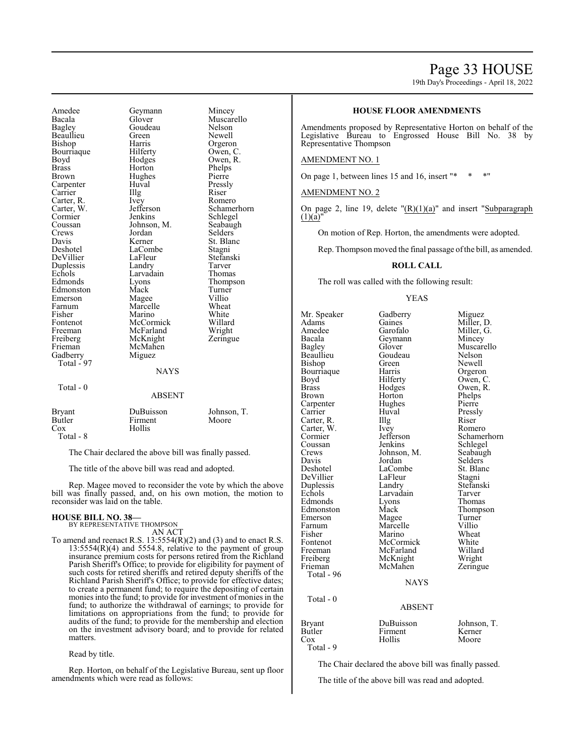## Page 33 HOUSE

19th Day's Proceedings - April 18, 2022

Amedee Geymann Mincey<br>Bacala Glover Muscar Bacala Glover Muscarello Beaullieu Green<br>Bishop Harris Bourriaque<br>Boyd Boyd Hodges Owen, R.<br>Brass Horton Phelps Brass Horton Phelps<br>Brown Hughes Pierre Carpenter Huval Pressl<br>Carrier Hugh Riser Carrier Illg Riser Carter, R. Ivey Romero<br>Carter, W. Jefferson Schame! Carter, W. Jefferson Schamerhorn<br>
Cormier Jenkins Schlegel Cormier Jenkins Schlegel<br>Coussan Johnson M. Seabaugh Crews Jordan Selders<br>
Davis Kerner St. Blan Davis Kerner St. Blanc<br>Deshotel LaCombe Stagni DeVillier LaFleur Stefans<br>Duplessis Landry Tarver Duplessis Landry Tarver<br>
Echols Larvadain Thomas Echols Larvadain<br>Edmonds Lyons Edmonston Mack Turne<br>
Emerson Magee Villio Emerson Magee Villio<br>
Farnum Marcelle Wheat Farnum Marcelle Wheat<br>
Fisher Marino White Fisher Marino White<br>Fontenot McCormick Willard Fontenot McCormick Willard Freeman McFarland<br>Freiberg McKnight Freiberg McKnight Zeringue<br>
Frieman McMahen Gadberry Total - 97 Total - 0

Goudeau Nelson<br>Green Newell Harris Orgeron<br>Hilferty Owen, C. Hughes Pierre<br>Huval Pressly Johnson, M. Seabaugh<br>Jordan Selders LaCombe Stagni<br>
LaFleur Stefanski McMahen<br>Miguez

Eyons Thompson<br>
Mack Turner

## NAYS

## ABSENT

Bryant DuBuisson Johnson, T. Butler Firment<br>Cox Hollis Hollis Total - 8

The Chair declared the above bill was finally passed.

The title of the above bill was read and adopted.

Rep. Magee moved to reconsider the vote by which the above bill was finally passed, and, on his own motion, the motion to reconsider was laid on the table.

#### **HOUSE BILL NO. 38—** BY REPRESENTATIVE THOMPSON

AN ACT To amend and reenact R.S.  $13:5554(R)(2)$  and (3) and to enact R.S.

13:5554(R)(4) and 5554.8, relative to the payment of group insurance premium costs for persons retired from the Richland Parish Sheriff's Office; to provide for eligibility for payment of such costs for retired sheriffs and retired deputy sheriffs of the Richland Parish Sheriff's Office; to provide for effective dates; to create a permanent fund; to require the depositing of certain monies into the fund; to provide for investment of monies in the fund; to authorize the withdrawal of earnings; to provide for limitations on appropriations from the fund; to provide for audits of the fund; to provide for the membership and election on the investment advisory board; and to provide for related matters.

Read by title.

Rep. Horton, on behalf of the Legislative Bureau, sent up floor amendments which were read as follows:

## **HOUSE FLOOR AMENDMENTS**

Amendments proposed by Representative Horton on behalf of the Legislative Bureau to Engrossed House Bill No. 38 by Representative Thompson

## AMENDMENT NO. 1

On page 1, between lines  $15$  and  $16$ , insert "\*

## AMENDMENT NO. 2

On page 2, line 19, delete  $T(R)(1)(a)$ " and insert "Subparagraph"  $(1)(a)'$ 

On motion of Rep. Horton, the amendments were adopted.

Rep. Thompson moved the final passage of the bill, as amended.

## **ROLL CALL**

The roll was called with the following result:

#### YEAS

Mr. Speaker Gadberry Miguez<br>Adams Gaines Miller, 1 Adams Gaines Miller, D.<br>Amedee Garofalo Miller, G. Amedee Garofalo Miller, G.<br>Bacala Geymann Mincey Bacala Geymann<br>Bagley Glover Glover Muscarello<br>Goudeau Nelson Beaullieu Goudeau Nelson<br>Bishop Green Newell Bishop Green Newell<br>Bourriaque Harris Orgeron Bourriaque Harris<br>Boyd Hilferty Boyd Hilferty Owen, C.<br>Brass Hodges Owen, R. Brass Hodges Owen, R. Horton Phelps<br>Hughes Pierre Carpenter Carrier Huval Pressly Carter, R. Illg. Riser Carter, W. Ivey Romero Carter, W. Ivey<br>Cormier Jefferson Cormier Jefferson Schamerhorn<br>
Coussan Jenkins Schlegel Coussan Jenkins Schlegel<br>Crews Johnson, M. Seabaugh Crews Johnson, M.<br>Davis Jordan Davis Jordan Selders<br>Deshotel LaCombe St. Blan LaCombe<br>
LaFleur Stagni DeVillier LaFleur Stagni<br>
Duplessis Landry Stefanski Duplessis Landry Stefans<br>Echols Larvadain Tarver Larvadain Tarver<br>Lyons Thomas Edmonds<br>
Edmonston Mack Mack Thompson<br>
Magee Turner Emerson Magee Turner<br>Farnum Marcelle Villio Farnum Marcelle Villio<br>Fisher Marino Wheat Fisher Marino Wheat<br>Fontenot McCormick White Fontenot McCormick White<br>
Freeman McFarland Willard Freeman McFarland Willard<br>
Freiberg McKnight Wright Freiberg McKnight Wright<br>
Frieman McMahen Zeringue McMahen Total - 96 **NAYS**  Total - 0 ABSENT Bryant DuBuisson Johnson, T.<br>Butler Firment Kerner Butler Firment<br>Cox Hollis

Total - 9

The Chair declared the above bill was finally passed.

Moore

The title of the above bill was read and adopted.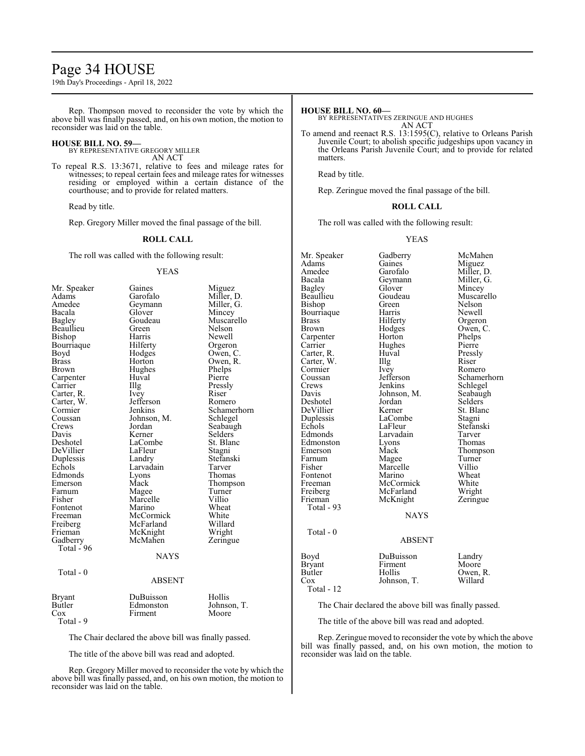## Page 34 HOUSE

19th Day's Proceedings - April 18, 2022

Rep. Thompson moved to reconsider the vote by which the above bill was finally passed, and, on his own motion, the motion to reconsider was laid on the table.

## **HOUSE BILL NO. 59—**

BY REPRESENTATIVE GREGORY MILLER AN ACT

To repeal R.S. 13:3671, relative to fees and mileage rates for witnesses; to repeal certain fees and mileage rates for witnesses residing or employed within a certain distance of the courthouse; and to provide for related matters.

Read by title.

Rep. Gregory Miller moved the final passage of the bill.

## **ROLL CALL**

The roll was called with the following result:

## YEAS

| Mr. Speaker   | Gaines        | Miguez      |
|---------------|---------------|-------------|
| Adams         | Garofalo      | Miller, D.  |
| Amedee        | Geymann       | Miller, G.  |
| Bacala        | Glover        | Mincey      |
| Bagley        | Goudeau       | Muscarello  |
| Beaullieu     | Green         | Nelson      |
| Bishop        | Harris        | Newell      |
| Bourriaque    | Hilferty      | Orgeron     |
| Boyd          | Hodges        | Owen, C.    |
| <b>Brass</b>  | Horton        | Owen, R.    |
| Brown         | Hughes        | Phelps      |
| Carpenter     | Huval         | Pierre      |
| Carrier       | Illg          | Pressly     |
| Carter, R.    | Ivey          | Riser       |
| Carter, W.    | Jefferson     | Romero      |
| Cormier       | Jenkins       | Schamerhorn |
| Coussan       | Johnson, M.   | Schlegel    |
| Crews         | Jordan        | Seabaugh    |
| Davis         | Kerner        | Selders     |
| Deshotel      | LaCombe       | St. Blanc   |
| DeVillier     | LaFleur       | Stagni      |
| Duplessis     | Landry        | Stefanski   |
| Echols        | Larvadain     | Tarver      |
| Edmonds       | Lyons         | Thomas      |
| Emerson       | Mack          | Thompson    |
| Farnum        | Magee         | Turner      |
| Fisher        | Marcelle      | Villio      |
| Fontenot      | Marino        | Wheat       |
| Freeman       | McCormick     | White       |
| Freiberg      | McFarland     | Willard     |
| Frieman       | McKnight      | Wright      |
| Gadberry      | McMahen       | Zeringue    |
| Total - 96    |               |             |
|               | <b>NAYS</b>   |             |
| Total - 0     |               |             |
|               | <b>ABSENT</b> |             |
| Bryant        | DuBuisson     | Hollis      |
| <b>Butler</b> | Edmonston     | Johnson, T. |
| Cox           | Firment       | Moore       |
| Total - 9     |               |             |
|               |               |             |

The Chair declared the above bill was finally passed.

The title of the above bill was read and adopted.

Rep. Gregory Miller moved to reconsider the vote by which the above bill was finally passed, and, on his own motion, the motion to reconsider was laid on the table.

## **HOUSE BILL NO. 60—**

BY REPRESENTATIVES ZERINGUE AND HUGHES AN ACT

To amend and reenact R.S. 13:1595(C), relative to Orleans Parish Juvenile Court; to abolish specific judgeships upon vacancy in the Orleans Parish Juvenile Court; and to provide for related matters.

Read by title.

Rep. Zeringue moved the final passage of the bill.

## **ROLL CALL**

The roll was called with the following result:

## YEAS

| Mr. Speaker   | Gadberry      | McMahen              |
|---------------|---------------|----------------------|
| Adams         | Gaines        | Miguez               |
| Amedee        | Garofalo      | Miller, D.           |
| Bacala        | Geymann       | Miller, G.           |
| Bagley        | Glover        | Mincey               |
| Beaullieu     | Goudeau       | Muscarello<br>Nelson |
| Bishop        | Green         |                      |
| Bourriaque    | Harris        | Newell               |
| Brass         | Hilferty      | Orgeron              |
| Brown         | Hodges        | Owen, C.             |
| Carpenter     | Horton        | Phelps               |
| Carrier       | Hughes        | Pierre               |
| Carter, R.    | Huval         | Pressly              |
| Carter, W.    | Illg          | Riser                |
| Cormier       | Ivey          | Romero               |
| Coussan       | Jefferson     | Schamerhorn          |
| Crews         | Jenkins       | Schlegel             |
| Davis         | Johnson, M.   | Seabaugh             |
| Deshotel      | Jordan        | Selders              |
| DeVillier     | Kerner        | St. Blanc            |
| Duplessis     | LaCombe       | Stagni               |
| Echols        | LaFleur       | Stefanski            |
| Edmonds       | Larvadain     | Tarver               |
| Edmonston     | Lyons         | Thomas               |
| Emerson       | Mack          | Thompson             |
| Farnum        | Magee         | Turner               |
| Fisher        | Marcelle      | Villio               |
| Fontenot      | Marino        | Wheat                |
| Freeman       | McCormick     | White                |
| Freiberg      | McFarland     | Wright               |
| Frieman       | McKnight      | Zeringue             |
| Total - 93    |               |                      |
|               | <b>NAYS</b>   |                      |
| Total - 0     |               |                      |
|               | <b>ABSENT</b> |                      |
| Boyd          | DuBuisson     | Landry               |
| <b>Bryant</b> | Firment       | Moore                |
| Butler        | Hollis        | Owen, R.             |
| Cox           | Johnson, T.   | Willard              |
| Total - 12    |               |                      |

The Chair declared the above bill was finally passed.

The title of the above bill was read and adopted.

Rep. Zeringue moved to reconsider the vote by which the above bill was finally passed, and, on his own motion, the motion to reconsider was laid on the table.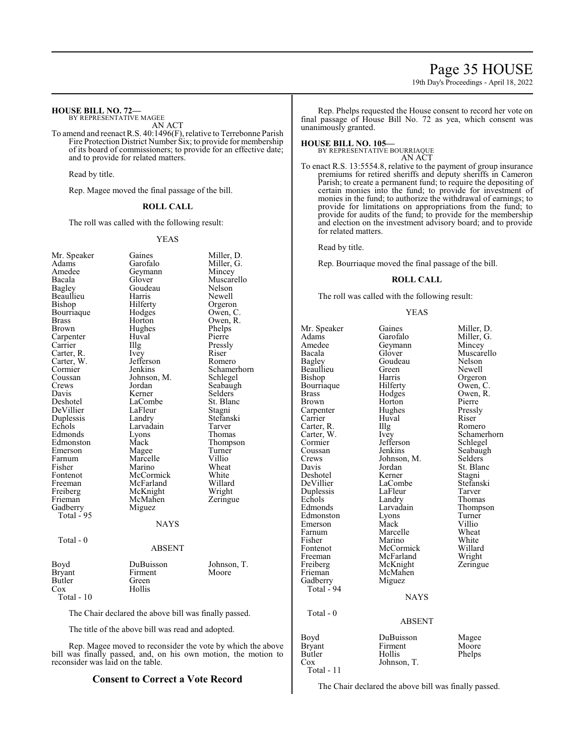## Page 35 HOUSE

19th Day's Proceedings - April 18, 2022

## **HOUSE BILL NO. 72—**

BY REPRESENTATIVE MAGEE AN ACT

To amend and reenact R.S. 40:1496(F), relative to Terrebonne Parish Fire Protection District Number Six; to provide for membership of its board of commissioners; to provide for an effective date; and to provide for related matters.

Read by title.

Rep. Magee moved the final passage of the bill.

## **ROLL CALL**

The roll was called with the following result:

## YEAS

| Mr. Speaker   | Gaines        | Miller, D.  |
|---------------|---------------|-------------|
| Adams         | Garofalo      | Miller, G.  |
| Amedee        | Geymann       | Mincey      |
| Bacala        | Glover        | Muscarello  |
| Bagley        | Goudeau       | Nelson      |
| Beaullieu     | Harris        | Newell      |
| Bishop        | Hilferty      | Orgeron     |
| Bourriaque    | Hodges        | Owen, C.    |
| <b>Brass</b>  | Horton        | Owen, R.    |
| Brown         | Hughes        | Phelps      |
| Carpenter     | Huval         | Pierre      |
| Carrier       | Illg          | Pressly     |
| Carter, R.    | <i>lvey</i>   | Riser       |
| Carter, W.    | Jefferson     | Romero      |
| Cormier       | Jenkins       | Schamerhorn |
| Coussan       | Johnson, M.   | Schlegel    |
| Crews         | Jordan        | Seabaugh    |
| Davis         | Kerner        | Selders     |
| Deshotel      | LaCombe       | St. Blanc   |
| DeVillier     | LaFleur       | Stagni      |
| Duplessis     | Landry        | Stefanski   |
| Echols        | Larvadain     | Tarver      |
| Edmonds       | Lyons         | Thomas      |
| Edmonston     | Mack          | Thompson    |
| Emerson       | Magee         | Turner      |
| Farnum        | Marcelle      | Villio      |
| Fisher        | Marino        | Wheat       |
| Fontenot      | McCormick     | White       |
| Freeman       | McFarland     | Willard     |
| Freiberg      | McKnight      | Wright      |
| Frieman       | McMahen       | Zeringue    |
| Gadberry      | Miguez        |             |
| Total - 95    |               |             |
|               | <b>NAYS</b>   |             |
| Total - 0     |               |             |
|               | <b>ABSENT</b> |             |
| Boyd          | DuBuisson     | Johnson, T. |
| <b>Bryant</b> | Firment       | Moore       |
| Butler        | Green         |             |
| Cox           | Hollis        |             |
| Total - 10    |               |             |
|               |               |             |

The Chair declared the above bill was finally passed.

The title of the above bill was read and adopted.

Rep. Magee moved to reconsider the vote by which the above bill was finally passed, and, on his own motion, the motion to reconsider was laid on the table.

## **Consent to Correct a Vote Record**

Rep. Phelps requested the House consent to record her vote on final passage of House Bill No. 72 as yea, which consent was unanimously granted.

## **HOUSE BILL NO. 105—**

BY REPRESENTATIVE BOURRIAQUE AN ACT

To enact R.S. 13:5554.8, relative to the payment of group insurance premiums for retired sheriffs and deputy sheriffs in Cameron Parish; to create a permanent fund; to require the depositing of certain monies into the fund; to provide for investment of monies in the fund; to authorize the withdrawal of earnings; to provide for limitations on appropriations from the fund; to provide for audits of the fund; to provide for the membership and election on the investment advisory board; and to provide for related matters.

Read by title.

Rep. Bourriaque moved the final passage of the bill.

## **ROLL CALL**

The roll was called with the following result:

## YEAS

Mr. Speaker Gaines Miller, D.<br>Adams Garofalo Miller, G. Adams Garofalo Miller, G.<br>Amedee Geymann Mincey Amedee Geymann<br>Bacala Glover Bacala Glover Muscarello<br>Bagley Goudeau Nelson Goudeau Nelson<br>Green Newell Beaullieu Green<br>Bishop Harris Harris Orgeron<br>Hilferty Owen, C. Bourriaque Hilferty<br>Brass Hodges Brass Hodges Owen, R. Brown Horton Pierre Carpenter Hughes Pressly<br>Carrier Huval Riser Carrier Huval Riser<br>Carter, R. Illg Romero Carter, R. Illg<br>Carter, W. Ivey Carter, W. Ivey Schamerhorn<br>
Cormier Jefferson Schlegel Cormier Jefferson<br>Coussan Jenkins Coussan Jenkins Seabaugh<br>Crews Johnson, M. Selders Crews Johnson, M.<br>Davis Jordan Jordan St. Blanc<br>Kerner Stagni Deshotel Kerner Stagni<br>
DeVillier LaCombe Stefanski LaCombe<br>LaFleur Tarver Duplessis LaFleu<br>Echols Landry Echols Landry Thomas<br>Edmonds Larvadain Thomas Larvadain Thompson<br>Lyons Turner Edmonston Lyons Turner<br>Emerson Mack Villio Emerson Mack Villio<br>
Farnum Marcelle Wheat Farnum Marcelle Wheat<br>
Fisher Marino White Fisher Marino White Fontenot McCormick Willard<br>
Freeman McFarland Wright Freeman McFarland Wright<br>
Freiberg McKnight Zeringue Freiberg McKnight<br>Frieman McMahen McMahen<br>Miguez Gadberry Total - 94 NAYS Total - 0 ABSENT Boyd DuBuisson Magee<br>Brvant Firment Moore Bryant Firmer<br>
Butler Hollis Butler Hollis Phelps<br>Cox Johnson, T. Johnson, T. Total - 11

The Chair declared the above bill was finally passed.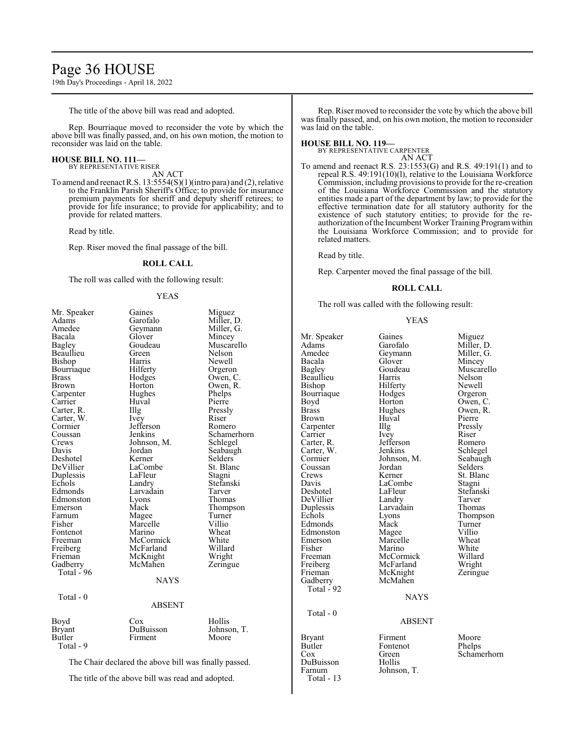## Page 36 HOUSE

19th Day's Proceedings - April 18, 2022

The title of the above bill was read and adopted.

Rep. Bourriaque moved to reconsider the vote by which the above bill was finally passed, and, on his own motion, the motion to reconsider was laid on the table.

#### **HOUSE BILL NO. 111—** BY REPRESENTATIVE RISER

AN ACT

To amend and reenact R.S. 13:5554(S)(1)(intro para) and (2), relative to the Franklin Parish Sheriff's Office; to provide for insurance premium payments for sheriff and deputy sheriff retirees; to provide for life insurance; to provide for applicability; and to provide for related matters.

Read by title.

Rep. Riser moved the final passage of the bill.

## **ROLL CALL**

The roll was called with the following result:

#### YEAS

| Mr. Speaker                                           | Gaines      | Miguez      |  |
|-------------------------------------------------------|-------------|-------------|--|
| Adams                                                 | Garofalo    | Miller, D.  |  |
| Amedee                                                | Geymann     | Miller, G.  |  |
| Bacala                                                | Glover      | Mincey      |  |
| Bagley                                                | Goudeau     | Muscarello  |  |
| Beaullieu                                             | Green       | Nelson      |  |
| Bishop                                                | Harris      | Newell      |  |
| Bourriaque                                            | Hilferty    | Orgeron     |  |
| <b>Brass</b>                                          | Hodges      | Owen, C.    |  |
| Brown                                                 | Horton      | Owen, R.    |  |
| Carpenter                                             | Hughes      | Phelps      |  |
| Carrier                                               | Huval       | Pierre      |  |
| Carter, R.                                            | Illg        | Pressly     |  |
| Carter, W.                                            | Ivey        | Riser       |  |
| Cormier                                               | Jefferson   | Romero      |  |
| Coussan                                               | Jenkins     | Schamerhorn |  |
| Crews                                                 | Johnson, M. | Schlegel    |  |
| Davis                                                 | Jordan      | Seabaugh    |  |
| Deshotel                                              | Kerner      | Selders     |  |
| DeVillier                                             | LaCombe     | St. Blanc   |  |
| Duplessis                                             | LaFleur     | Stagni      |  |
| Echols                                                | Landry      | Stefanski   |  |
| Edmonds                                               | Larvadain   | Tarver      |  |
| Edmonston                                             | Lyons       | Thomas      |  |
| Emerson                                               | Mack        | Thompson    |  |
| Farnum                                                | Magee       | Turner      |  |
| Fisher                                                | Marcelle    | Villio      |  |
| Fontenot                                              | Marino      | Wheat       |  |
| Freeman                                               | McCormick   | White       |  |
| Freiberg                                              | McFarland   | Willard     |  |
| Frieman                                               | McKnight    | Wright      |  |
| Gadberry                                              | McMahen     | Zeringue    |  |
| Total - 96                                            |             |             |  |
|                                                       | <b>NAYS</b> |             |  |
| Total - 0                                             |             |             |  |
| <b>ABSENT</b>                                         |             |             |  |
| Boyd                                                  | Cox         | Hollis      |  |
| <b>Bryant</b>                                         | DuBuisson   | Johnson, T. |  |
| Butler                                                | Firment     | Moore       |  |
| Total - 9                                             |             |             |  |
| The Chair declared the above bill was finally passed. |             |             |  |
|                                                       |             |             |  |

The title of the above bill was read and adopted.

Rep. Riser moved to reconsider the vote by which the above bill was finally passed, and, on his own motion, the motion to reconsider was laid on the table.

## **HOUSE BILL NO. 119—**

BY REPRESENTATIVE CARPENTER AN ACT

To amend and reenact R.S. 23:1553(G) and R.S. 49:191(1) and to repeal R.S. 49:191(10)(l), relative to the Louisiana Workforce Commission, including provisions to provide for the re-creation of the Louisiana Workforce Commission and the statutory entities made a part of the department by law; to provide for the effective termination date for all statutory authority for the existence of such statutory entities; to provide for the reauthorization ofthe Incumbent Worker Training Programwithin the Louisiana Workforce Commission; and to provide for related matters.

Read by title.

Rep. Carpenter moved the final passage of the bill.

## **ROLL CALL**

The roll was called with the following result:

## YEAS

Mr. Speaker Gaines Miguez<br>Adams Garofalo Miller, I Adams Garofalo Miller, D.<br>Amedee Geymann Miller, G. Amedee Geymann<br>Bacala Glover Bacala Glover Mincey Beaullieu – Harris – Nelson<br>Bishop – Hilferty – Newell Bishop Hilferty<br>Bourriaque Hodges Bourriaque Hodges Orgeron<br>Boyd Horton Owen, C Boyd Horton Owen, C.<br>Brass Hughes Owen, R. Brown Huval Pierre<br>Carpenter IIIg Pressly Carpenter IIIg Pressl<br>Carrier Ivey Riser Carrier Ivey Riser<br>Carter, R. Jefferson Romero Carter, W. Jenkins Schlegel<br>
Cormier Johnson, M. Seabaugh Cormier Johnson, M.<br>Coussan Jordan Coussan Jordan Selders<br>Crews Kerner St. Blan Crews Kerner St. Blanc<br>
Davis LaCombe Stagni Davis LaCombe<br>Deshotel LaFleur DeVillier Landry Tarver Duplessis Larvadain<br>Echols Lyons Edmonds Mack Turner<br>Edmonston Magee Villio Edmonston Magee Villio<br>
Emerson Marcelle Wheat Emerson Marcelle Wheat<br>
Fisher Marino White Fisher Marino White<br>Freeman McCormick Willard Freeman McCormick Willard<br>
Freiberg McFarland Wright Freiberg McFarland Wright<br>
Frieman McKnight Zeringue Gadberry Total - 92 Total - 0 Bryant Firment Moore<br>Butler Fontenot Phelps Butler Fontenot<br>Cox Green DuBuisson<br>Farnum

Total - 13

McKnight<br>McMahen

Goudeau Muscarello<br>Harris Nelson Hughes Owen, R.<br>Huval Pierre Jefferson Romero<br>
Jenkins Schlegel LaFleur Stefanski<br>Landrv Tarver Extension Lyons<br>
Extending Thompson<br>
Turner

## NAYS

#### ABSENT

Green Schamerhorn<br>Hollis Johnson, T.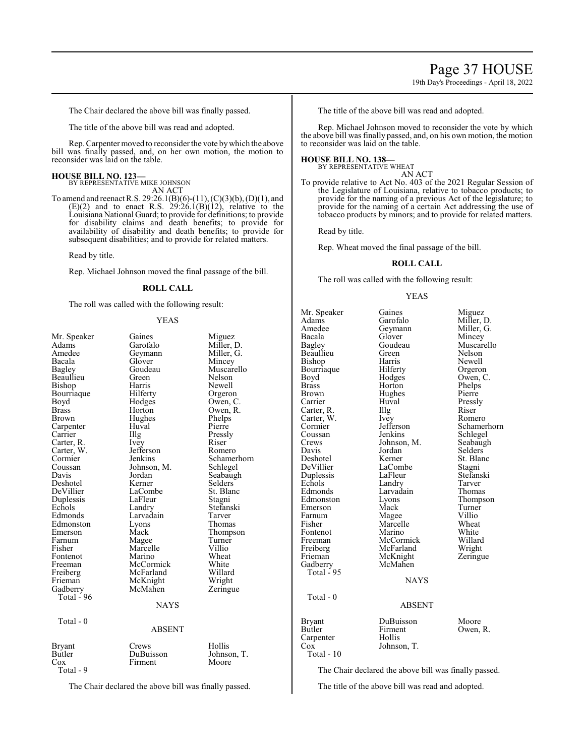19th Day's Proceedings - April 18, 2022

The Chair declared the above bill was finally passed.

The title of the above bill was read and adopted.

Rep. Carpenter moved to reconsider the vote bywhich the above bill was finally passed, and, on her own motion, the motion to reconsider was laid on the table.

## **HOUSE BILL NO. 123—**

BY REPRESENTATIVE MIKE JOHNSON AN ACT

To amend and reenact R.S. 29:26.1(B)(6)-(11), (C)(3)(b), (D)(1), and  $(E)(2)$  and to enact R.S.  $29:26.1(B)(12)$ , relative to the Louisiana National Guard; to provide for definitions; to provide for disability claims and death benefits; to provide for availability of disability and death benefits; to provide for subsequent disabilities; and to provide for related matters.

Read by title.

Rep. Michael Johnson moved the final passage of the bill.

## **ROLL CALL**

The roll was called with the following result:

## YEAS

| Mr. Speaker<br>Adams<br>Amedee<br>Bacala<br>Bagley<br>Beaullieu<br>Bishop<br>Bourriaque<br>Boyd<br>Brass<br>Brown<br>Carpenter<br>Carrier<br>Carter, R.<br>Carter, W.<br>Cormier<br>Coussan<br>Davis<br>Deshotel<br>DeVillier<br>Duplessis<br>Echols<br>Edmonds<br>Edmonston<br>Emerson<br>Farnum<br>Fisher<br>Fontenot<br>Freeman<br>Freiberg<br>Frieman<br>Gadberry<br>Total - 96 | Gaines<br>Garofalo<br>Geymann<br>Glover<br>Goudeau<br>Green<br>Harris<br>Hilferty<br>Hodges<br>Horton<br>Hughes<br>Huval<br>Illg<br>Ivey<br>Jefferson<br>Jenkins<br>Johnson, M.<br>Jordan<br>Kerner<br>LaCombe<br>LaFleur<br>Landry<br>Larvadain<br>Lyons<br>Mack<br>Magee<br>Marcelle<br>Marino<br>McCormick<br>McFarland<br>McKnight<br>McMahen<br><b>NAYS</b> | Miguez<br>Miller, D.<br>Miller, G.<br>Mincey<br>Muscarello<br>Nelson<br>Newell<br>Orgeron<br>Owen, C.<br>Owen, R.<br>Phelps<br>Pierre<br>Pressly<br>Riser<br>Romero<br>Schamerhorn<br>Schlegel<br>Seabaugh<br>Selders<br>St. Blanc<br>Stagni<br>Stefanski<br>Tarver<br>Thomas<br>Thompson<br>Turner<br>Villio<br>Wheat<br>White<br>Willard<br>Wright<br>Zeringue |
|-------------------------------------------------------------------------------------------------------------------------------------------------------------------------------------------------------------------------------------------------------------------------------------------------------------------------------------------------------------------------------------|------------------------------------------------------------------------------------------------------------------------------------------------------------------------------------------------------------------------------------------------------------------------------------------------------------------------------------------------------------------|------------------------------------------------------------------------------------------------------------------------------------------------------------------------------------------------------------------------------------------------------------------------------------------------------------------------------------------------------------------|
|                                                                                                                                                                                                                                                                                                                                                                                     |                                                                                                                                                                                                                                                                                                                                                                  |                                                                                                                                                                                                                                                                                                                                                                  |
| Total - 0                                                                                                                                                                                                                                                                                                                                                                           | <b>ABSENT</b>                                                                                                                                                                                                                                                                                                                                                    |                                                                                                                                                                                                                                                                                                                                                                  |
| <b>Bryant</b><br>Butler<br>Cox<br>Total - 9                                                                                                                                                                                                                                                                                                                                         | Crews<br>DuBuisson<br>Firment                                                                                                                                                                                                                                                                                                                                    | Hollis<br>Johnson, T.<br>Moore                                                                                                                                                                                                                                                                                                                                   |

The Chair declared the above bill was finally passed.

The title of the above bill was read and adopted.

Rep. Michael Johnson moved to reconsider the vote by which the above bill was finally passed, and, on his own motion, the motion to reconsider was laid on the table.

#### **HOUSE BILL NO. 138—**

BY REPRESENTATIVE WHEAT

- AN ACT
- To provide relative to Act No. 403 of the 2021 Regular Session of the Legislature of Louisiana, relative to tobacco products; to provide for the naming of a previous Act of the legislature; to provide for the naming of a certain Act addressing the use of tobacco products by minors; and to provide for related matters.

Read by title.

Rep. Wheat moved the final passage of the bill.

## **ROLL CALL**

The roll was called with the following result:

#### YEAS

Mr. Speaker Gaines Miguez<br>Adams Garofalo Miller, 1 Adams Garofalo Miller, D.<br>Amedee Geymann Miller, G. Amedee Geymann<br>Bacala Glover Bacala Glover Mincey Beaullieu Green Nelson<br>Bishon Harris Newell Bishop Harris Newell<br>Bourriaque Hilferty Orgeron Bourriaque Hilferty<br>Boyd Hodges Boyd Hodges Owen, C.<br>Brass Horton Phelps Brass Horton Phelps<br>Brown Hughes Pierre Brown Hughes<br>Carrier Huval Carter, R. Illg Riser Carter, W. Ivey Romero Carter, W. Ivey<br>Cormier Jefferson Cormier Jefferson Schamerhorn<br>Coussan Jenkins Schlegel Coussan Jenkins Schlegel<br>Crews Johnson, M. Seabaugh Crews Johnson, M.<br>Davis Jordan Davis Jordan Selders<br>Deshotel Kerner St. Blan DeVillier LaComb<br>
Duplessis LaFleur Duplessis LaFleur Stefanski Echols Landry Tarver<br>Edmonds Larvadain Thomas Edmonds Larvadain<br>Edmonston Lyons Emerson Mack Turner<br>
Farnum Magee Villio Farnum Magee Villio<br>Fisher Marcelle Wheat Fontenot Marino White<br>
Freeman McCormick Willard Freeman McCormick Willard<br>
Freiberg McFarland Wright Freiberg McFarland Wright<br>
Frieman McKnight Zeringue Frieman McKnight<br>Gadberry McMahen McMahen Total - 95 Total - 0 Carpenter

Goudeau Muscarello<br>Green Nelson Huval Pressly<br>Illg Riser Kerner St. Blanc<br>LaCombe Stagni Eyons Thompson<br>
Mack Turner Marcelle Wheat<br>Marino White

## NAYS

# ABSENT

Bryant DuBuisson Moore<br>Butler Firment Owen, Firment Owen, R.<br>Hollis Cox Johnson, T. Total - 10

The Chair declared the above bill was finally passed.

The title of the above bill was read and adopted.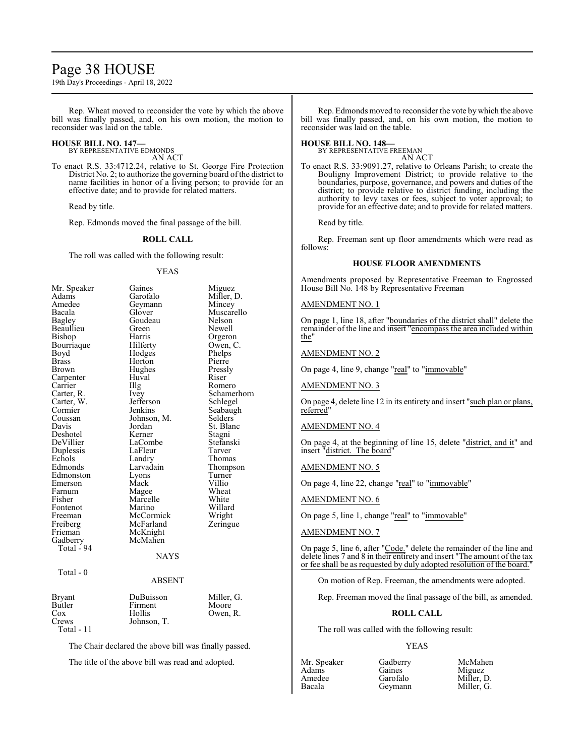## Page 38 HOUSE

19th Day's Proceedings - April 18, 2022

Rep. Wheat moved to reconsider the vote by which the above bill was finally passed, and, on his own motion, the motion to reconsider was laid on the table.

## **HOUSE BILL NO. 147—**

BY REPRESENTATIVE EDMONDS AN ACT

To enact R.S. 33:4712.24, relative to St. George Fire Protection District No. 2; to authorize the governing board of the district to name facilities in honor of a living person; to provide for an effective date; and to provide for related matters.

Read by title.

Rep. Edmonds moved the final passage of the bill.

## **ROLL CALL**

The roll was called with the following result:

#### YEAS

| Mr. Speaker   | Gaines        | Miguez      |
|---------------|---------------|-------------|
| Adams         | Garofalo      | Miller, D.  |
| Amedee        | Geymann       | Mincey      |
| Bacala        | Glover        | Muscarello  |
| Bagley        | Goudeau       | Nelson      |
| Beaullieu     | Green         | Newell      |
| Bishop        | Harris        | Orgeron     |
| Bourriaque    | Hilferty      | Owen, C.    |
| Boyd          | Hodges        | Phelps      |
| <b>Brass</b>  | Horton        | Pierre      |
| Brown         | Hughes        | Pressly     |
| Carpenter     | Huval         | Riser       |
| Carrier       | Illg          | Romero      |
| Carter, R.    | Ivey          | Schamerhorn |
| Carter, W.    | Jefferson     | Schlegel    |
| Cormier       | Jenkins       | Seabaugh    |
| Coussan       | Johnson, M.   | Selders     |
| Davis         | Jordan        | St. Blanc   |
| Deshotel      | Kerner        | Stagni      |
| DeVillier     | LaCombe       | Stefanski   |
| Duplessis     | LaFleur       | Tarver      |
| Echols        | Landry        | Thomas      |
| Edmonds       | Larvadain     | Thompson    |
| Edmonston     | Lyons         | Turner      |
| Emerson       | Mack          | Villio      |
| Farnum        | Magee         | Wheat       |
| Fisher        | Marcelle      | White       |
| Fontenot      | Marino        | Willard     |
| Freeman       | McCormick     | Wright      |
| Freiberg      | McFarland     | Zeringue    |
| Frieman       | McKnight      |             |
| Gadberry      | McMahen       |             |
| Total - 94    |               |             |
|               | <b>NAYS</b>   |             |
| Total - 0     |               |             |
|               | <b>ABSENT</b> |             |
| <b>Bryant</b> | DuBuisson     | Miller, G.  |
| Butler        | Firment       | Moore       |
| Cox           | Hollis        | Owen, R.    |
| Crews         | Johnson, T.   |             |
| $Total - 11$  |               |             |

The Chair declared the above bill was finally passed.

The title of the above bill was read and adopted.

Rep. Edmonds moved to reconsider the vote by which the above bill was finally passed, and, on his own motion, the motion to reconsider was laid on the table.

## **HOUSE BILL NO. 148—**

BY REPRESENTATIVE FREEMAN AN ACT

To enact R.S. 33:9091.27, relative to Orleans Parish; to create the Bouligny Improvement District; to provide relative to the boundaries, purpose, governance, and powers and duties of the district; to provide relative to district funding, including the authority to levy taxes or fees, subject to voter approval; to provide for an effective date; and to provide for related matters.

Read by title.

Rep. Freeman sent up floor amendments which were read as follows:

## **HOUSE FLOOR AMENDMENTS**

Amendments proposed by Representative Freeman to Engrossed House Bill No. 148 by Representative Freeman

## AMENDMENT NO. 1

On page 1, line 18, after "boundaries of the district shall" delete the remainder of the line and insert "encompass the area included within the"

## AMENDMENT NO. 2

On page 4, line 9, change "real" to "immovable"

AMENDMENT NO. 3

On page 4, delete line 12 in its entirety and insert "such plan or plans, referred"

## AMENDMENT NO. 4

On page 4, at the beginning of line 15, delete "district, and it" and insert "district. The board"

## AMENDMENT NO. 5

On page 4, line 22, change "real" to "immovable"

## AMENDMENT NO. 6

On page 5, line 1, change "real" to "immovable"

AMENDMENT NO. 7

On page 5, line 6, after "Code." delete the remainder of the line and delete lines 7 and 8 in their entirety and insert "The amount of the tax or fee shall be as requested by duly adopted resolution of the board."

On motion of Rep. Freeman, the amendments were adopted.

Rep. Freeman moved the final passage of the bill, as amended.

## **ROLL CALL**

The roll was called with the following result:

## YEAS

Mr. Speaker Gadberry McMahen<br>Adams Gaines Miguez Adams Gaines Miguez<br>Amedee Garofalo Miller. Amedee Garofalo Miller, D.<br>Bacala Geymann Miller, G.

Miller, G.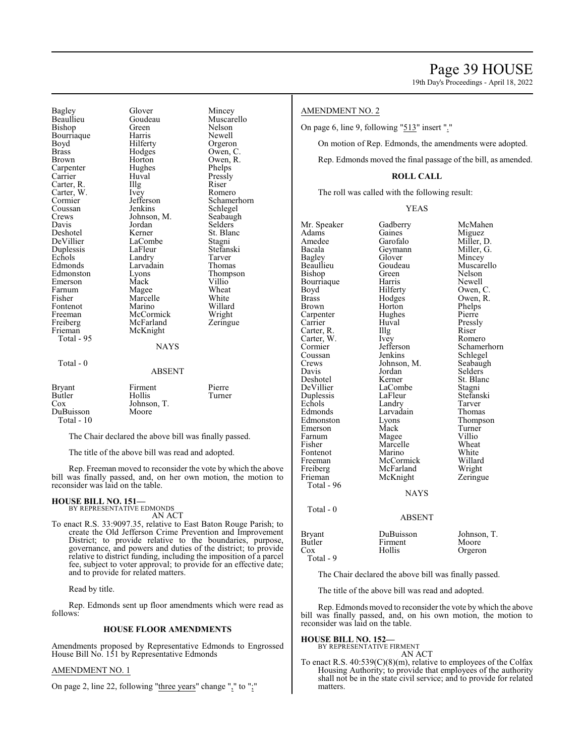19th Day's Proceedings - April 18, 2022

Bagley Glover Mincey Bishop Green Nelson Bourriaque Harris<br>Boyd Hilferty Boyd Hilferty Orgeron<br>Brass Hodges Owen, C Brown Horton Owen, R. Carpenter Hughes Phelps Carpenter Hughes Phelps<br>
Carrier Huval Pressly Carrier Huval Pressl<br>Carter, R. Illg Riser Carter, R. Illg Riser Carter, W. Ivey Romero Carter, W. Ivey<br>Cormier Jefferson Coussan Jenkins Schlegel<br>Crews Johnson, M. Seabaugh Crews Johnson, M. Seabaughter Seabaughter Seabaughter Seabaughter Seabaughter Seabaughter Seabaughter Seabaughter Seabaughter Seabaughter Seabaughter Seabaughter Seabaughter Seabaughter Seabaughter Seabaughter Seabaughter Davis Jordan Selders Deshotel Kerner St. Blanc<br>DeVillier LaCombe Stagni Duplessis LaFleur Stefans<br>Echols Landry Tarver Echols Landry Tarver<br>
Edmonds Larvadain Thomas Edmonston Lyons Thompson<br>Emerson Mack Villio Emerson Mack Villio<sup>T</sup><br>Farnum Magee Wheat Farnum Magee Wheat<br>
Fisher Marcelle White Fontenot Marino Willard<br>Freeman McCormick Wright Freeman McCormick Wright<br>
Freiberg McFarland Zeringue Freiberg McFarland<br>Frieman McKnight Total - 95 Total - 0

LaCombe<br>LaFleur Stefanski Marcelle White<br>Marino Willard McKnight **NAYS** 

Goudeau Muscarello<br>Green Nelson Owen,  $C$ . Cormier Jefferson Schamerhorn<br>
Coussan Jenkins Schlegel Larvadain Thomas<br>
Lyons Thompson

| Bryant      | Firment     | Pierre |
|-------------|-------------|--------|
| Butler      | Hollis      | Turner |
| Cox         | Johnson, T. |        |
| DuBuisson   | Moore       |        |
| Total $-10$ |             |        |

The Chair declared the above bill was finally passed.

ABSENT

The title of the above bill was read and adopted.

Rep. Freeman moved to reconsider the vote by which the above bill was finally passed, and, on her own motion, the motion to reconsider was laid on the table.

## **HOUSE BILL NO. 151—**

BY REPRESENTATIVE EDMONDS AN ACT

To enact R.S. 33:9097.35, relative to East Baton Rouge Parish; to create the Old Jefferson Crime Prevention and Improvement District; to provide relative to the boundaries, purpose, governance, and powers and duties of the district; to provide relative to district funding, including the imposition of a parcel fee, subject to voter approval; to provide for an effective date; and to provide for related matters.

Read by title.

Rep. Edmonds sent up floor amendments which were read as follows:

#### **HOUSE FLOOR AMENDMENTS**

Amendments proposed by Representative Edmonds to Engrossed House Bill No. 151 by Representative Edmonds

## AMENDMENT NO. 1

On page 2, line 22, following "three years" change "," to ";"

## AMENDMENT NO. 2

On page 6, line 9, following "513" insert "."

On motion of Rep. Edmonds, the amendments were adopted.

Rep. Edmonds moved the final passage of the bill, as amended.

## **ROLL CALL**

The roll was called with the following result:

## YEAS

Mr. Speaker Gadberry McMahen<br>Adams Gaines Miguez Adams Gaines Miguez Amedee Garofalo Miller, D.<br>Bacala Geymann Miller, G. Bacala Geymann Miller, G.<br>Bagley Glover Mincey Bagley Glover Mincey Beaullieu Goudeau Muscarello<br>Bishop Green Nelson Green Nelson<br>Harris Newell Bourriaque Harris<br>Boyd Hilferty Boyd Hilferty Owen, C.<br>Brass Hodges Owen, R. Brass Hodges Owen, R.<br>Brown Horton Phelps Horton Phelps<br>Hughes Pierre Carpenter Hughe<br>Carrier Huval Huval Pressly<br>Illg Riser Carter, R. Illg Riser<br>Carter. W. Ivev Romero Carter, W. Ivey<br>Cormier Jefferson Cormier Jefferson Schamerhorn<br>
Coussan Jenkins Schlegel Coussan Jenkins Schlegel<br>Crews Johnson, M. Seabaugh Crews Johnson, M.<br>Davis Jordan Davis Jordan Selders Deshotel Kerner St. Blanc<br>DeVillier LaCombe Stagni LaCombe<br>LaFleur Stagni<br>Stefanski Duplessis LaFleur Stefan:<br>Echols Landry Tarver Echols Landry Tarver<br>
Edmonds Larvadain Thomas Edmonds Larvadain<br>Edmonston Lyons Eyons Thompson<br>
Mack Turner Emerson Mack Turner<br>
Farnum Magee Villio Farnum Magee Villio<br>Fisher Marcelle Wheat Marcelle Wheat<br>Marino White Fontenot Marino White<br>
Freeman McCormick Willard Freeman McCormick Willard<br>
Freiberg McFarland Wright Freiberg McFarland Wright<br>
Frieman McKnight Zeringue McKnight Total - 96 NAYS Total - 0 ABSENT

|                                                                 | ADOLIN I |                                 |
|-----------------------------------------------------------------|----------|---------------------------------|
| Bryant<br>DuBuisson<br>Butler<br>Firment<br>Hollis<br>Total - 9 |          | Johnson, T.<br>Moore<br>Orgeron |
|                                                                 |          |                                 |

The Chair declared the above bill was finally passed.

The title of the above bill was read and adopted.

Rep. Edmonds moved to reconsider the vote by which the above bill was finally passed, and, on his own motion, the motion to reconsider was laid on the table.

**HOUSE BILL NO. 152—** BY REPRESENTATIVE FIRMENT AN ACT

To enact R.S. 40:539(C)(8)(m), relative to employees of the Colfax Housing Authority; to provide that employees of the authority shall not be in the state civil service; and to provide for related matters.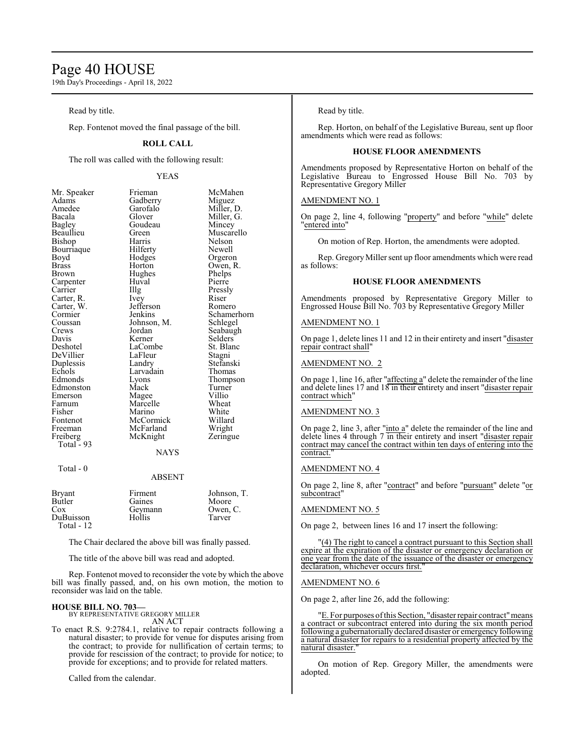## Page 40 HOUSE

19th Day's Proceedings - April 18, 2022

Read by title.

Rep. Fontenot moved the final passage of the bill.

## **ROLL CALL**

The roll was called with the following result:

## YEAS

| Mr. Speaker | Frieman     | McMahen     |
|-------------|-------------|-------------|
| Adams       | Gadberry    | Miguez      |
| Amedee      | Garofalo    | Miller, D.  |
| Bacala      | Glover      | Miller, G.  |
| Bagley      | Goudeau     | Mincey      |
| Beaullieu   | Green       | Muscarello  |
| Bishop      | Harris      | Nelson      |
| Bourriaque  | Hilferty    | Newell      |
| Boyd        | Hodges      | Orgeron     |
| Brass       | Horton      | Owen, R.    |
| Brown       | Hughes      | Phelps      |
| Carpenter   | Huval       | Pierre      |
| Carrier     | Illg        | Pressly     |
| Carter, R.  | Ivey        | Riser       |
| Carter, W.  | Jefferson   | Romero      |
| Cormier     | Jenkins     | Schamerhorn |
| Coussan     | Johnson, M. | Schlegel    |
| Crews       | Jordan      | Seabaugh    |
| Davis       | Kerner      | Selders     |
| Deshotel    | LaCombe     | St. Blanc   |
| DeVillier   | LaFleur     | Stagni      |
| Duplessis   | Landry      | Stefanski   |
| Echols      | Larvadain   | Thomas      |
| Edmonds     | Lyons       | Thompson    |
| Edmonston   | Mack        | Turner      |
| Emerson     | Magee       | Villio      |
| Farnum      | Marcelle    | Wheat       |
| Fisher      | Marino      | White       |
| Fontenot    | McCormick   | Willard     |
| Freeman     | McFarland   | Wright      |
| Freiberg    | McKnight    | Zeringue    |
| Total - 93  | NAYS        |             |
|             |             |             |

Total - 0

## ABSENT

| <b>Bryant</b><br>Butler<br>Cox<br>DuBuisson<br>Total - $12$ | Firment<br>Gaines<br>Geymann<br>Hollis | Johnson, T.<br>Moore<br>Owen, C.<br>Tarver |
|-------------------------------------------------------------|----------------------------------------|--------------------------------------------|
|                                                             |                                        |                                            |

The Chair declared the above bill was finally passed.

The title of the above bill was read and adopted.

Rep. Fontenot moved to reconsider the vote by which the above bill was finally passed, and, on his own motion, the motion to reconsider was laid on the table.

## **HOUSE BILL NO. 703—**

BY REPRESENTATIVE GREGORY MILLER AN ACT

To enact R.S. 9:2784.1, relative to repair contracts following a natural disaster; to provide for venue for disputes arising from the contract; to provide for nullification of certain terms; to provide for rescission of the contract; to provide for notice; to provide for exceptions; and to provide for related matters.

Called from the calendar.

## Read by title.

Rep. Horton, on behalf of the Legislative Bureau, sent up floor amendments which were read as follows:

## **HOUSE FLOOR AMENDMENTS**

Amendments proposed by Representative Horton on behalf of the Legislative Bureau to Engrossed House Bill No. 703 by Representative Gregory Miller

## AMENDMENT NO. 1

On page 2, line 4, following "property" and before "while" delete "entered into"

On motion of Rep. Horton, the amendments were adopted.

Rep. Gregory Miller sent up floor amendments which were read as follows:

## **HOUSE FLOOR AMENDMENTS**

Amendments proposed by Representative Gregory Miller to Engrossed House Bill No. 703 by Representative Gregory Miller

#### AMENDMENT NO. 1

On page 1, delete lines 11 and 12 in their entirety and insert "disaster repair contract shall"

## AMENDMENT NO. 2

On page 1, line 16, after "affecting a" delete the remainder of the line and delete lines 17 and 18 in their entirety and insert "disaster repair contract which"

## AMENDMENT NO. 3

On page 2, line 3, after "into a" delete the remainder of the line and delete lines 4 through 7 in their entirety and insert "disaster repair contract may cancel the contract within ten days of entering into the contract.

## AMENDMENT NO. 4

On page 2, line 8, after "contract" and before "pursuant" delete "or subcontract"

## AMENDMENT NO. 5

On page 2, between lines 16 and 17 insert the following:

(4) The right to cancel a contract pursuant to this Section shall expire at the expiration of the disaster or emergency declaration or one year from the date of the issuance of the disaster or emergency declaration, whichever occurs first."

## AMENDMENT NO. 6

On page 2, after line 26, add the following:

'E. For purposes of this Section, "disaster repair contract" means contract or subcontract entered into during the six month period following a gubernatorially declared disaster or emergency following a natural disaster for repairs to a residential property affected by the natural disaster.

On motion of Rep. Gregory Miller, the amendments were adopted.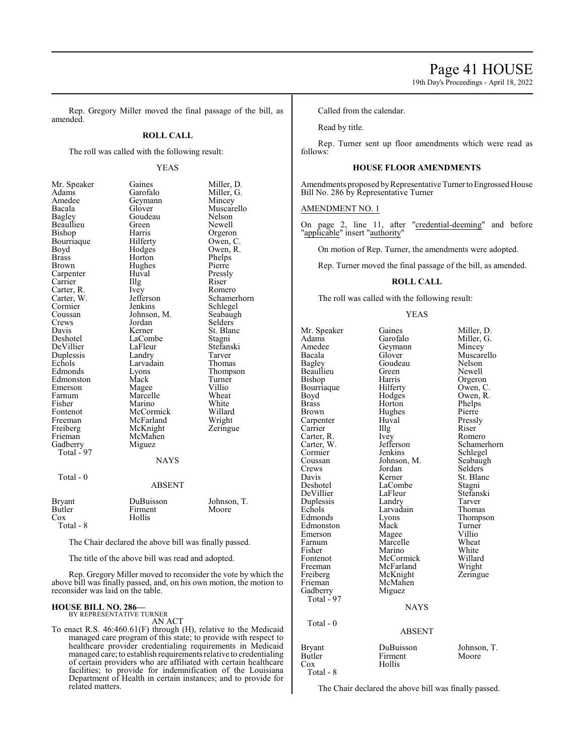19th Day's Proceedings - April 18, 2022

Rep. Gregory Miller moved the final passage of the bill, as amended.

## **ROLL CALL**

The roll was called with the following result:

## YEAS

| Mr. Speaker<br>Adams<br>Amedee<br>Bacala<br>Bagley<br>Beaullieu<br>Bishop<br>Bourriaque<br>Boyd<br><b>Brass</b><br>Brown<br>Carpenter<br>Carrier<br>Carter, R.<br>Carter, W.<br>Cormier<br>Coussan<br>Crews<br>Davis<br>Deshotel<br>DeVillier<br>Duplessis<br>Echols<br>Edmonds<br>Edmonston<br>Emerson<br>Farnum<br>Fisher<br>Fontenot<br>Freeman<br>Freiberg<br>Frieman<br>Gadberry<br>Total - 97 | Gaines<br>Garofalo<br>Geymann<br>Glover<br>Goudeau<br>Green<br>Harris<br>Hilferty<br>Hodges<br>Horton<br>Hughes<br>Huval<br>Illg<br>Ivey<br>Jefferson<br>Jenkins<br>Johnson, M.<br>Jordan<br>Kerner<br>LaCombe<br>LaFleur<br>Landry<br>Larvadain<br>Lyons<br>Mack<br>Magee<br>Marcelle<br>Marino<br>McCormick<br>McFarland<br>McKnight<br>McMahen<br>Miguez<br><b>NAYS</b> | Miller, D.<br>Miller, G.<br>Mincey<br>Muscarello<br>Nelson<br>Newell<br>Orgeron<br>Owen, C.<br>Owen, R.<br>Phelps<br>Pierre<br>Pressly<br>Riser<br>Romero<br>Schamerhorn<br>Schlegel<br>Seabaugh<br>Selders<br>St. Blanc<br>Stagni<br>Stefanski<br>Tarver<br>Thomas<br>Thompson<br>Turner<br>Villio<br>Wheat<br>White<br>Willard<br>Wright<br>Zeringue |
|-----------------------------------------------------------------------------------------------------------------------------------------------------------------------------------------------------------------------------------------------------------------------------------------------------------------------------------------------------------------------------------------------------|----------------------------------------------------------------------------------------------------------------------------------------------------------------------------------------------------------------------------------------------------------------------------------------------------------------------------------------------------------------------------|--------------------------------------------------------------------------------------------------------------------------------------------------------------------------------------------------------------------------------------------------------------------------------------------------------------------------------------------------------|
| Total - 0                                                                                                                                                                                                                                                                                                                                                                                           | <b>ABSENT</b>                                                                                                                                                                                                                                                                                                                                                              |                                                                                                                                                                                                                                                                                                                                                        |
| <b>Bryant</b><br>Butler<br>$\cos$<br>Total - 8                                                                                                                                                                                                                                                                                                                                                      | DuBuisson<br>Firment<br>Hollis                                                                                                                                                                                                                                                                                                                                             | Johnson, T.<br>Moore                                                                                                                                                                                                                                                                                                                                   |

The Chair declared the above bill was finally passed.

The title of the above bill was read and adopted.

Rep. Gregory Miller moved to reconsider the vote by which the above bill was finally passed, and, on his own motion, the motion to reconsider was laid on the table.

#### **HOUSE BILL NO. 286—** BY REPRESENTATIVE TURNER

AN ACT

To enact R.S. 46:460.61(F) through (H), relative to the Medicaid managed care program of this state; to provide with respect to healthcare provider credentialing requirements in Medicaid managed care; to establish requirements relative to credentialing of certain providers who are affiliated with certain healthcare facilities; to provide for indemnification of the Louisiana Department of Health in certain instances; and to provide for related matters.

Called from the calendar.

Read by title.

Rep. Turner sent up floor amendments which were read as follows:

## **HOUSE FLOOR AMENDMENTS**

Amendments proposed by Representative Turner to Engrossed House Bill No. 286 by Representative Turner

## AMENDMENT NO. 1

On page 2, line 11, after "credential-deeming" and before "applicable" insert "authority"

On motion of Rep. Turner, the amendments were adopted.

Rep. Turner moved the final passage of the bill, as amended.

## **ROLL CALL**

The roll was called with the following result:

#### YEAS

Mr. Speaker Gaines Miller, D. Adams Garofalo Miller, G.<br>Amedee Geymann Mincey Amedee Geymann<br>Bacala Glover Bacala Glover Muscarello<br>Bagley Goudeau Nelson Beaullieu Green<br>Bishop Harris Bourriaque Hilferty<br>Boyd Hodges Boyd Hodges Owen, R.<br>Brass Horton Phelps Brass Horton Phelps Carpenter Huval Pressl<br>Carrier Hugh Riser Carrier IIIg Riser<br>Carter, R. Ivev Romero Carter, R. Ivey Romero<br>Carter, W. Jefferson Schamerhorn Carter, W. Jefferson Schamer<br>Cormier Jenkins Schlegel Cormier Jenkins Schlegel<br>Coussan Johnson, M. Seabaugh Coussan Johnson, M. Seabaugh<br>Crews Jordan Selders Crews Jordan<br>Davis Kerner Davis Kerner St. Blanc<br>Deshotel LaCombe Stagni DeVillier LaFleur Stefans<br>Duplessis Landry Tarver Duplessis Landry Tarver Echols Larvadain<br>Edmonds Lyons Edmonston Mack Turner<br>Emerson Magee Villio Emerson Magee Villio<br>Farnum Marcelle Wheat Farnum Marcelle Wheat<br>Fisher Marino White Fisher Marino White Fontenot McCormick Willard<br>
Freeman McFarland Wright Freeman McFarland Wright<br>
Freiberg McKnight Zeringue McKnight Frieman McMahen<br>Gadberry Miguez Gadberry Total - 97 Total - 0

Goudeau Nelson<br>Green Newell Harris Orgeron<br>Hilferty Owen, C. Hughes Pierre<br>Huval Pressly LaCombe Stagni<br>LaFleur Stefanski Lyons Thompson<br>Mack Turner

## **NAYS**

## ABSENT

| Bryant    | DuBuisson | Johnson, T. |
|-----------|-----------|-------------|
| Butler    | Firment   | Moore       |
| Cox       | Hollis    |             |
| Total - 8 |           |             |

The Chair declared the above bill was finally passed.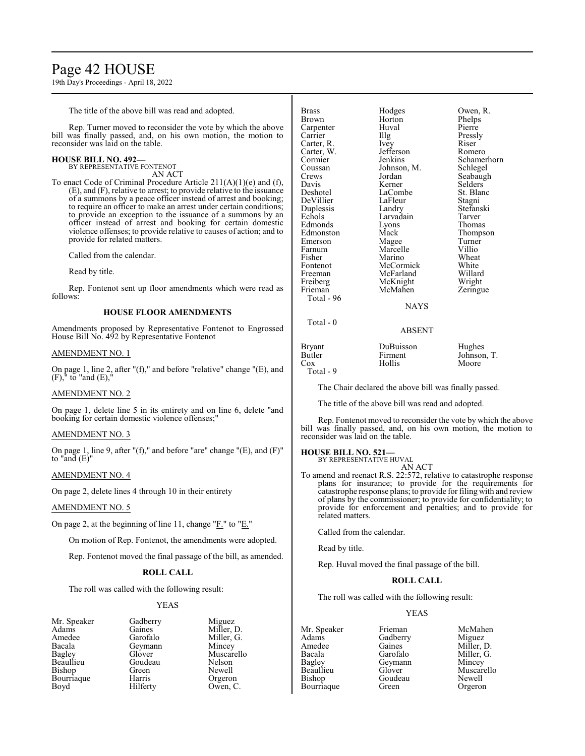## Page 42 HOUSE

19th Day's Proceedings - April 18, 2022

The title of the above bill was read and adopted.

Rep. Turner moved to reconsider the vote by which the above bill was finally passed, and, on his own motion, the motion to reconsider was laid on the table.

## **HOUSE BILL NO. 492—**

BY REPRESENTATIVE FONTENOT AN ACT

To enact Code of Criminal Procedure Article 211(A)(1)(e) and (f), (E), and (F), relative to arrest; to provide relative to the issuance of a summons by a peace officer instead of arrest and booking; to require an officer to make an arrest under certain conditions; to provide an exception to the issuance of a summons by an officer instead of arrest and booking for certain domestic violence offenses; to provide relative to causes of action; and to provide for related matters.

Called from the calendar.

Read by title.

Rep. Fontenot sent up floor amendments which were read as follows:

## **HOUSE FLOOR AMENDMENTS**

Amendments proposed by Representative Fontenot to Engrossed House Bill No. 492 by Representative Fontenot

## AMENDMENT NO. 1

On page 1, line 2, after "(f)," and before "relative" change "(E), and (F)," to "and (E),"

## AMENDMENT NO. 2

On page 1, delete line 5 in its entirety and on line 6, delete "and booking for certain domestic violence offenses;"

## AMENDMENT NO. 3

On page 1, line 9, after "(f)," and before "are" change "(E), and (F)" to "and  $(E)$ "

## AMENDMENT NO. 4

On page 2, delete lines 4 through 10 in their entirety

## AMENDMENT NO. 5

On page 2, at the beginning of line 11, change " $E$ ." to " $E$ ."

On motion of Rep. Fontenot, the amendments were adopted.

Rep. Fontenot moved the final passage of the bill, as amended.

## **ROLL CALL**

The roll was called with the following result:

## YEAS

Mr. Speaker Gadberry Miguez<br>Adams Gaines Miller, 1 Bacala Geymann Mincey Beaullieu Goude<br>Bishop Green Bourriaque Harris Orgeron<br>Boyd Hilferty Owen, C

Adams Gaines Miller, D.<br>Amedee Garofalo Miller, G. Amedee Garofalo Miller, G.<br>Bacala Geymann Mincey Glover Muscarello<br>Goudeau Nelson Newell Owen, C.

| <b>Brass</b>  | Hodges        | Owen, R.    |
|---------------|---------------|-------------|
| Brown         | Horton        | Phelps      |
| Carpenter     | Huval         | Pierre      |
| Carrier       | Illg          | Pressly     |
| Carter, R.    | <i>lvey</i>   | Riser       |
| Carter, W.    | Jefferson     | Romero      |
| Cormier       | Jenkins       | Schamerhorn |
| Coussan       | Johnson, M.   | Schlegel    |
| Crews         | Jordan        | Seabaugh    |
| Davis         | Kerner        | Selders     |
| Deshotel      | LaCombe       | St. Blanc   |
| DeVillier     | LaFleur       | Stagni      |
| Duplessis     | Landry        | Stefanski   |
| Echols        | Larvadain     | Tarver      |
| Edmonds       | Lyons         | Thomas      |
| Edmonston     | Mack          | Thompson    |
| Emerson       | Magee         | Turner      |
| Farnum        | Marcelle      | Villio      |
| Fisher        | Marino        | Wheat       |
| Fontenot      | McCormick     | White       |
| Freeman       | McFarland     | Willard     |
| Freiberg      | McKnight      | Wright      |
| Frieman       | McMahen       | Zeringue    |
| Total - 96    |               |             |
|               | <b>NAYS</b>   |             |
| Total - 0     |               |             |
|               | <b>ABSENT</b> |             |
| <b>Bryant</b> | DuBuisson     | Hughes      |
| Butler        | Firment       | Johnson, T. |
| Cox           | Hollis        | Moore       |

Total - 9

The Chair declared the above bill was finally passed.

The title of the above bill was read and adopted.

Rep. Fontenot moved to reconsider the vote by which the above bill was finally passed, and, on his own motion, the motion to reconsider was laid on the table.

## **HOUSE BILL NO. 521—**

BY REPRESENTATIVE HUVAL AN ACT

To amend and reenact R.S. 22:572, relative to catastrophe response plans for insurance; to provide for the requirements for catastrophe response plans; to provide for filing with and review of plans by the commissioner; to provide for confidentiality; to provide for enforcement and penalties; and to provide for related matters.

Called from the calendar.

Read by title.

Rep. Huval moved the final passage of the bill.

## **ROLL CALL**

The roll was called with the following result:

## YEAS

Mr. Speaker Frieman McMahen<br>Adams Gadberry Miguez Adams Gadberry<br>Amedee Gaines Amedee Gaines Miller, D.<br>Bacala Garofalo Miller. G. Bacala Garofalo Miller, G. Bagley Geymann<br>Beaullieu Glover Bourriaque

Beaullieu Glover Muscarello<br>Bishop Goudeau Newell Goudeau Newell<br>Green Orgeron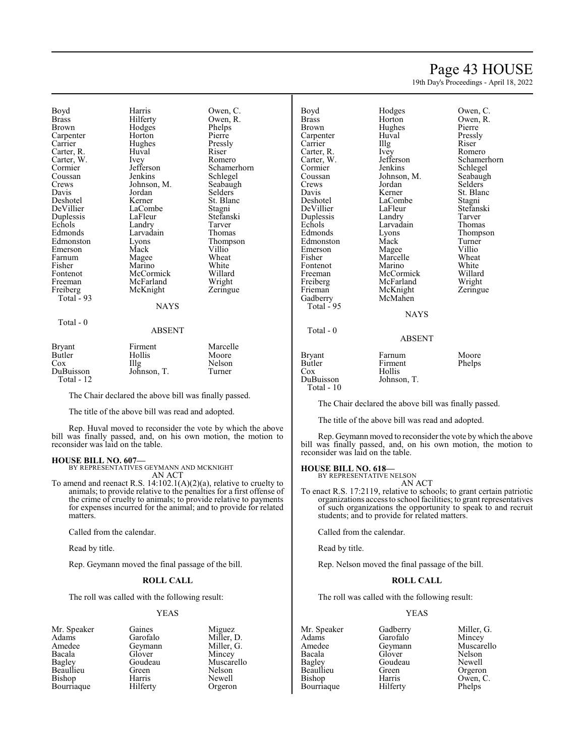## Page 43 HOUSE

19th Day's Proceedings - April 18, 2022

Boyd Harris Owen, C.<br>Brass Hilferty Owen, R. Brass Hilferty Owen, R. Carpenter Horton Pierre<br>Carrier Hughes Pressly Carter, R. Carter, W. Ivey Romero<br>Cormier Jefferson Schame! Cormier Jefferson Schamerhorn<br>
Coussan Jenkins Schlegel Coussan Jenkins Schlegel<br>Crews Johnson, M. Seabaugh Crews Johnson, M. Seabaugh<br>
Davis Jordan Selders Davis Jordan<br>Deshotel Kerner Deshotel Kerner St. Blanc<br>DeVillier LaCombe Stagni Duplessis LaFleur Stefans<br>Echols Landry Tarver Echols Landry Tarver Edmonds Larvadain Thomas<br>Edmonston Lyons Thomps Emerson Mack Villio<br>
Farnum Magee Wheat Farnum Magee Wheat<br>
Fisher Marino White Fisher Marino White<br>Fontenot McCormick Willard Fontenot McCormick Willard<br>Freeman McFarland Wright Freiberg McKnight Zeringue Total - 93

Total - 0

Hodges Phelps<br>Horton Pierre Hughes Pressl<br>Huval Riser

LaCombe<br>
LaFleur Stefanski Eyons Thompson<br>
Mack Villio McFarland Wright<br>
McKnight Zeringue

## ABSENT

**NAYS** 

| <b>Bryant</b> | Firment     | Marcelle |
|---------------|-------------|----------|
| Butler        | Hollis      | Moore    |
| Cox           | Illg        | Nelson   |
| DuBuisson     | Johnson, T. | Turner   |
| Total - $12$  |             |          |

The Chair declared the above bill was finally passed.

The title of the above bill was read and adopted.

Rep. Huval moved to reconsider the vote by which the above bill was finally passed, and, on his own motion, the motion to reconsider was laid on the table.

## **HOUSE BILL NO. 607—**

BY REPRESENTATIVES GEYMANN AND MCKNIGHT AN ACT

To amend and reenact R.S. 14:102.1(A)(2)(a), relative to cruelty to animals; to provide relative to the penalties for a first offense of the crime of cruelty to animals; to provide relative to payments for expenses incurred for the animal; and to provide for related matters.

Called from the calendar.

Read by title.

Rep. Geymann moved the final passage of the bill.

## **ROLL CALL**

The roll was called with the following result:

## YEAS

Mr. Speaker Gaines Miguez<br>Adams Garofalo Miller, 1 Adams Garofalo Miller, D.<br>Amedee Geymann Miller, G. Amedee Geymann<br>Bacala Glover Bacala Glover Mincey Beaullieu Green Nelson Bishop Harris Newell<br>Bourriaque Hilferty Orgeron **Bourriaque** 

Goudeau Muscarello<br>Green Nelson

| Boyd         | Hodges          | Owen, C.  |
|--------------|-----------------|-----------|
| <b>Brass</b> | Horton          | Owen, R.  |
| Brown        | Hughes          | Pierre    |
| Carpenter    | Huval           | Pressly   |
| Carrier      | Illg            | Riser     |
| Carter, R.   | Ivey            | Romero    |
| Carter, W.   | Jefferson       | Schamerh  |
| Cormier      | Jenkins         | Schlegel  |
| Coussan      | Johnson, M.     | Seabaugh  |
| Crews        | Jordan          | Selders   |
| Davis        | Kerner          | St. Blanc |
| Deshotel     | LaCombe         | Stagni    |
| DeVillier    | LaFleur         | Stefanski |
| Duplessis    | Landry          | Tarver    |
| Echols       | Larvadain       | Thomas    |
| Edmonds      | Lyons           | Thompson  |
| Edmonston    | Mack            | Turner    |
| Emerson      | Magee           | Villio    |
| Fisher       | Marcelle        | Wheat     |
| Fontenot     | Marino          | White     |
| Freeman      | McCormick       | Willard   |
| Freiberg     | McFarland       | Wright    |
| Frieman      | McKnight        | Zeringue  |
| Gadberry     | McMahen         |           |
| Total - 95   |                 |           |
|              | <b>NAYS</b>     |           |
| Total - 0    |                 |           |
|              | <b>A D CENT</b> |           |

Jefferson Schamerhorn<br>Jenkins Schlegel Schlegel<br>Seabaugh St. Blanc<br>Stagni Stefanski<br>Tarver Eyons Thompson<br>
Mack Turner Turner<br>Villio

Bryant Farnum Moore<br>Butler Firment Phelps Butler Firment<br>Cox Hollis Cox Hollis Johnson, T. Total - 10

The Chair declared the above bill was finally passed.

ABSENT

The title of the above bill was read and adopted.

Rep. Geymann moved to reconsider the vote by which the above bill was finally passed, and, on his own motion, the motion to reconsider was laid on the table.

## **HOUSE BILL NO. 618—**

BY REPRESENTATIVE NELSON AN ACT

To enact R.S. 17:2119, relative to schools; to grant certain patriotic organizations access to school facilities; to grant representatives of such organizations the opportunity to speak to and recruit students; and to provide for related matters.

Called from the calendar.

Read by title.

Rep. Nelson moved the final passage of the bill.

## **ROLL CALL**

The roll was called with the following result:

## YEAS

Mr. Speaker Gadberry Miller, G.<br>Adams Garofalo Mincey Amedee Geymann Muscarello<br>Racala Glover Nelson Bacala Glover Nelson Bagley Goudeau Newell<br>Beaullieu Green Orgeron Beaullieu Green<br>Bishop Harris Bourriaque

Adams Garofalo Mincey Harris Owen, C.<br>Hilferty Phelps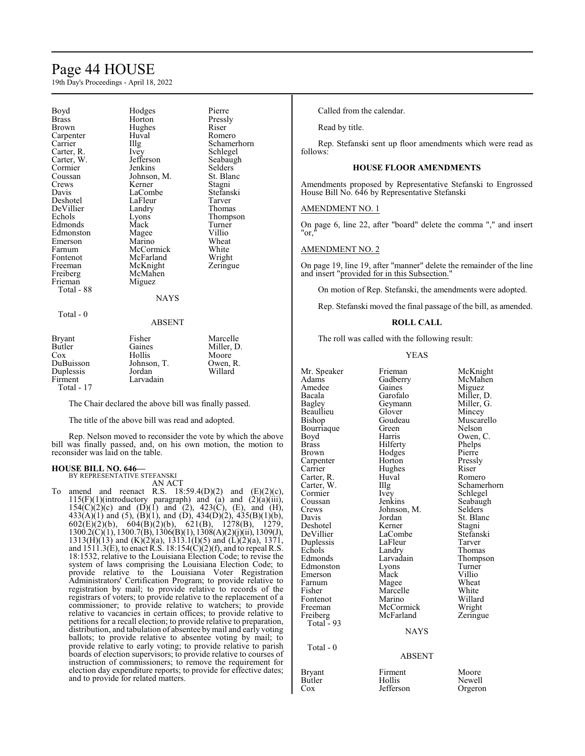## Page 44 HOUSE

19th Day's Proceedings - April 18, 2022

| Boyd         | Hodges      | Pierre      |
|--------------|-------------|-------------|
| <b>Brass</b> | Horton      | Pressly     |
| Brown        | Hughes      | Riser       |
| Carpenter    | Huval       | Romero      |
| Carrier      | Illg        | Schamerhorn |
| Carter, R.   | Ivey        | Schlegel    |
| Carter, W.   | Jefferson   | Seabaugh    |
| Cormier      | Jenkins     | Selders     |
| Coussan      | Johnson, M. | St. Blanc   |
| Crews        | Kerner      | Stagni      |
| Davis        | LaCombe     | Stefanski   |
| Deshotel     | LaFleur     | Tarver      |
| DeVillier    | Landry      | Thomas      |
| Echols       | Lyons       | Thompson    |
| Edmonds      | Mack        | Turner      |
| Edmonston    | Magee       | Villio      |
| Emerson      | Marino      | Wheat       |
| Farnum       | McCormick   | White       |
| Fontenot     | McFarland   | Wright      |
| Freeman      | McKnight    | Zeringue    |
| Freiberg     | McMahen     |             |
| Frieman      | Miguez      |             |
| Total - 88   |             |             |
|              | <b>NAYS</b> |             |
| Total - 0    |             |             |
|              | ABSENT      |             |

## ABSENT

| <b>Bryant</b> | Fisher      | Marcelle   |
|---------------|-------------|------------|
| Butler        | Gaines      | Miller, D. |
| Cox           | Hollis      | Moore      |
| DuBuisson     | Johnson, T. | Owen, R.   |
| Duplessis     | Jordan      | Willard    |
| Firment       | Larvadain   |            |
| Total - 17    |             |            |

The Chair declared the above bill was finally passed.

The title of the above bill was read and adopted.

Rep. Nelson moved to reconsider the vote by which the above bill was finally passed, and, on his own motion, the motion to reconsider was laid on the table.

#### **HOUSE BILL NO. 646—** BY REPRESENTATIVE STEFANSKI

AN ACT

amend and reenact R.S.  $18:59.4(D)(2)$  and  $(E)(2)(c)$ ,  $115(F)(1)$ (introductory paragraph) and (a) and  $(2)(a)(iii)$ ,  $154(C)(2)(c)$  and  $(D)(1)$  and  $(2)$ ,  $423(C)$ ,  $(E)$ , and  $(H)$ ,  $433(A)(1)$  and  $(5)$ ,  $(B)(1)$ , and  $(D)$ ,  $434(D)(2)$ ,  $435(B)(1)(b)$ , 602(E)(2)(b), 604(B)(2)(b), 621(B), 1278(B), 1279, 1300.2(C)(1), 1300.7(B), 1306(B)(1), 1308(A)(2)(j)(ii), 1309(J), 1313(H)(13) and (K)(2)(a), 1313.1(I)(5) and (L)(2)(a), 1371, and  $1511.3(E)$ , to enact R.S.  $18:154(\overline{C})(2)(f)$ , and to repeal R.S. 18:1532, relative to the Louisiana Election Code; to revise the system of laws comprising the Louisiana Election Code; to provide relative to the Louisiana Voter Registration Administrators' Certification Program; to provide relative to registration by mail; to provide relative to records of the registrars of voters; to provide relative to the replacement of a commissioner; to provide relative to watchers; to provide relative to vacancies in certain offices; to provide relative to petitions for a recall election; to provide relative to preparation, distribution, and tabulation of absentee bymail and early voting ballots; to provide relative to absentee voting by mail; to provide relative to early voting; to provide relative to parish boards of election supervisors; to provide relative to courses of instruction of commissioners; to remove the requirement for election day expenditure reports; to provide for effective dates; and to provide for related matters.

Called from the calendar.

Read by title.

Rep. Stefanski sent up floor amendments which were read as follows:

## **HOUSE FLOOR AMENDMENTS**

Amendments proposed by Representative Stefanski to Engrossed House Bill No. 646 by Representative Stefanski

AMENDMENT NO. 1

On page 6, line 22, after "board" delete the comma "," and insert "or,"

## AMENDMENT NO. 2

On page 19, line 19, after "manner" delete the remainder of the line and insert "provided for in this Subsection."

On motion of Rep. Stefanski, the amendments were adopted.

Rep. Stefanski moved the final passage of the bill, as amended.

## **ROLL CALL**

The roll was called with the following result:

## YEAS

| Mr. Speaker  | Frieman       | McKnight    |
|--------------|---------------|-------------|
| Adams        | Gadberry      | McMahen     |
| Amedee       | Gaines        | Miguez      |
| Bacala       | Garofalo      | Miller, D.  |
| Bagley       | Geymann       | Miller, G.  |
| Beaullieu    | Glover        | Mincey      |
| Bishop       | Goudeau       | Muscarello  |
| Bourriaque   | Green         | Nelson      |
| Boyd         | Harris        | Owen, C.    |
| Brass        | Hilferty      | Phelps      |
| <b>Brown</b> | Hodges        | Pierre      |
| Carpenter    | Horton        | Pressly     |
| Carrier      | Hughes        | Riser       |
| Carter, R.   | Huval         | Romero      |
| Carter, W.   | Illg          | Schamerhorn |
| Cormier      | <i>lvey</i>   | Schlegel    |
| Coussan      | Jenkins       | Seabaugh    |
| Crews        | Johnson, M.   | Selders     |
| Davis        | Jordan        | St. Blanc   |
| Deshotel     | Kerner        | Stagni      |
| DeVillier    | LaCombe       | Stefanski   |
| Duplessis    | LaFleur       | Tarver      |
| Echols       | Landry        | Thomas      |
| Edmonds      | Larvadain     | Thompson    |
| Edmonston    | Lyons         | Turner      |
| Emerson      | Mack          | Villio      |
| Farnum       | Magee         | Wheat       |
| Fisher       | Marcelle      | White       |
| Fontenot     | Marino        | Willard     |
| Freeman      | McCormick     | Wright      |
| Freiberg     | McFarland     | Zeringue    |
| Total $-93$  |               |             |
|              | <b>NAYS</b>   |             |
| Total - 0    |               |             |
|              | <b>ABSENT</b> |             |
| Bryant       | Firment       | Moore       |
| Butler       | Hollis        | Newell      |

Cox Jefferson Orgeron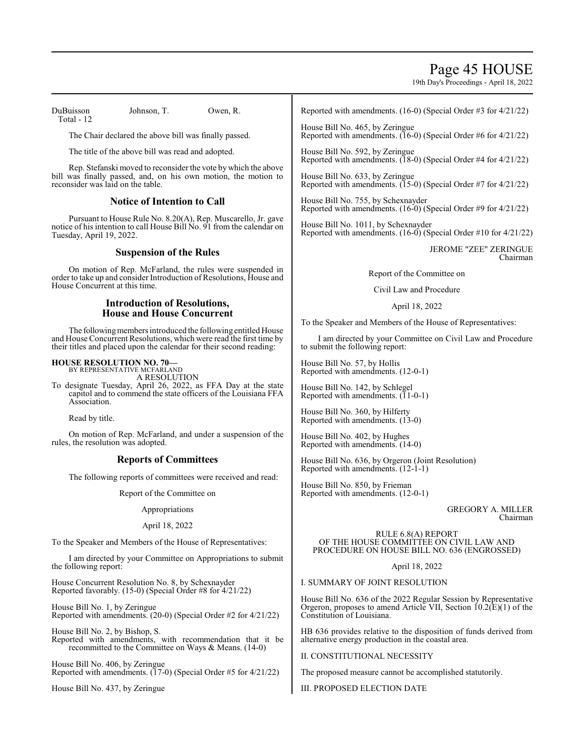## Page 45 HOUSE

19th Day's Proceedings - April 18, 2022

DuBuisson Johnson, T. Owen, R. Total - 12

The Chair declared the above bill was finally passed.

The title of the above bill was read and adopted.

Rep. Stefanski moved to reconsider the vote by which the above bill was finally passed, and, on his own motion, the motion to reconsider was laid on the table.

## **Notice of Intention to Call**

Pursuant to House Rule No. 8.20(A), Rep. Muscarello, Jr. gave notice of his intention to call House Bill No. 91 from the calendar on Tuesday, April 19, 2022.

## **Suspension of the Rules**

On motion of Rep. McFarland, the rules were suspended in order to take up and consider Introduction of Resolutions, House and House Concurrent at this time.

## **Introduction of Resolutions, House and House Concurrent**

The followingmembers introduced the following entitled House and House Concurrent Resolutions, which were read the first time by their titles and placed upon the calendar for their second reading:

## **HOUSE RESOLUTION NO. 70—**

BY REPRESENTATIVE MCFARLAND A RESOLUTION

To designate Tuesday, April 26, 2022, as FFA Day at the state capitol and to commend the state officers of the Louisiana FFA Association.

Read by title.

On motion of Rep. McFarland, and under a suspension of the rules, the resolution was adopted.

## **Reports of Committees**

The following reports of committees were received and read:

Report of the Committee on

## Appropriations

## April 18, 2022

To the Speaker and Members of the House of Representatives:

I am directed by your Committee on Appropriations to submit the following report:

House Concurrent Resolution No. 8, by Schexnayder Reported favorably. (15-0) (Special Order #8 for 4/21/22)

House Bill No. 1, by Zeringue Reported with amendments. (20-0) (Special Order #2 for 4/21/22)

House Bill No. 2, by Bishop, S. Reported with amendments, with recommendation that it be recommitted to the Committee on Ways & Means. (14-0)

House Bill No. 406, by Zeringue Reported with amendments. (17-0) (Special Order #5 for 4/21/22)

House Bill No. 437, by Zeringue

Reported with amendments. (16-0) (Special Order #3 for 4/21/22)

House Bill No. 465, by Zeringue Reported with amendments. (16-0) (Special Order #6 for 4/21/22)

House Bill No. 592, by Zeringue Reported with amendments. (18-0) (Special Order #4 for 4/21/22)

House Bill No. 633, by Zeringue Reported with amendments. (15-0) (Special Order #7 for 4/21/22)

House Bill No. 755, by Schexnayder Reported with amendments. (16-0) (Special Order #9 for 4/21/22)

House Bill No. 1011, by Schexnayder Reported with amendments. (16-0) (Special Order #10 for 4/21/22)

> JEROME "ZEE" ZERINGUE Chairman

Report of the Committee on

Civil Law and Procedure

April 18, 2022

To the Speaker and Members of the House of Representatives:

I am directed by your Committee on Civil Law and Procedure to submit the following report:

House Bill No. 57, by Hollis Reported with amendments. (12-0-1)

House Bill No. 142, by Schlegel Reported with amendments.  $(11-0-1)$ 

House Bill No. 360, by Hilferty Reported with amendments. (13-0)

House Bill No. 402, by Hughes Reported with amendments. (14-0)

House Bill No. 636, by Orgeron (Joint Resolution) Reported with amendments. (12-1-1)

House Bill No. 850, by Frieman Reported with amendments. (12-0-1)

> GREGORY A. MILLER Chairman

RULE 6.8(A) REPORT OF THE HOUSE COMMITTEE ON CIVIL LAW AND PROCEDURE ON HOUSE BILL NO. 636 (ENGROSSED)

April 18, 2022

I. SUMMARY OF JOINT RESOLUTION

House Bill No. 636 of the 2022 Regular Session by Representative Orgeron, proposes to amend Article VII, Section  $(10.2(E)(1))$  of the Constitution of Louisiana.

HB 636 provides relative to the disposition of funds derived from alternative energy production in the coastal area.

II. CONSTITUTIONAL NECESSITY

The proposed measure cannot be accomplished statutorily.

III. PROPOSED ELECTION DATE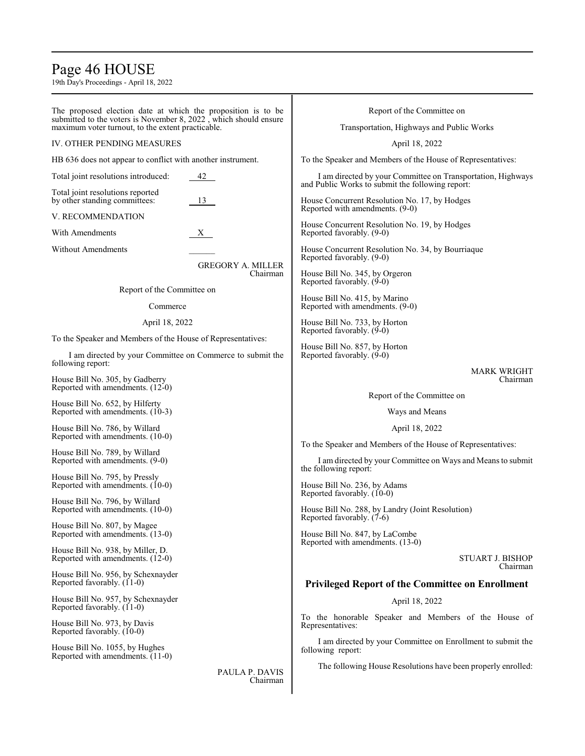## Page 46 HOUSE

19th Day's Proceedings - April 18, 2022

The proposed election date at which the proposition is to be submitted to the voters is November 8, 2022 , which should ensure maximum voter turnout, to the extent practicable.

## IV. OTHER PENDING MEASURES

HB 636 does not appear to conflict with another instrument.

| Total joint resolutions introduced: | 42 |
|-------------------------------------|----|
| Total joint resolutions reported    |    |
| by other standing committees:       | 13 |

## V. RECOMMENDATION

With Amendments X

Without Amendments

GREGORY A. MILLER Chairman

Report of the Committee on

#### Commerce

## April 18, 2022

To the Speaker and Members of the House of Representatives:

I am directed by your Committee on Commerce to submit the following report:

House Bill No. 305, by Gadberry Reported with amendments. (12-0)

House Bill No. 652, by Hilferty Reported with amendments. (10-3)

House Bill No. 786, by Willard Reported with amendments. (10-0)

House Bill No. 789, by Willard Reported with amendments. (9-0)

House Bill No. 795, by Pressly Reported with amendments. (10-0)

House Bill No. 796, by Willard Reported with amendments. (10-0)

House Bill No. 807, by Magee Reported with amendments. (13-0)

House Bill No. 938, by Miller, D. Reported with amendments. (12-0)

House Bill No. 956, by Schexnayder Reported favorably. (11-0)

House Bill No. 957, by Schexnayder Reported favorably. (11-0)

House Bill No. 973, by Davis Reported favorably. (10-0)

House Bill No. 1055, by Hughes Reported with amendments. (11-0)

> PAULA P. DAVIS Chairman

Report of the Committee on

Transportation, Highways and Public Works

April 18, 2022

To the Speaker and Members of the House of Representatives:

I am directed by your Committee on Transportation, Highways and Public Works to submit the following report:

House Concurrent Resolution No. 17, by Hodges Reported with amendments. (9-0)

House Concurrent Resolution No. 19, by Hodges Reported favorably. (9-0)

House Concurrent Resolution No. 34, by Bourriaque Reported favorably. (9-0)

House Bill No. 345, by Orgeron Reported favorably. (9-0)

House Bill No. 415, by Marino Reported with amendments. (9-0)

House Bill No. 733, by Horton Reported favorably. (9-0)

House Bill No. 857, by Horton Reported favorably. (9-0)

## MARK WRIGHT Chairman

Report of the Committee on

Ways and Means

April 18, 2022

To the Speaker and Members of the House of Representatives:

I am directed by your Committee on Ways and Means to submit the following report:

House Bill No. 236, by Adams Reported favorably. (10-0)

House Bill No. 288, by Landry (Joint Resolution) Reported favorably. (7-6)

House Bill No. 847, by LaCombe Reported with amendments. (13-0)

> STUART J. BISHOP Chairman

## **Privileged Report of the Committee on Enrollment**

April 18, 2022

To the honorable Speaker and Members of the House of Representatives:

I am directed by your Committee on Enrollment to submit the following report:

The following House Resolutions have been properly enrolled: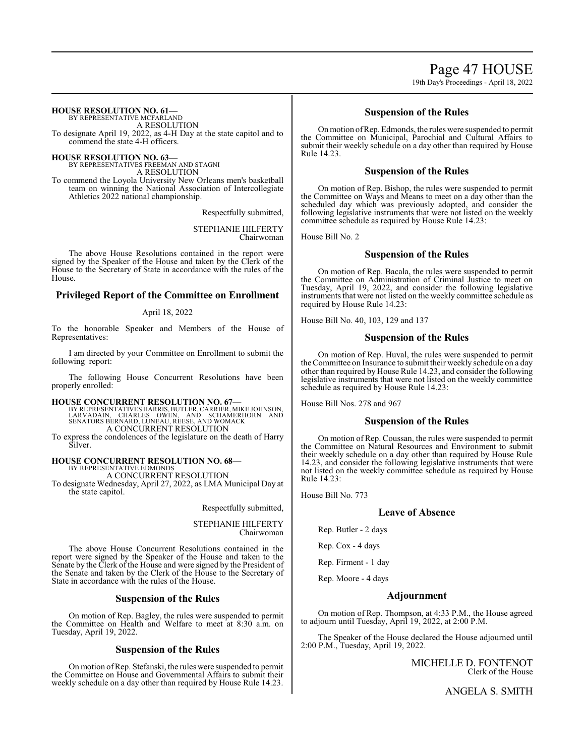Page 47 HOUSE 19th Day's Proceedings - April 18, 2022

**HOUSE RESOLUTION NO. 61—**

BY REPRESENTATIVE MCFARLAND A RESOLUTION To designate April 19, 2022, as 4-H Day at the state capitol and to commend the state 4-H officers.

**HOUSE RESOLUTION NO. 63—**

BY REPRESENTATIVES FREEMAN AND STAGNI A RESOLUTION

To commend the Loyola University New Orleans men's basketball team on winning the National Association of Intercollegiate Athletics 2022 national championship.

Respectfully submitted,

STEPHANIE HILFERTY Chairwoman

The above House Resolutions contained in the report were signed by the Speaker of the House and taken by the Clerk of the House to the Secretary of State in accordance with the rules of the House.

## **Privileged Report of the Committee on Enrollment**

April 18, 2022

To the honorable Speaker and Members of the House of Representatives:

I am directed by your Committee on Enrollment to submit the following report:

The following House Concurrent Resolutions have been properly enrolled:

## **HOUSE CONCURRENT RESOLUTION NO. 67—**

BY REPRESENTATIVES HARRIS, BUTLER, CARRIER, MIKE JOHNSON,<br>LARVADAIN, CHARLES OWEN, AND SCHAMERHORN AND<br>SENATORS BERNARD, LUNEAU, REESE, AND WOMACK A CONCURRENT RESOLUTION

To express the condolences of the legislature on the death of Harry Silver.

#### **HOUSE CONCURRENT RESOLUTION NO. 68—** BY REPRESENTATIVE EDMONDS A CONCURRENT RESOLUTION

To designate Wednesday, April 27, 2022, as LMA Municipal Day at the state capitol.

Respectfully submitted,

STEPHANIE HILFERTY Chairwoman

The above House Concurrent Resolutions contained in the report were signed by the Speaker of the House and taken to the Senate by the Clerk of the House and were signed by the President of the Senate and taken by the Clerk of the House to the Secretary of State in accordance with the rules of the House.

## **Suspension of the Rules**

On motion of Rep. Bagley, the rules were suspended to permit the Committee on Health and Welfare to meet at 8:30 a.m. on Tuesday, April 19, 2022.

## **Suspension of the Rules**

On motion ofRep. Stefanski, the rules were suspended to permit the Committee on House and Governmental Affairs to submit their weekly schedule on a day other than required by House Rule 14.23.

## **Suspension of the Rules**

Onmotion ofRep. Edmonds, the rules were suspended to permit the Committee on Municipal, Parochial and Cultural Affairs to submit their weekly schedule on a day other than required by House Rule 14.23.

## **Suspension of the Rules**

On motion of Rep. Bishop, the rules were suspended to permit the Committee on Ways and Means to meet on a day other than the scheduled day which was previously adopted, and consider the following legislative instruments that were not listed on the weekly committee schedule as required by House Rule 14.23:

House Bill No. 2

## **Suspension of the Rules**

On motion of Rep. Bacala, the rules were suspended to permit the Committee on Administration of Criminal Justice to meet on Tuesday, April 19, 2022, and consider the following legislative instruments that were not listed on the weekly committee schedule as required by House Rule 14.23:

House Bill No. 40, 103, 129 and 137

## **Suspension of the Rules**

On motion of Rep. Huval, the rules were suspended to permit the Committee on Insurance to submit their weekly schedule on a day other than required by House Rule 14.23, and consider the following legislative instruments that were not listed on the weekly committee schedule as required by House Rule 14.23:

House Bill Nos. 278 and 967

## **Suspension of the Rules**

On motion of Rep. Coussan, the rules were suspended to permit the Committee on Natural Resources and Environment to submit their weekly schedule on a day other than required by House Rule 14.23, and consider the following legislative instruments that were not listed on the weekly committee schedule as required by House Rule 14.23:

House Bill No. 773

## **Leave of Absence**

Rep. Butler - 2 days

Rep. Cox - 4 days

Rep. Firment - 1 day

Rep. Moore - 4 days

## **Adjournment**

On motion of Rep. Thompson, at 4:33 P.M., the House agreed to adjourn until Tuesday, April 19, 2022, at 2:00 P.M.

The Speaker of the House declared the House adjourned until 2:00 P.M., Tuesday, April 19, 2022.

> MICHELLE D. FONTENOT Clerk of the House

> > ANGELA S. SMITH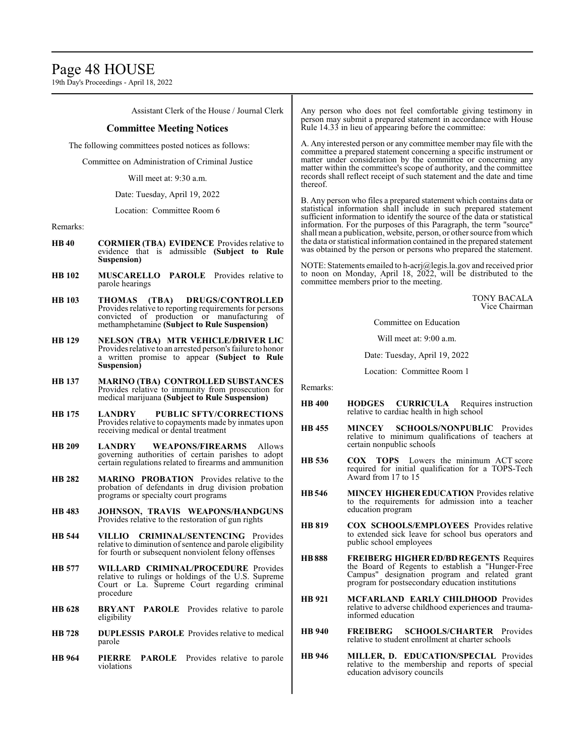## Page 48 HOUSE

19th Day's Proceedings - April 18, 2022

Assistant Clerk of the House / Journal Clerk

## **Committee Meeting Notices**

The following committees posted notices as follows:

Committee on Administration of Criminal Justice

Will meet at: 9:30 a.m.

Date: Tuesday, April 19, 2022

Location: Committee Room 6

## Remarks:

- **HB 40 CORMIER (TBA) EVIDENCE** Provides relative to evidence that is admissible **(Subject to Rule Suspension)**
- **HB 102 MUSCARELLO PAROLE** Provides relative to parole hearings
- **HB 103 THOMAS (TBA) DRUGS/CONTROLLED**  Provides relative to reporting requirements for persons convicted of production or manufacturing of methamphetamine **(Subject to Rule Suspension)**
- **HB 129 NELSON (TBA) MTR VEHICLE/DRIVER LIC**  Provides relative to an arrested person's failure to honor a written promise to appear **(Subject to Rule Suspension)**
- **HB 137 MARINO (TBA) CONTROLLED SUBSTANCES**  Provides relative to immunity from prosecution for medical marijuana **(Subject to Rule Suspension)**
- **HB 175 LANDRY PUBLIC SFTY/CORRECTIONS**  Provides relative to copayments made by inmates upon receiving medical or dental treatment
- **HB 209 LANDRY WEAPONS/FIREARMS** Allows governing authorities of certain parishes to adopt certain regulations related to firearms and ammunition
- **HB 282 MARINO PROBATION** Provides relative to the probation of defendants in drug division probation programs or specialty court programs
- **HB 483 JOHNSON, TRAVIS WEAPONS/HANDGUNS**  Provides relative to the restoration of gun rights
- **HB 544 VILLIO CRIMINAL/SENTENCING** Provides relative to diminution of sentence and parole eligibility for fourth or subsequent nonviolent felony offenses
- **HB 577 WILLARD CRIMINAL/PROCEDURE** Provides relative to rulings or holdings of the U.S. Supreme Court or La. Supreme Court regarding criminal procedure
- **HB 628 BRYANT PAROLE** Provides relative to parole eligibility
- **HB 728 DUPLESSIS PAROLE** Provides relative to medical parole
- **HB 964 PIERRE PAROLE** Provides relative to parole violations

Any person who does not feel comfortable giving testimony in person may submit a prepared statement in accordance with House Rule 14.33 in lieu of appearing before the committee:

A. Any interested person or any committee member may file with the committee a prepared statement concerning a specific instrument or matter under consideration by the committee or concerning any matter within the committee's scope of authority, and the committee records shall reflect receipt of such statement and the date and time thereof.

B. Any person who files a prepared statement which contains data or statistical information shall include in such prepared statement sufficient information to identify the source of the data or statistical information. For the purposes of this Paragraph, the term "source" shall mean a publication, website, person, or other source fromwhich the data or statistical information contained in the prepared statement was obtained by the person or persons who prepared the statement.

NOTE: Statements emailed to h-acrj@legis.la.gov and received prior to noon on Monday, April 18, 2022, will be distributed to the committee members prior to the meeting.

> TONY BACALA Vice Chairman

Committee on Education

Will meet at: 9:00 a.m.

Date: Tuesday, April 19, 2022

Location: Committee Room 1

Remarks:

- **HB 400 HODGES CURRICULA** Requires instruction relative to cardiac health in high school
- **HB 455 MINCEY SCHOOLS/NONPUBLIC** Provides relative to minimum qualifications of teachers at certain nonpublic schools
- **HB 536 COX TOPS** Lowers the minimum ACT score required for initial qualification for a TOPS-Tech Award from 17 to 15
- **HB546 MINCEY HIGHER EDUCATION** Provides relative to the requirements for admission into a teacher education program
- **HB 819 COX SCHOOLS/EMPLOYEES** Provides relative to extended sick leave for school bus operators and public school employees
- **HB888 FREIBERG HIGHER ED/BD REGENTS** Requires the Board of Regents to establish a "Hunger-Free Campus" designation program and related grant program for postsecondary education institutions
- **HB 921 MCFARLAND EARLY CHILDHOOD** Provides relative to adverse childhood experiences and traumainformed education
- **HB 940 FREIBERG SCHOOLS/CHARTER** Provides relative to student enrollment at charter schools
- **HB 946 MILLER, D. EDUCATION/SPECIAL** Provides relative to the membership and reports of special education advisory councils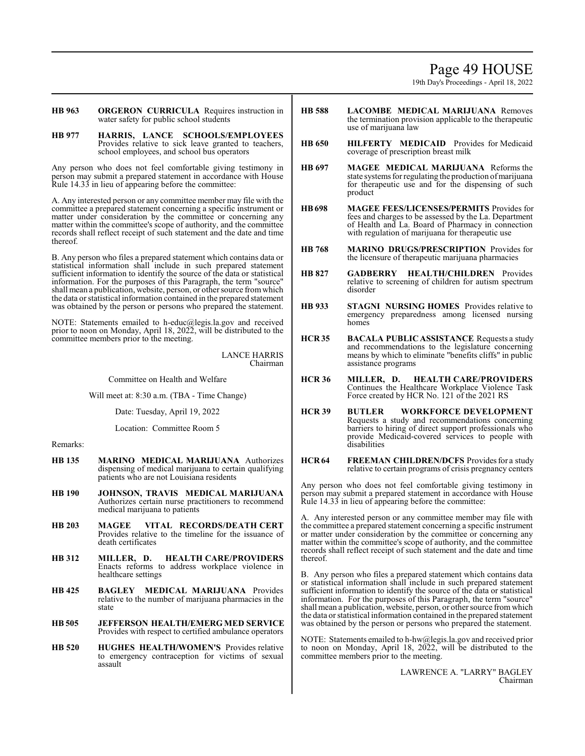## Page 49 HOUSE

19th Day's Proceedings - April 18, 2022

**HB 963 ORGERON CURRICULA** Requires instruction in water safety for public school students

**HB 977 HARRIS, LANCE SCHOOLS/EMPLOYEES**  Provides relative to sick leave granted to teachers, school employees, and school bus operators

Any person who does not feel comfortable giving testimony in person may submit a prepared statement in accordance with House Rule 14.33 in lieu of appearing before the committee:

A. Any interested person or any committee member may file with the committee a prepared statement concerning a specific instrument or matter under consideration by the committee or concerning any matter within the committee's scope of authority, and the committee records shall reflect receipt of such statement and the date and time thereof.

B. Any person who files a prepared statement which contains data or statistical information shall include in such prepared statement sufficient information to identify the source of the data or statistical information. For the purposes of this Paragraph, the term "source" shall mean a publication, website, person, or other source fromwhich the data or statistical information contained in the prepared statement was obtained by the person or persons who prepared the statement.

NOTE: Statements emailed to h-educ@legis.la.gov and received prior to noon on Monday, April 18, 2022, will be distributed to the committee members prior to the meeting.

> LANCE HARRIS Chairman

Committee on Health and Welfare

Will meet at: 8:30 a.m. (TBA - Time Change)

Date: Tuesday, April 19, 2022

Location: Committee Room 5

## Remarks:

- **HB 135 MARINO MEDICAL MARIJUANA** Authorizes dispensing of medical marijuana to certain qualifying patients who are not Louisiana residents
- **HB 190 JOHNSON, TRAVIS MEDICAL MARIJUANA**  Authorizes certain nurse practitioners to recommend medical marijuana to patients
- **HB 203 MAGEE VITAL RECORDS/DEATH CERT**  Provides relative to the timeline for the issuance of death certificates
- **HB 312 MILLER, D. HEALTH CARE/PROVIDERS**  Enacts reforms to address workplace violence in healthcare settings
- **HB 425 BAGLEY MEDICAL MARIJUANA** Provides relative to the number of marijuana pharmacies in the state
- **HB 505 JEFFERSON HEALTH/EMERG MED SERVICE**  Provides with respect to certified ambulance operators
- **HB 520 HUGHES HEALTH/WOMEN'S** Provides relative to emergency contraception for victims of sexual assault
- **HB 588 LACOMBE MEDICAL MARIJUANA** Removes the termination provision applicable to the therapeutic use of marijuana law
- **HB 650 HILFERTY MEDICAID** Provides for Medicaid coverage of prescription breast milk
- **HB 697 MAGEE MEDICAL MARIJUANA** Reforms the state systems for regulating the production of marijuana for therapeutic use and for the dispensing of such product
- **HB698 MAGEE FEES/LICENSES/PERMITS** Provides for fees and charges to be assessed by the La. Department of Health and La. Board of Pharmacy in connection with regulation of marijuana for therapeutic use
- **HB 768 MARINO DRUGS/PRESCRIPTION** Provides for the licensure of therapeutic marijuana pharmacies
- **HB 827 GADBERRY HEALTH/CHILDREN** Provides relative to screening of children for autism spectrum disorder
- **HB 933 STAGNI NURSING HOMES** Provides relative to emergency preparedness among licensed nursing homes
- **HCR 35 BACALA PUBLIC ASSISTANCE** Requests a study and recommendations to the legislature concerning means by which to eliminate "benefits cliffs" in public assistance programs
- **HCR 36 MILLER, D. HEALTH CARE/PROVIDERS**  Continues the Healthcare Workplace Violence Task Force created by HCR No. 121 of the 2021 RS
- **HCR 39 BUTLER WORKFORCE DEVELOPMENT**  Requests a study and recommendations concerning barriers to hiring of direct support professionals who provide Medicaid-covered services to people with disabilities
- **HCR 64 FREEMAN CHILDREN/DCFS** Provides for a study relative to certain programs of crisis pregnancy centers

Any person who does not feel comfortable giving testimony in person may submit a prepared statement in accordance with House Rule 14.33 in lieu of appearing before the committee:

A. Any interested person or any committee member may file with the committee a prepared statement concerning a specific instrument or matter under consideration by the committee or concerning any matter within the committee's scope of authority, and the committee records shall reflect receipt of such statement and the date and time thereof.

B. Any person who files a prepared statement which contains data or statistical information shall include in such prepared statement sufficient information to identify the source of the data or statistical information. For the purposes of this Paragraph, the term "source" shall mean a publication, website, person, or other source fromwhich the data or statistical information contained in the prepared statement was obtained by the person or persons who prepared the statement.

NOTE: Statements emailed to h-hw@legis.la.gov and received prior to noon on Monday, April 18, 2022, will be distributed to the committee members prior to the meeting.

> LAWRENCE A. "LARRY" BAGLEY Chairman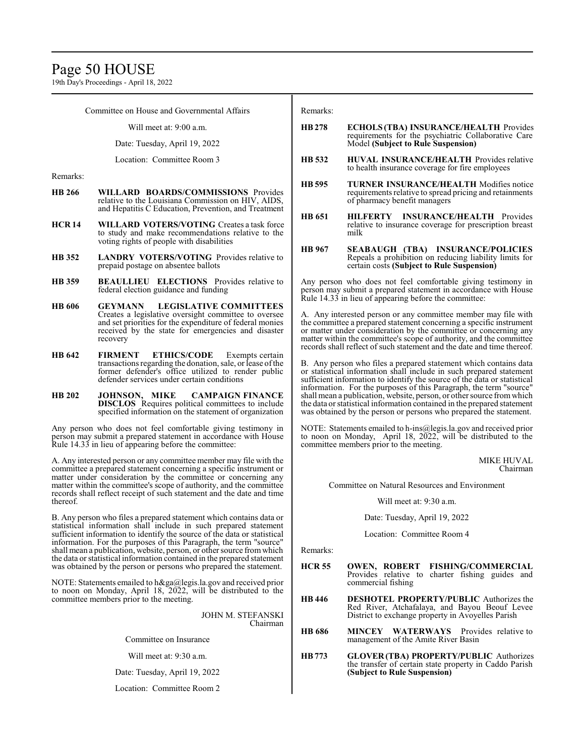19th Day's Proceedings - April 18, 2022

Committee on House and Governmental Affairs

Will meet at: 9:00 a.m.

Date: Tuesday, April 19, 2022

Location: Committee Room 3

Remarks:

- **HB 266 WILLARD BOARDS/COMMISSIONS** Provides relative to the Louisiana Commission on HIV, AIDS, and Hepatitis C Education, Prevention, and Treatment
- **HCR 14 WILLARD VOTERS/VOTING** Creates a task force to study and make recommendations relative to the voting rights of people with disabilities
- **HB 352 LANDRY VOTERS/VOTING** Provides relative to prepaid postage on absentee ballots
- **HB 359 BEAULLIEU ELECTIONS** Provides relative to federal election guidance and funding
- **HB 606 GEYMANN LEGISLATIVE COMMITTEES**  Creates a legislative oversight committee to oversee and set priorities for the expenditure of federal monies received by the state for emergencies and disaster recovery
- **HB 642 FIRMENT ETHICS/CODE** Exempts certain transactions regarding the donation, sale, or lease ofthe former defender's office utilized to render public defender services under certain conditions
- **HB 202 JOHNSON, MIKE CAMPAIGN FINANCE DISCLOS** Requires political committees to include specified information on the statement of organization

Any person who does not feel comfortable giving testimony in person may submit a prepared statement in accordance with House Rule 14.33 in lieu of appearing before the committee:

A. Any interested person or any committee member may file with the committee a prepared statement concerning a specific instrument or matter under consideration by the committee or concerning any matter within the committee's scope of authority, and the committee records shall reflect receipt of such statement and the date and time thereof.

B. Any person who files a prepared statement which contains data or statistical information shall include in such prepared statement sufficient information to identify the source of the data or statistical information. For the purposes of this Paragraph, the term "source" shall mean a publication, website, person, or other source from which the data or statistical information contained in the prepared statement was obtained by the person or persons who prepared the statement.

NOTE: Statements emailed to h&ga@legis.la.gov and received prior to noon on Monday, April 18, 2022, will be distributed to the committee members prior to the meeting.

> JOHN M. STEFANSKI Chairman

Committee on Insurance

Will meet at: 9:30 a.m.

Date: Tuesday, April 19, 2022

Location: Committee Room 2

Remarks:

- **HB278 ECHOLS (TBA) INSURANCE/HEALTH** Provides requirements for the psychiatric Collaborative Care Model **(Subject to Rule Suspension)**
- **HB 532 HUVAL INSURANCE/HEALTH** Provides relative to health insurance coverage for fire employees
- **HB 595 TURNER INSURANCE/HEALTH** Modifies notice requirements relative to spread pricing and retainments of pharmacy benefit managers
- **HB 651 HILFERTY INSURANCE/HEALTH** Provides relative to insurance coverage for prescription breast milk
- **HB 967 SEABAUGH (TBA) INSURANCE/POLICIES**  Repeals a prohibition on reducing liability limits for certain costs **(Subject to Rule Suspension)**

Any person who does not feel comfortable giving testimony in person may submit a prepared statement in accordance with House Rule 14.33 in lieu of appearing before the committee:

A. Any interested person or any committee member may file with the committee a prepared statement concerning a specific instrument or matter under consideration by the committee or concerning any matter within the committee's scope of authority, and the committee records shall reflect of such statement and the date and time thereof.

B. Any person who files a prepared statement which contains data or statistical information shall include in such prepared statement sufficient information to identify the source of the data or statistical information. For the purposes of this Paragraph, the term "source" shall mean a publication, website, person, or other source fromwhich the data or statistical information contained in the prepared statement was obtained by the person or persons who prepared the statement.

NOTE: Statements emailed to h-ins@legis.la.gov and received prior to noon on Monday, April 18, 2022, will be distributed to the committee members prior to the meeting.

> MIKE HUVAL Chairman

Committee on Natural Resources and Environment

Will meet at: 9:30 a.m.

Date: Tuesday, April 19, 2022

Location: Committee Room 4

Remarks:

- **HCR 55 OWEN, ROBERT FISHING/COMMERCIAL**  Provides relative to charter fishing guides and commercial fishing
- **HB 446 DESHOTEL PROPERTY/PUBLIC** Authorizes the Red River, Atchafalaya, and Bayou Beouf Levee District to exchange property in Avoyelles Parish
- **HB 686 MINCEY WATERWAYS** Provides relative to management of the Amite River Basin
- **HB773 GLOVER (TBA) PROPERTY/PUBLIC** Authorizes the transfer of certain state property in Caddo Parish **(Subject to Rule Suspension)**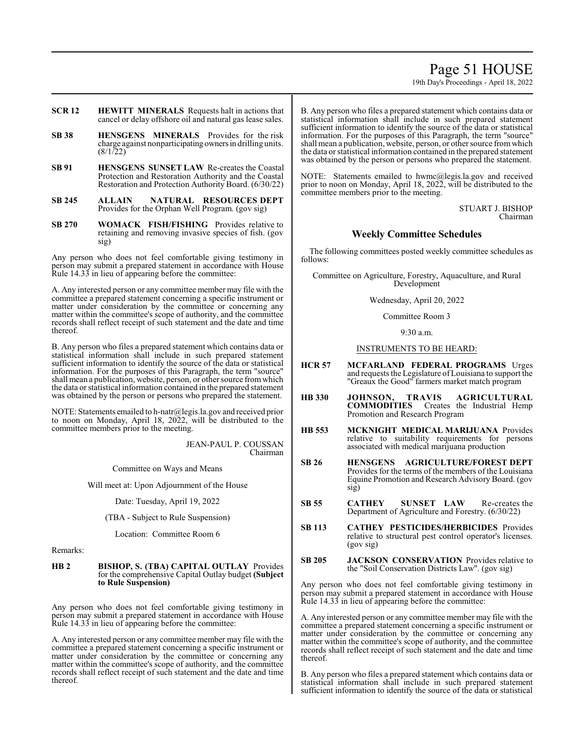## Page 51 HOUSE

19th Day's Proceedings - April 18, 2022

- **SCR 12 HEWITT MINERALS** Requests halt in actions that cancel or delay offshore oil and natural gas lease sales.
- **SB 38 HENSGENS MINERALS** Provides for the risk charge against nonparticipating ownersin drilling units.  $(8/1/22)$
- **SB 91 HENSGENS SUNSET LAW** Re-creates the Coastal Protection and Restoration Authority and the Coastal Restoration and Protection Authority Board. (6/30/22)
- **SB 245 ALLAIN NATURAL RESOURCES DEPT**  Provides for the Orphan Well Program. (gov sig)
- **SB 270 WOMACK FISH/FISHING** Provides relative to retaining and removing invasive species of fish. (gov sig)

Any person who does not feel comfortable giving testimony in person may submit a prepared statement in accordance with House Rule 14.33 in lieu of appearing before the committee:

A. Any interested person or any committee member may file with the committee a prepared statement concerning a specific instrument or matter under consideration by the committee or concerning any matter within the committee's scope of authority, and the committee records shall reflect receipt of such statement and the date and time thereof.

B. Any person who files a prepared statement which contains data or statistical information shall include in such prepared statement sufficient information to identify the source of the data or statistical information. For the purposes of this Paragraph, the term "source" shall mean a publication, website, person, or other source fromwhich the data or statistical information contained in the prepared statement was obtained by the person or persons who prepared the statement.

NOTE: Statements emailed to h-natr@legis.la.gov and received prior to noon on Monday, April 18, 2022, will be distributed to the committee members prior to the meeting.

> JEAN-PAUL P. COUSSAN Chairman

Committee on Ways and Means

Will meet at: Upon Adjournment of the House

Date: Tuesday, April 19, 2022

(TBA - Subject to Rule Suspension)

Location: Committee Room 6

Remarks:

**HB 2 BISHOP, S. (TBA) CAPITAL OUTLAY** Provides for the comprehensive Capital Outlay budget **(Subject to Rule Suspension)**

Any person who does not feel comfortable giving testimony in person may submit a prepared statement in accordance with House Rule 14.33 in lieu of appearing before the committee:

A. Any interested person or any committee member may file with the committee a prepared statement concerning a specific instrument or matter under consideration by the committee or concerning any matter within the committee's scope of authority, and the committee records shall reflect receipt of such statement and the date and time thereof.

B. Any person who files a prepared statement which contains data or statistical information shall include in such prepared statement sufficient information to identify the source of the data or statistical information. For the purposes of this Paragraph, the term "source" shall mean a publication, website, person, or other source fromwhich the data or statistical information contained in the prepared statement was obtained by the person or persons who prepared the statement.

NOTE: Statements emailed to hwmc@legis.la.gov and received prior to noon on Monday, April 18, 2022, will be distributed to the committee members prior to the meeting.

> STUART J. BISHOP Chairman

## **Weekly Committee Schedules**

The following committees posted weekly committee schedules as follows:

Committee on Agriculture, Forestry, Aquaculture, and Rural Development

Wednesday, April 20, 2022

Committee Room 3

9:30 a.m.

INSTRUMENTS TO BE HEARD:

- **HCR 57 MCFARLAND FEDERAL PROGRAMS** Urges and requests the Legislature ofLouisiana to support the "Greaux the Good" farmers market match program
- **HB 330 JOHNSON, TRAVIS AGRICULTURAL COMMODITIES** Creates the Industrial Hemp Promotion and Research Program
- **HB 553 MCKNIGHT MEDICAL MARIJUANA** Provides relative to suitability requirements for persons associated with medical marijuana production
- **SB 26 HENSGENS AGRICULTURE/FOREST DEPT** Provides for the terms of the members of the Louisiana Equine Promotion and Research Advisory Board. (gov sig)
- **SB 55 CATHEY SUNSET LAW** Re-creates the Department of Agriculture and Forestry. (6/30/22)
- **SB 113 CATHEY PESTICIDES/HERBICIDES** Provides relative to structural pest control operator's licenses. (gov sig)
- **SB 205 JACKSON CONSERVATION** Provides relative to the "Soil Conservation Districts Law". (gov sig)

Any person who does not feel comfortable giving testimony in person may submit a prepared statement in accordance with House Rule 14.33 in lieu of appearing before the committee:

A. Any interested person or any committee member may file with the committee a prepared statement concerning a specific instrument or matter under consideration by the committee or concerning any matter within the committee's scope of authority, and the committee records shall reflect receipt of such statement and the date and time thereof.

B. Any person who files a prepared statement which contains data or statistical information shall include in such prepared statement sufficient information to identify the source of the data or statistical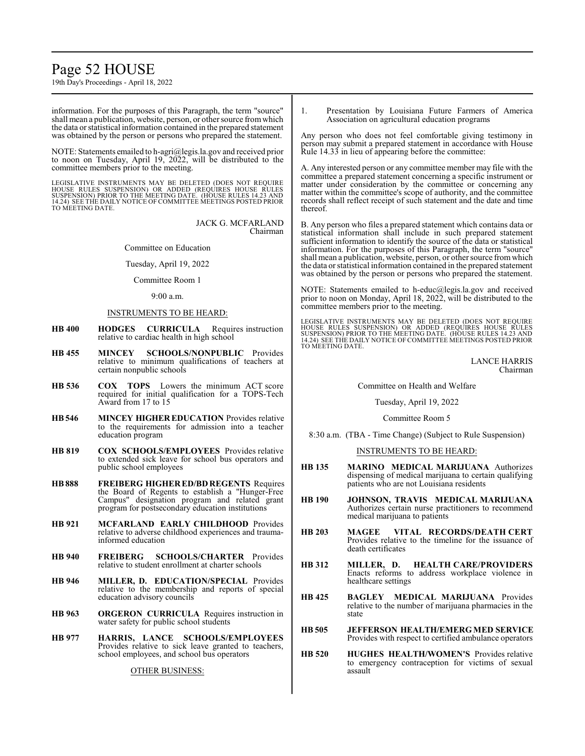## Page 52 HOUSE

19th Day's Proceedings - April 18, 2022

information. For the purposes of this Paragraph, the term "source" shall mean a publication, website, person, or other source fromwhich the data or statistical information contained in the prepared statement was obtained by the person or persons who prepared the statement.

NOTE: Statements emailed to h-agri@legis.la.gov and received prior to noon on Tuesday, April 19, 2022, will be distributed to the committee members prior to the meeting.

LEGISLATIVE INSTRUMENTS MAY BE DELETED (DOES NOT REQUIRE<br>HOUSE RULES SUSPENSION) OR ADDED (REQUIRES HOUSE RULES<br>SUSPENSION) PRIOR TO THE MEETING DATE. (HOUSE RULES 14.23 AND<br>14.24) SEE THE DAILY NOTICE OF COMMITTEE MEETING TO MEETING DATE.

> JACK G. MCFARLAND Chairman

Committee on Education

Tuesday, April 19, 2022

## Committee Room 1

9:00 a.m.

## INSTRUMENTS TO BE HEARD:

- **HB 400 HODGES CURRICULA** Requires instruction relative to cardiac health in high school
- **HB 455 MINCEY SCHOOLS/NONPUBLIC** Provides relative to minimum qualifications of teachers at certain nonpublic schools
- **HB 536 COX TOPS** Lowers the minimum ACT score required for initial qualification for a TOPS-Tech Award from 17 to 15
- **HB546 MINCEY HIGHER EDUCATION** Provides relative to the requirements for admission into a teacher education program
- **HB 819 COX SCHOOLS/EMPLOYEES** Provides relative to extended sick leave for school bus operators and public school employees
- **HB888 FREIBERG HIGHER ED/BD REGENTS** Requires the Board of Regents to establish a "Hunger-Free Campus" designation program and related grant program for postsecondary education institutions
- **HB 921 MCFARLAND EARLY CHILDHOOD** Provides relative to adverse childhood experiences and traumainformed education
- **HB 940 FREIBERG SCHOOLS/CHARTER** Provides relative to student enrollment at charter schools
- **HB 946 MILLER, D. EDUCATION/SPECIAL** Provides relative to the membership and reports of special education advisory councils
- **HB 963 ORGERON CURRICULA** Requires instruction in water safety for public school students
- **HB 977 HARRIS, LANCE SCHOOLS/EMPLOYEES** Provides relative to sick leave granted to teachers, school employees, and school bus operators

OTHER BUSINESS:

1. Presentation by Louisiana Future Farmers of America Association on agricultural education programs

Any person who does not feel comfortable giving testimony in person may submit a prepared statement in accordance with House Rule 14.33 in lieu of appearing before the committee:

A. Any interested person or any committee member may file with the committee a prepared statement concerning a specific instrument or matter under consideration by the committee or concerning any matter within the committee's scope of authority, and the committee records shall reflect receipt of such statement and the date and time thereof.

B. Any person who files a prepared statement which contains data or statistical information shall include in such prepared statement sufficient information to identify the source of the data or statistical information. For the purposes of this Paragraph, the term "source" shall mean a publication, website, person, or other source fromwhich the data or statistical information contained in the prepared statement was obtained by the person or persons who prepared the statement.

NOTE: Statements emailed to h-educ@legis.la.gov and received prior to noon on Monday, April 18, 2022, will be distributed to the committee members prior to the meeting.

LEGISLATIVE INSTRUMENTS MAY BE DELETED (DOES NOT REQUIRE<br>HOUSE RULES SUSPENSION) OR ADDED (REQUIRES HOUSE RULES<br>SUSPENSION) PRIOR TO THE MEETING DATE. (HOUSE RULES 14.23 AND<br>14.24) SEE THE DAILY NOTICE OF COMMITTEE MEETING TO MEETING DATE.

> LANCE HARRIS Chairman

#### Committee on Health and Welfare

Tuesday, April 19, 2022

#### Committee Room 5

8:30 a.m. (TBA - Time Change) (Subject to Rule Suspension)

## INSTRUMENTS TO BE HEARD:

- **HB 135 MARINO MEDICAL MARIJUANA** Authorizes dispensing of medical marijuana to certain qualifying patients who are not Louisiana residents
- **HB 190 JOHNSON, TRAVIS MEDICAL MARIJUANA** Authorizes certain nurse practitioners to recommend medical marijuana to patients
- **HB 203 MAGEE VITAL RECORDS/DEATH CERT** Provides relative to the timeline for the issuance of death certificates
- **HB 312 MILLER, D. HEALTH CARE/PROVIDERS** Enacts reforms to address workplace violence in healthcare settings
- **HB 425 BAGLEY MEDICAL MARIJUANA** Provides relative to the number of marijuana pharmacies in the state
- **HB 505 JEFFERSON HEALTH/EMERG MED SERVICE** Provides with respect to certified ambulance operators
- **HB 520 HUGHES HEALTH/WOMEN'S** Provides relative to emergency contraception for victims of sexual assault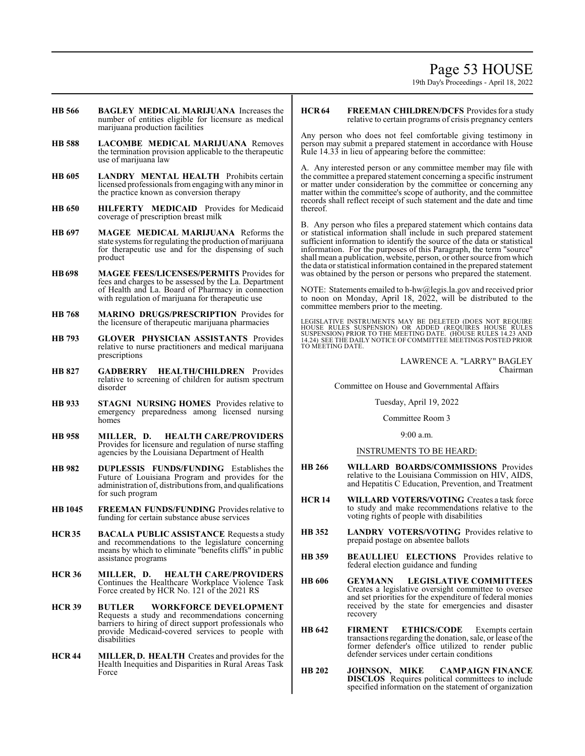## Page 53 HOUSE

19th Day's Proceedings - April 18, 2022

- **HB 566 BAGLEY MEDICAL MARIJUANA** Increases the number of entities eligible for licensure as medical marijuana production facilities
- **HB 588 LACOMBE MEDICAL MARIJUANA** Removes the termination provision applicable to the therapeutic use of marijuana law
- **HB 605 LANDRY MENTAL HEALTH** Prohibits certain licensed professionals from engaging with any minor in the practice known as conversion therapy
- **HB 650 HILFERTY MEDICAID** Provides for Medicaid coverage of prescription breast milk
- **HB 697 MAGEE MEDICAL MARIJUANA** Reforms the state systems for regulating the production of marijuana for therapeutic use and for the dispensing of such product
- **HB698 MAGEE FEES/LICENSES/PERMITS** Provides for fees and charges to be assessed by the La. Department of Health and La. Board of Pharmacy in connection with regulation of marijuana for therapeutic use
- **HB 768 MARINO DRUGS/PRESCRIPTION** Provides for the licensure of therapeutic marijuana pharmacies
- **HB 793 GLOVER PHYSICIAN ASSISTANTS** Provides relative to nurse practitioners and medical marijuana prescriptions
- **HB 827 GADBERRY HEALTH/CHILDREN** Provides relative to screening of children for autism spectrum disorder
- **HB 933 STAGNI NURSING HOMES** Provides relative to emergency preparedness among licensed nursing homes
- **HB 958 MILLER, D. HEALTH CARE/PROVIDERS** Provides for licensure and regulation of nurse staffing agencies by the Louisiana Department of Health
- **HB 982 DUPLESSIS FUNDS/FUNDING** Establishes the Future of Louisiana Program and provides for the administration of, distributions from, and qualifications for such program
- **HB 1045 FREEMAN FUNDS/FUNDING** Provides relative to funding for certain substance abuse services
- **HCR 35 BACALA PUBLIC ASSISTANCE** Requests a study and recommendations to the legislature concerning means by which to eliminate "benefits cliffs" in public assistance programs
- **HCR 36 MILLER, D. HEALTH CARE/PROVIDERS** Continues the Healthcare Workplace Violence Task Force created by HCR No. 121 of the 2021 RS
- **HCR 39 BUTLER WORKFORCE DEVELOPMENT** Requests a study and recommendations concerning barriers to hiring of direct support professionals who provide Medicaid-covered services to people with disabilities
- **HCR 44 MILLER, D. HEALTH** Creates and provides for the Health Inequities and Disparities in Rural Areas Task Force

## **HCR 64 FREEMAN CHILDREN/DCFS** Provides for a study relative to certain programs of crisis pregnancy centers

Any person who does not feel comfortable giving testimony in person may submit a prepared statement in accordance with House Rule 14.33 in lieu of appearing before the committee:

A. Any interested person or any committee member may file with the committee a prepared statement concerning a specific instrument or matter under consideration by the committee or concerning any matter within the committee's scope of authority, and the committee records shall reflect receipt of such statement and the date and time thereof.

B. Any person who files a prepared statement which contains data or statistical information shall include in such prepared statement sufficient information to identify the source of the data or statistical information. For the purposes of this Paragraph, the term "source" shall mean a publication, website, person, or other source fromwhich the data or statistical information contained in the prepared statement was obtained by the person or persons who prepared the statement.

NOTE: Statements emailed to h-hw@legis.la.gov and received prior to noon on Monday, April 18, 2022, will be distributed to the committee members prior to the meeting.

LEGISLATIVE INSTRUMENTS MAY BE DELETED (DOES NOT REQUIRE<br>HOUSE RULES SUSPENSION) OR ADDED (REQUIRES HOUSE RULES<br>SUSPENSION) PRIOR TO THE MEETING DATE. (HOUSE RULES 14.23 AND<br>14.24) SEE THE DAILY NOTICE OF COMMITTEE MEETING TO MEETING DATE.

> LAWRENCE A. "LARRY" BAGLEY Chairman

Committee on House and Governmental Affairs

Tuesday, April 19, 2022

Committee Room 3

9:00 a.m.

## INSTRUMENTS TO BE HEARD:

- **HB 266 WILLARD BOARDS/COMMISSIONS** Provides relative to the Louisiana Commission on HIV, AIDS, and Hepatitis C Education, Prevention, and Treatment
- **HCR 14 WILLARD VOTERS/VOTING** Creates a task force to study and make recommendations relative to the voting rights of people with disabilities
- **HB 352 LANDRY VOTERS/VOTING** Provides relative to prepaid postage on absentee ballots
- **HB 359 BEAULLIEU ELECTIONS** Provides relative to federal election guidance and funding
- **HB 606 GEYMANN LEGISLATIVE COMMITTEES** Creates a legislative oversight committee to oversee and set priorities for the expenditure of federal monies received by the state for emergencies and disaster recovery
- **HB 642 FIRMENT ETHICS/CODE** Exempts certain transactions regarding the donation, sale, or lease of the former defender's office utilized to render public defender services under certain conditions
- **HB 202 JOHNSON, MIKE CAMPAIGN FINANCE DISCLOS** Requires political committees to include specified information on the statement of organization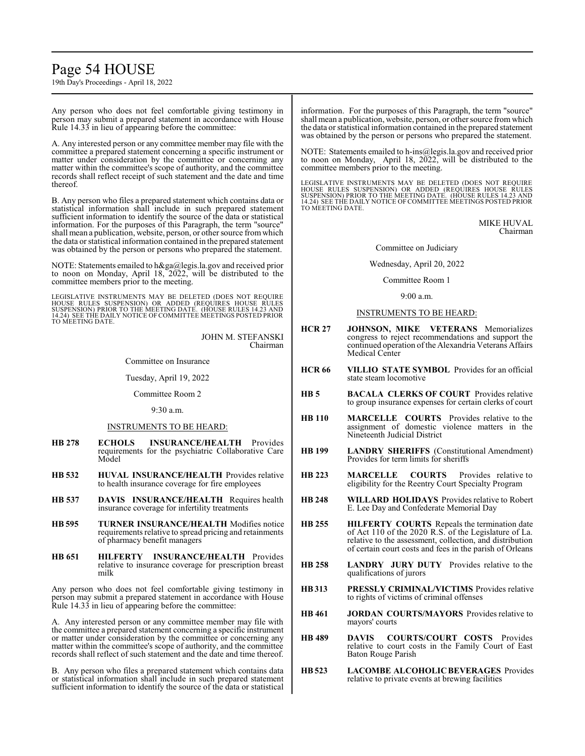## Page 54 HOUSE

19th Day's Proceedings - April 18, 2022

Any person who does not feel comfortable giving testimony in person may submit a prepared statement in accordance with House Rule 14.33 in lieu of appearing before the committee:

A. Any interested person or any committee member may file with the committee a prepared statement concerning a specific instrument or matter under consideration by the committee or concerning any matter within the committee's scope of authority, and the committee records shall reflect receipt of such statement and the date and time thereof.

B. Any person who files a prepared statement which contains data or statistical information shall include in such prepared statement sufficient information to identify the source of the data or statistical information. For the purposes of this Paragraph, the term "source" shall mean a publication, website, person, or other source fromwhich the data or statistical information contained in the prepared statement was obtained by the person or persons who prepared the statement.

NOTE: Statements emailed to h&ga@legis.la.gov and received prior to noon on Monday, April 18, 2022, will be distributed to the committee members prior to the meeting.

LEGISLATIVE INSTRUMENTS MAY BE DELETED (DOES NOT REQUIRE<br>HOUSE RULES SUSPENSION) OR ADDED (REQUIRES HOUSE RULES<br>SUSPENSION) PRIOR TO THE MEETING DATE. (HOUSE RULES 14.23 AND<br>14.24) SEE THE DAILY NOTICE OF COMMITTEE MEETING TO MEETING DATE.

> JOHN M. STEFANSKI Chairman

Committee on Insurance

Tuesday, April 19, 2022

Committee Room 2

9:30 a.m.

## INSTRUMENTS TO BE HEARD:

- **HB 278 ECHOLS INSURANCE/HEALTH** Provides requirements for the psychiatric Collaborative Care Model
- **HB 532 HUVAL INSURANCE/HEALTH** Provides relative to health insurance coverage for fire employees
- **HB 537 DAVIS INSURANCE/HEALTH** Requires health insurance coverage for infertility treatments
- **HB 595 TURNER INSURANCE/HEALTH** Modifies notice requirements relative to spread pricing and retainments of pharmacy benefit managers
- **HB 651 HILFERTY INSURANCE/HEALTH** Provides relative to insurance coverage for prescription breast milk

Any person who does not feel comfortable giving testimony in person may submit a prepared statement in accordance with House Rule 14.33 in lieu of appearing before the committee:

A. Any interested person or any committee member may file with the committee a prepared statement concerning a specific instrument or matter under consideration by the committee or concerning any matter within the committee's scope of authority, and the committee records shall reflect of such statement and the date and time thereof.

B. Any person who files a prepared statement which contains data or statistical information shall include in such prepared statement sufficient information to identify the source of the data or statistical information. For the purposes of this Paragraph, the term "source" shall mean a publication, website, person, or other source fromwhich the data or statistical information contained in the prepared statement was obtained by the person or persons who prepared the statement.

NOTE: Statements emailed to h-ins@legis.la.gov and received prior to noon on Monday, April 18, 2022, will be distributed to the committee members prior to the meeting.

LEGISLATIVE INSTRUMENTS MAY BE DELETED (DOES NOT REQUIRE<br>HOUSE RULES SUSPENSION) OR ADDED (REQUIRES HOUSE RULES<br>SUSPENSION) PRIOR TO THE MEETING DATE. (HOUSE RULES 14.23 AND<br>14.24) SEE THE DAILY NOTICE OF COMMITTEE MEETING TO MEETING DATE.

> MIKE HUVAL Chairman

Committee on Judiciary

Wednesday, April 20, 2022

Committee Room 1

9:00 a.m.

#### INSTRUMENTS TO BE HEARD:

- **HCR 27 JOHNSON, MIKE VETERANS** Memorializes congress to reject recommendations and support the continued operation of the Alexandria Veterans Affairs Medical Center
- **HCR 66 VILLIO STATE SYMBOL** Provides for an official state steam locomotive
- **HB 5 BACALA CLERKS OF COURT** Provides relative to group insurance expenses for certain clerks of court
- **HB 110 MARCELLE COURTS** Provides relative to the assignment of domestic violence matters in the Nineteenth Judicial District
- **HB 199 LANDRY SHERIFFS** (Constitutional Amendment) Provides for term limits for sheriffs
- **HB 223 MARCELLE COURTS** Provides relative to eligibility for the Reentry Court Specialty Program
- **HB 248 WILLARD HOLIDAYS** Providesrelative to Robert E. Lee Day and Confederate Memorial Day
- **HB 255 HILFERTY COURTS** Repeals the termination date of Act 110 of the 2020 R.S. of the Legislature of La. relative to the assessment, collection, and distribution of certain court costs and fees in the parish of Orleans
- **HB 258 LANDRY JURY DUTY** Provides relative to the qualifications of jurors
- **HB313 PRESSLY CRIMINAL/VICTIMS** Provides relative to rights of victims of criminal offenses
- **HB 461 JORDAN COURTS/MAYORS** Provides relative to mayors' courts
- **HB 489 DAVIS COURTS/COURT COSTS** Provides relative to court costs in the Family Court of East Baton Rouge Parish
- **HB523 LACOMBE ALCOHOLIC BEVERAGES** Provides relative to private events at brewing facilities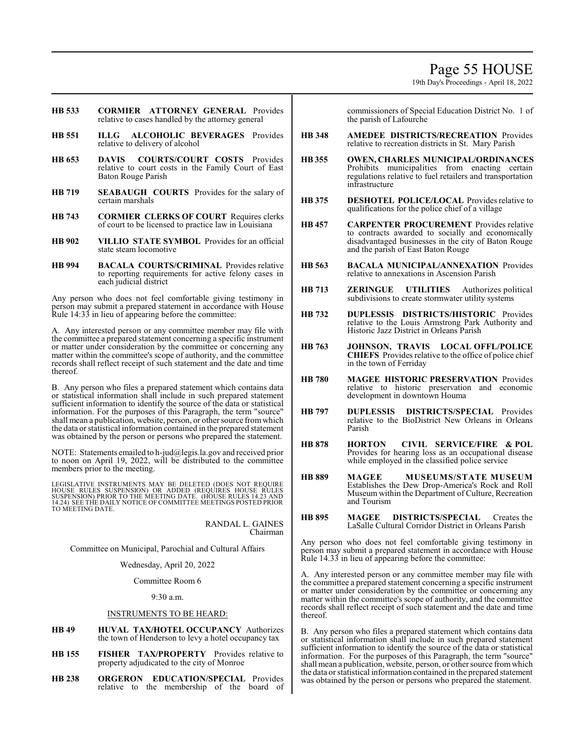19th Day's Proceedings - April 18, 2022

- **HB 533 CORMIER ATTORNEY GENERAL** Provides relative to cases handled by the attorney general
- **HB 551 ILLG ALCOHOLIC BEVERAGES** Provides relative to delivery of alcohol
- **HB 653 DAVIS COURTS/COURT COSTS** Provides relative to court costs in the Family Court of East Baton Rouge Parish
- **HB 719 SEABAUGH COURTS** Provides for the salary of certain marshals
- **HB 743 CORMIER CLERKS OF COURT** Requires clerks of court to be licensed to practice law in Louisiana
- **HB 902 VILLIO STATE SYMBOL** Provides for an official state steam locomotive
- **HB 994 BACALA COURTS/CRIMINAL** Provides relative to reporting requirements for active felony cases in each judicial district

Any person who does not feel comfortable giving testimony in person may submit a prepared statement in accordance with House Rule 14:33 in lieu of appearing before the committee:

A. Any interested person or any committee member may file with the committee a prepared statement concerning a specific instrument or matter under consideration by the committee or concerning any matter within the committee's scope of authority, and the committee records shall reflect receipt of such statement and the date and time thereof.

B. Any person who files a prepared statement which contains data or statistical information shall include in such prepared statement sufficient information to identify the source of the data or statistical information. For the purposes of this Paragraph, the term "source" shall mean a publication, website, person, or other source fromwhich the data or statistical information contained in the prepared statement was obtained by the person or persons who prepared the statement.

NOTE: Statements emailed to h-jud@legis.la.gov and received prior to noon on April 19, 2022, will be distributed to the committee members prior to the meeting.

LEGISLATIVE INSTRUMENTS MAY BE DELETED (DOES NOT REQUIRE HOUSE RULES SUSPENSION) OR ADDED (REQUIRES HOUSE RULES<br>SUSPENSION)PRIOR TO THE MEETING DATE. (HOUSE RULES 14.23 AND<br>14.24) SEE THE DAILY NOTICE OF COMMITTEE MEETINGS POSTED PRIOR TO MEETING DATE.

> RANDAL L. GAINES Chairman

Committee on Municipal, Parochial and Cultural Affairs

## Wednesday, April 20, 2022

Committee Room 6

9:30 a.m.

## INSTRUMENTS TO BE HEARD:

- **HB 49 HUVAL TAX/HOTEL OCCUPANCY** Authorizes the town of Henderson to levy a hotel occupancy tax
- **HB 155 FISHER TAX/PROPERTY** Provides relative to property adjudicated to the city of Monroe
- **HB 238 ORGERON EDUCATION/SPECIAL** Provides relative to the membership of the board of

commissioners of Special Education District No. 1 of the parish of Lafourche

- **HB 348 AMEDEE DISTRICTS/RECREATION** Provides relative to recreation districts in St. Mary Parish
- **HB 355 OWEN, CHARLES MUNICIPAL/ORDINANCES** Prohibits municipalities from enacting certain regulations relative to fuel retailers and transportation infrastructure
- **HB 375 DESHOTEL POLICE/LOCAL** Provides relative to qualifications for the police chief of a village
- **HB 457 CARPENTER PROCUREMENT** Provides relative to contracts awarded to socially and economically disadvantaged businesses in the city of Baton Rouge and the parish of East Baton Rouge
- **HB 563 BACALA MUNICIPAL/ANNEXATION** Provides relative to annexations in Ascension Parish
- **HB 713 ZERINGUE UTILITIES** Authorizes political subdivisions to create stormwater utility systems
- **HB 732 DUPLESSIS DISTRICTS/HISTORIC** Provides relative to the Louis Armstrong Park Authority and Historic Jazz District in Orleans Parish
- **HB 763 JOHNSON, TRAVIS LOCAL OFFL/POLICE CHIEFS** Provides relative to the office of police chief in the town of Ferriday
- **HB 780 MAGEE HISTORIC PRESERVATION** Provides relative to historic preservation and economic development in downtown Houma
- **HB 797 DUPLESSIS DISTRICTS/SPECIAL** Provides relative to the BioDistrict New Orleans in Orleans Parish
- **HB 878 HORTON CIVIL SERVICE/FIRE & POL** Provides for hearing loss as an occupational disease while employed in the classified police service
- **HB 889 MAGEE MUSEUMS/STATE MUSEUM** Establishes the Dew Drop-America's Rock and Roll Museum within the Department of Culture, Recreation and Tourism
- **HB 895 MAGEE DISTRICTS/SPECIAL** Creates the LaSalle Cultural Corridor District in Orleans Parish

Any person who does not feel comfortable giving testimony in person may submit a prepared statement in accordance with House Rule 14.33 in lieu of appearing before the committee:

A. Any interested person or any committee member may file with the committee a prepared statement concerning a specific instrument or matter under consideration by the committee or concerning any matter within the committee's scope of authority, and the committee records shall reflect receipt of such statement and the date and time thereof.

B. Any person who files a prepared statement which contains data or statistical information shall include in such prepared statement sufficient information to identify the source of the data or statistical information. For the purposes of this Paragraph, the term "source" shall mean a publication, website, person, or other source fromwhich the data or statistical information contained in the prepared statement was obtained by the person or persons who prepared the statement.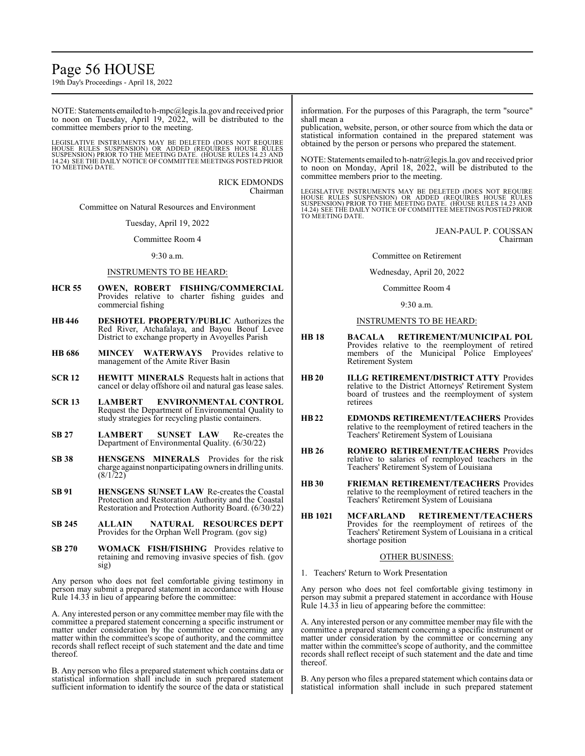## Page 56 HOUSE

19th Day's Proceedings - April 18, 2022

NOTE: Statements emailed to h-mpc@legis.la.gov and received prior to noon on Tuesday, April 19, 2022, will be distributed to the committee members prior to the meeting.

LEGISLATIVE INSTRUMENTS MAY BE DELETED (DOES NOT REQUIRE<br>HOUSE RULES SUSPENSION) OR ADDED (REQUIRES HOUSE RULES<br>SUSPENSION) PRIOR TO THE MEETING DATE. (HOUSE RULES 14.23 AND<br>14.24) SEE THE DAILY NOTICE OF COMMITTEE MEETING TO MEETING DATE.

> RICK EDMONDS Chairman

Committee on Natural Resources and Environment

Tuesday, April 19, 2022

Committee Room 4

#### $9.30$  a.m.

## INSTRUMENTS TO BE HEARD:

- **HCR 55 OWEN, ROBERT FISHING/COMMERCIAL** Provides relative to charter fishing guides and commercial fishing
- **HB 446 DESHOTEL PROPERTY/PUBLIC** Authorizes the Red River, Atchafalaya, and Bayou Beouf Levee District to exchange property in Avoyelles Parish
- **HB 686 MINCEY WATERWAYS** Provides relative to management of the Amite River Basin
- **SCR 12 HEWITT MINERALS** Requests halt in actions that cancel or delay offshore oil and natural gas lease sales.
- **SCR 13 LAMBERT ENVIRONMENTAL CONTROL** Request the Department of Environmental Quality to study strategies for recycling plastic containers.
- **SB 27 LAMBERT SUNSET LAW** Re-creates the Department of Environmental Quality. (6/30/22)
- **SB 38 HENSGENS MINERALS** Provides for the risk charge against nonparticipating owners in drilling units. (8/1/22)
- **SB 91 HENSGENS SUNSET LAW** Re-creates the Coastal Protection and Restoration Authority and the Coastal Restoration and Protection Authority Board. (6/30/22)
- **SB 245 ALLAIN NATURAL RESOURCES DEPT** Provides for the Orphan Well Program. (gov sig)
- **SB 270 WOMACK FISH/FISHING** Provides relative to retaining and removing invasive species of fish. (gov sig)

Any person who does not feel comfortable giving testimony in person may submit a prepared statement in accordance with House Rule 14.33 in lieu of appearing before the committee:

A. Any interested person or any committee member may file with the committee a prepared statement concerning a specific instrument or matter under consideration by the committee or concerning any matter within the committee's scope of authority, and the committee records shall reflect receipt of such statement and the date and time thereof.

B. Any person who files a prepared statement which contains data or statistical information shall include in such prepared statement sufficient information to identify the source of the data or statistical information. For the purposes of this Paragraph, the term "source" shall mean a

publication, website, person, or other source from which the data or statistical information contained in the prepared statement was obtained by the person or persons who prepared the statement.

NOTE: Statements emailed to h-natr@legis.la.gov and received prior to noon on Monday, April 18, 2022, will be distributed to the committee members prior to the meeting.

LEGISLATIVE INSTRUMENTS MAY BE DELETED (DOES NOT REQUIRE<br>HOUSE RULES SUSPENSION) OR ADDED (REQUIRES HOUSE RULES<br>SUSPENSION) PRIOR TO THE MEETING DATE. (HOUSE RULES 14.23 AND<br>14.24) SEE THE DAILY NOTICE OF COMMITTEE MEETING TO MEETING DATE.

> JEAN-PAUL P. COUSSAN Chairman

Committee on Retirement

Wednesday, April 20, 2022

Committee Room 4

9:30 a.m.

## INSTRUMENTS TO BE HEARD:

- **HB 18 BACALA RETIREMENT/MUNICIPAL POL** Provides relative to the reemployment of retired members of the Municipal Police Employees' Retirement System
- **HB 20 ILLG RETIREMENT/DISTRICT ATTY** Provides relative to the District Attorneys' Retirement System board of trustees and the reemployment of system retirees
- **HB22 EDMONDS RETIREMENT/TEACHERS** Provides relative to the reemployment of retired teachers in the Teachers' Retirement System of Louisiana
- **HB 26 ROMERO RETIREMENT/TEACHERS** Provides relative to salaries of reemployed teachers in the Teachers' Retirement System of Louisiana
- **HB 30 FRIEMAN RETIREMENT/TEACHERS** Provides relative to the reemployment of retired teachers in the Teachers' Retirement System of Louisiana
- **HB 1021 MCFARLAND RETIREMENT/TEACHERS** Provides for the reemployment of retirees of the Teachers' Retirement System of Louisiana in a critical shortage position

## OTHER BUSINESS:

1. Teachers' Return to Work Presentation

Any person who does not feel comfortable giving testimony in person may submit a prepared statement in accordance with House Rule 14.33 in lieu of appearing before the committee:

A. Any interested person or any committee member may file with the committee a prepared statement concerning a specific instrument or matter under consideration by the committee or concerning any matter within the committee's scope of authority, and the committee records shall reflect receipt of such statement and the date and time thereof.

B. Any person who files a prepared statement which contains data or statistical information shall include in such prepared statement